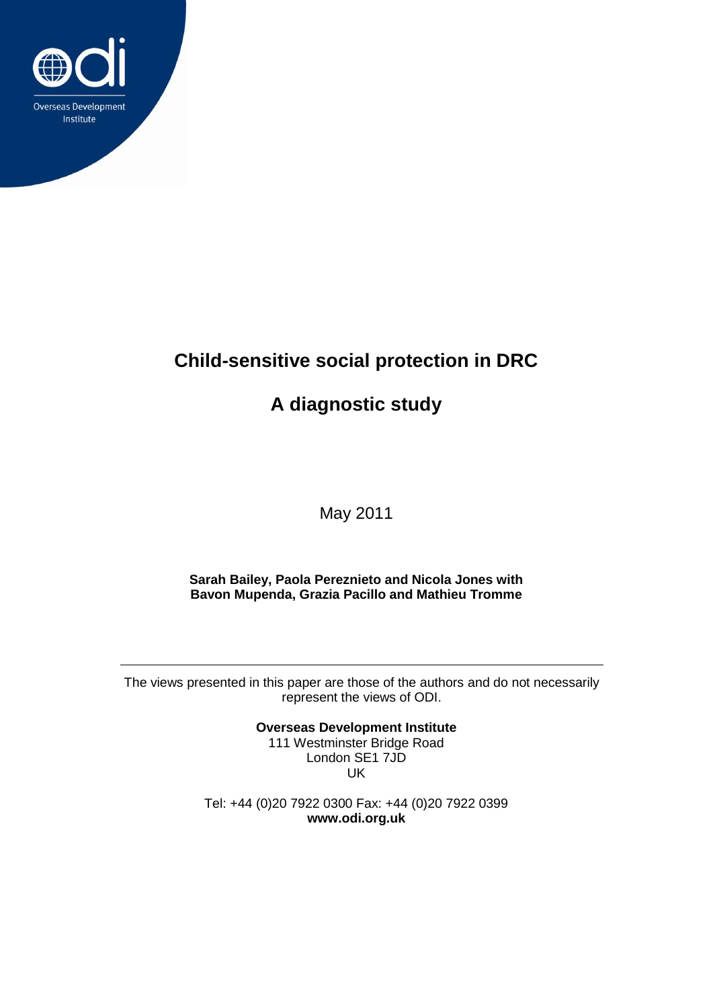

# **Child-sensitive social protection in DRC**

# **A diagnostic study**

May 2011

**Sarah Bailey, Paola Pereznieto and Nicola Jones with Bavon Mupenda, Grazia Pacillo and Mathieu Tromme**

The views presented in this paper are those of the authors and do not necessarily represent the views of ODI.

> **Overseas Development Institute** 111 Westminster Bridge Road London SE1 7JD UK

Tel: +44 (0)20 7922 0300 Fax: +44 (0)20 7922 0399 **www.odi.org.uk**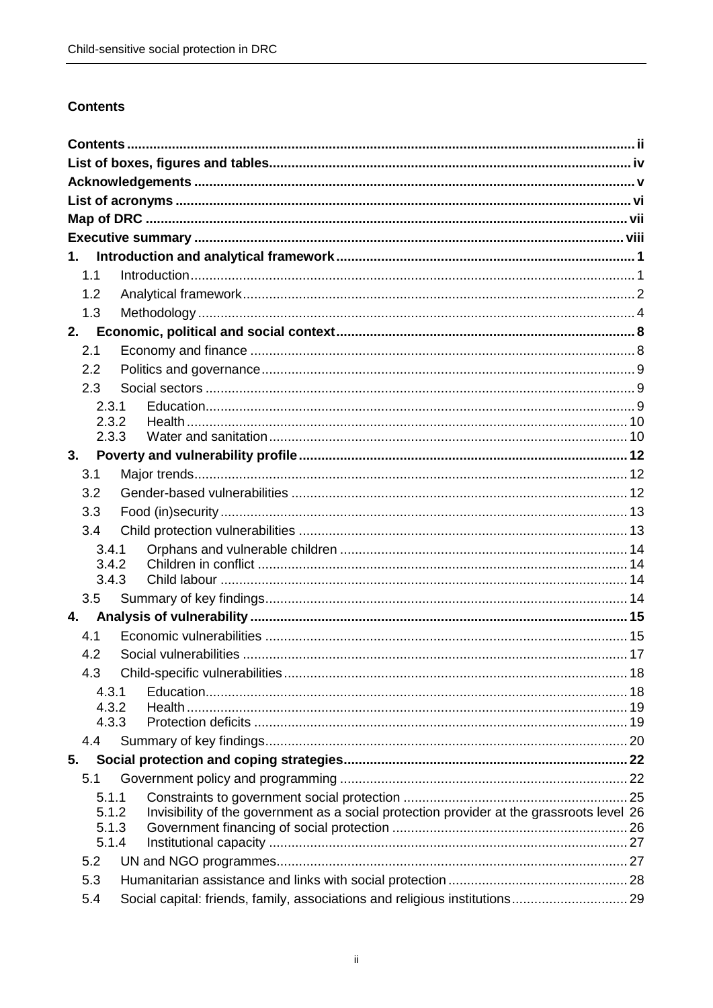### <span id="page-1-0"></span>**Contents**

| 1.<br>1.1<br>1.2<br>1.3<br>2.<br>2.1<br>2.2<br>2.3<br>2.3.1<br>2.3.2<br>2.3.3<br>3.<br>3.1<br>3.2<br>3.3<br>3.4<br>3.4.1<br>3.4.2<br>3.4.3<br>3.5<br>4.<br>4.1<br>4.2<br>4.3<br>4.3.1<br>4.3.2<br>4.3.3<br>4.4<br>5.<br>5.1<br>5.1.1<br>Invisibility of the government as a social protection provider at the grassroots level 26<br>5.1.2<br>5.1.3<br>5.1.4 |     |  |
|--------------------------------------------------------------------------------------------------------------------------------------------------------------------------------------------------------------------------------------------------------------------------------------------------------------------------------------------------------------|-----|--|
|                                                                                                                                                                                                                                                                                                                                                              |     |  |
|                                                                                                                                                                                                                                                                                                                                                              |     |  |
|                                                                                                                                                                                                                                                                                                                                                              |     |  |
|                                                                                                                                                                                                                                                                                                                                                              |     |  |
|                                                                                                                                                                                                                                                                                                                                                              |     |  |
|                                                                                                                                                                                                                                                                                                                                                              |     |  |
|                                                                                                                                                                                                                                                                                                                                                              |     |  |
|                                                                                                                                                                                                                                                                                                                                                              |     |  |
|                                                                                                                                                                                                                                                                                                                                                              |     |  |
|                                                                                                                                                                                                                                                                                                                                                              |     |  |
|                                                                                                                                                                                                                                                                                                                                                              |     |  |
|                                                                                                                                                                                                                                                                                                                                                              |     |  |
|                                                                                                                                                                                                                                                                                                                                                              |     |  |
|                                                                                                                                                                                                                                                                                                                                                              |     |  |
|                                                                                                                                                                                                                                                                                                                                                              |     |  |
|                                                                                                                                                                                                                                                                                                                                                              |     |  |
|                                                                                                                                                                                                                                                                                                                                                              |     |  |
|                                                                                                                                                                                                                                                                                                                                                              |     |  |
|                                                                                                                                                                                                                                                                                                                                                              |     |  |
|                                                                                                                                                                                                                                                                                                                                                              |     |  |
|                                                                                                                                                                                                                                                                                                                                                              |     |  |
|                                                                                                                                                                                                                                                                                                                                                              |     |  |
|                                                                                                                                                                                                                                                                                                                                                              |     |  |
|                                                                                                                                                                                                                                                                                                                                                              |     |  |
|                                                                                                                                                                                                                                                                                                                                                              |     |  |
|                                                                                                                                                                                                                                                                                                                                                              |     |  |
|                                                                                                                                                                                                                                                                                                                                                              |     |  |
|                                                                                                                                                                                                                                                                                                                                                              |     |  |
|                                                                                                                                                                                                                                                                                                                                                              |     |  |
|                                                                                                                                                                                                                                                                                                                                                              |     |  |
|                                                                                                                                                                                                                                                                                                                                                              |     |  |
|                                                                                                                                                                                                                                                                                                                                                              |     |  |
|                                                                                                                                                                                                                                                                                                                                                              |     |  |
|                                                                                                                                                                                                                                                                                                                                                              |     |  |
|                                                                                                                                                                                                                                                                                                                                                              |     |  |
|                                                                                                                                                                                                                                                                                                                                                              |     |  |
|                                                                                                                                                                                                                                                                                                                                                              |     |  |
|                                                                                                                                                                                                                                                                                                                                                              | 5.2 |  |
| 5.3                                                                                                                                                                                                                                                                                                                                                          |     |  |
| 5.4                                                                                                                                                                                                                                                                                                                                                          |     |  |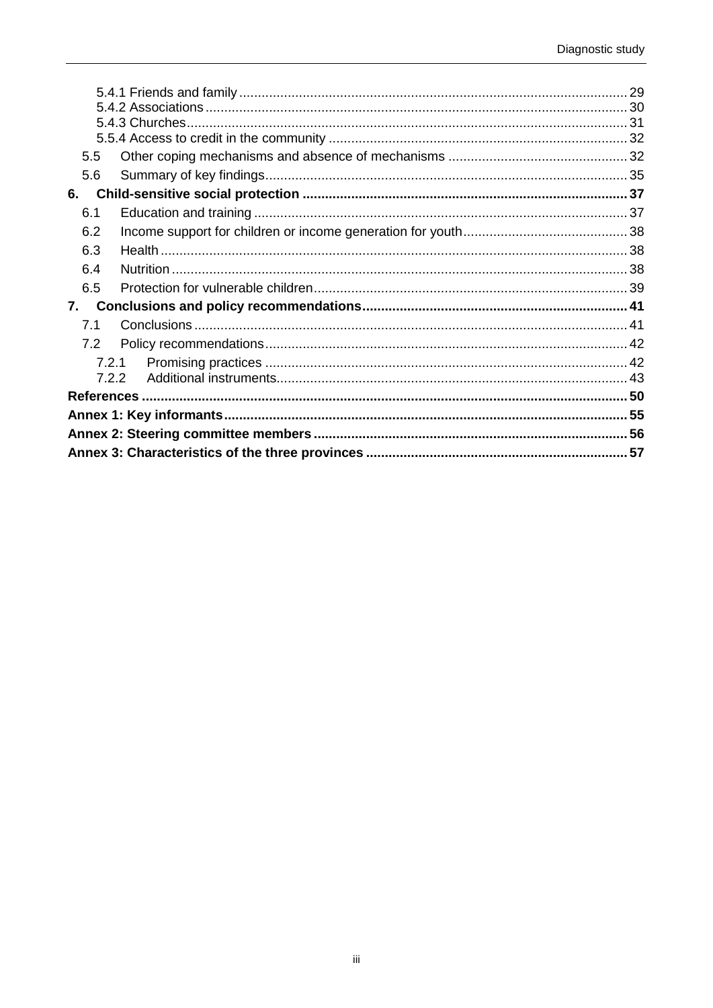| 5.5   |  |
|-------|--|
| 5.6   |  |
| 6.    |  |
| 6.1   |  |
| 6.2   |  |
| 6.3   |  |
| 6.4   |  |
| 6.5   |  |
| 7.    |  |
| 7.1   |  |
| 7.2   |  |
| 7.2.1 |  |
| 722   |  |
|       |  |
|       |  |
|       |  |
|       |  |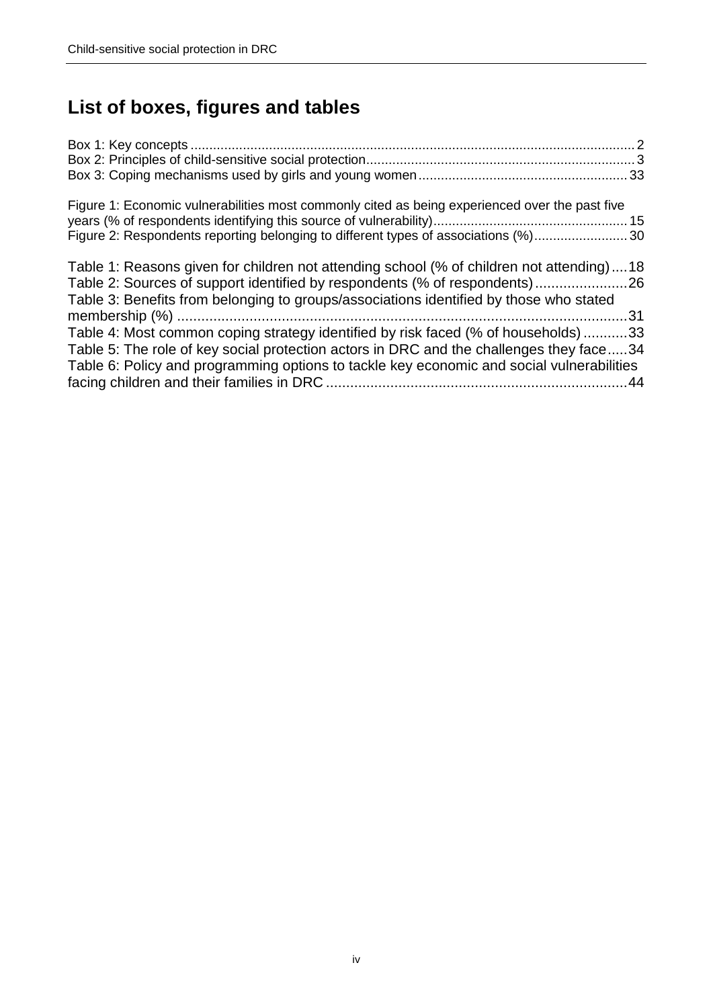# <span id="page-3-0"></span>**List of boxes, figures and tables**

| Figure 1: Economic vulnerabilities most commonly cited as being experienced over the past five<br>Figure 2: Respondents reporting belonging to different types of associations (%)30                                                                             |  |
|------------------------------------------------------------------------------------------------------------------------------------------------------------------------------------------------------------------------------------------------------------------|--|
| Table 1: Reasons given for children not attending school (% of children not attending)18<br>Table 2: Sources of support identified by respondents (% of respondents)26<br>Table 3: Benefits from belonging to groups/associations identified by those who stated |  |
|                                                                                                                                                                                                                                                                  |  |
| Table 4: Most common coping strategy identified by risk faced (% of households)33                                                                                                                                                                                |  |
| Table 5: The role of key social protection actors in DRC and the challenges they face34                                                                                                                                                                          |  |
| Table 6: Policy and programming options to tackle key economic and social vulnerabilities                                                                                                                                                                        |  |
|                                                                                                                                                                                                                                                                  |  |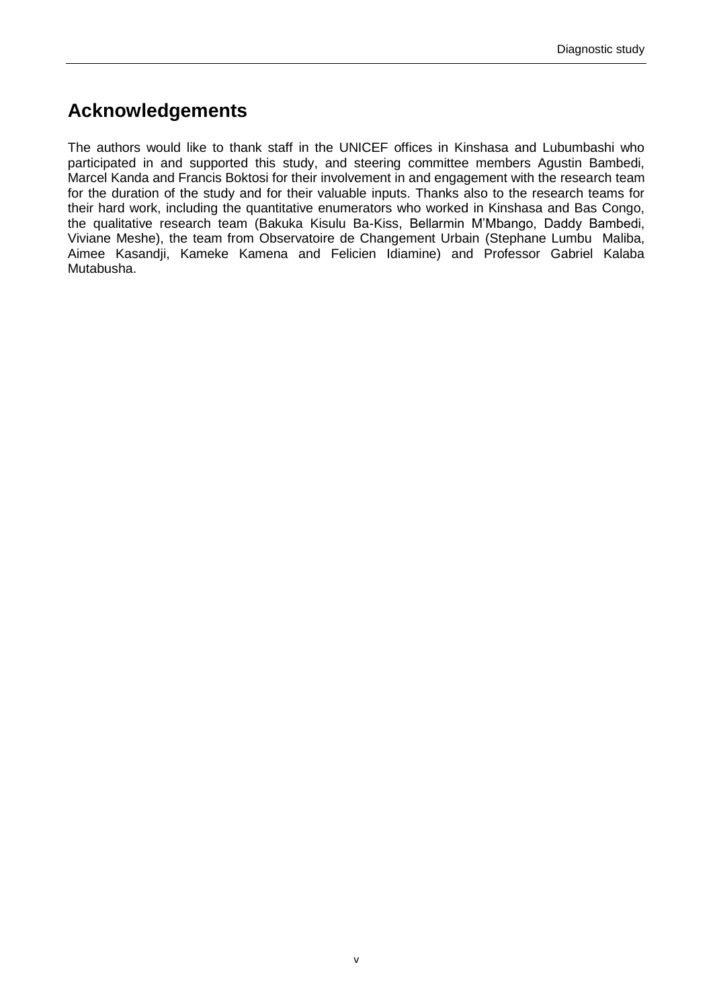# <span id="page-4-0"></span>**Acknowledgements**

The authors would like to thank staff in the UNICEF offices in Kinshasa and Lubumbashi who participated in and supported this study, and steering committee members Agustin Bambedi, Marcel Kanda and Francis Boktosi for their involvement in and engagement with the research team for the duration of the study and for their valuable inputs. Thanks also to the research teams for their hard work, including the quantitative enumerators who worked in Kinshasa and Bas Congo, the qualitative research team (Bakuka Kisulu Ba-Kiss, Bellarmin M'Mbango, Daddy Bambedi, Viviane Meshe), the team from Observatoire de Changement Urbain (Stephane Lumbu Maliba, Aimee Kasandji, Kameke Kamena and Felicien Idiamine) and Professor Gabriel Kalaba Mutabusha.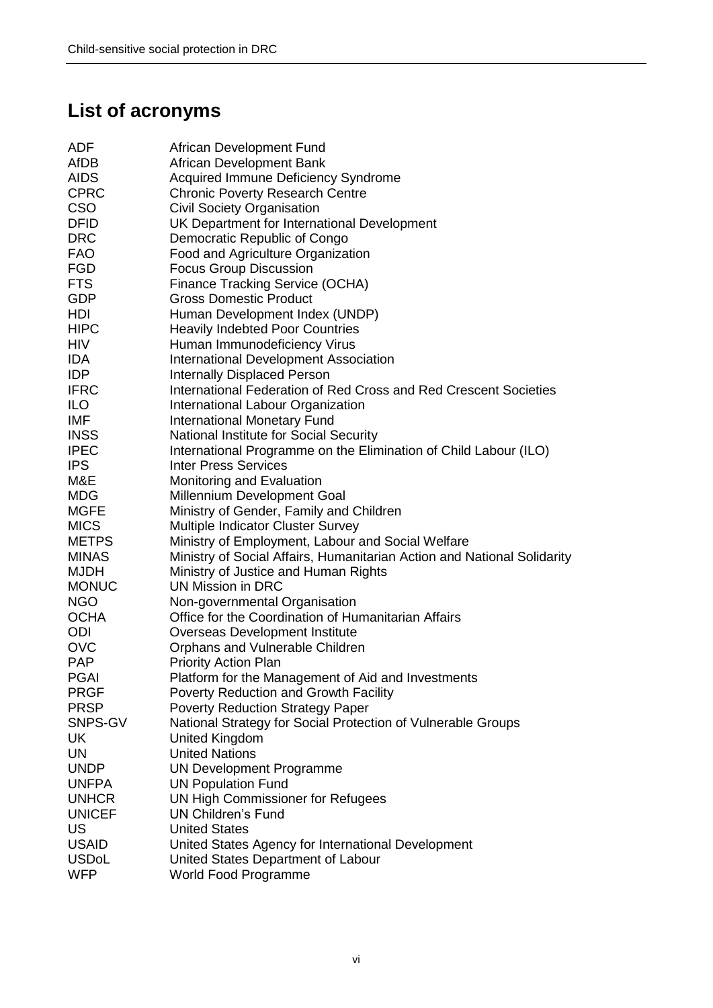# <span id="page-5-0"></span>**List of acronyms**

| <b>ADF</b>    | African Development Fund                                                |
|---------------|-------------------------------------------------------------------------|
| AfDB          | African Development Bank                                                |
| <b>AIDS</b>   | Acquired Immune Deficiency Syndrome                                     |
| <b>CPRC</b>   | <b>Chronic Poverty Research Centre</b>                                  |
| <b>CSO</b>    | <b>Civil Society Organisation</b>                                       |
| <b>DFID</b>   | UK Department for International Development                             |
| <b>DRC</b>    | Democratic Republic of Congo                                            |
| <b>FAO</b>    | Food and Agriculture Organization                                       |
| <b>FGD</b>    | <b>Focus Group Discussion</b>                                           |
| <b>FTS</b>    | Finance Tracking Service (OCHA)                                         |
| <b>GDP</b>    | <b>Gross Domestic Product</b>                                           |
| HDI           | Human Development Index (UNDP)                                          |
| <b>HIPC</b>   | <b>Heavily Indebted Poor Countries</b>                                  |
| <b>HIV</b>    | Human Immunodeficiency Virus                                            |
| <b>IDA</b>    | International Development Association                                   |
| <b>IDP</b>    | <b>Internally Displaced Person</b>                                      |
| <b>IFRC</b>   | International Federation of Red Cross and Red Crescent Societies        |
| <b>ILO</b>    | International Labour Organization                                       |
| IMF           | <b>International Monetary Fund</b>                                      |
| <b>INSS</b>   | National Institute for Social Security                                  |
| <b>IPEC</b>   | International Programme on the Elimination of Child Labour (ILO)        |
| <b>IPS</b>    | <b>Inter Press Services</b>                                             |
| M&E           | Monitoring and Evaluation                                               |
| <b>MDG</b>    | Millennium Development Goal                                             |
| <b>MGFE</b>   | Ministry of Gender, Family and Children                                 |
| <b>MICS</b>   | Multiple Indicator Cluster Survey                                       |
| <b>METPS</b>  | Ministry of Employment, Labour and Social Welfare                       |
| <b>MINAS</b>  | Ministry of Social Affairs, Humanitarian Action and National Solidarity |
| <b>MJDH</b>   | Ministry of Justice and Human Rights                                    |
| <b>MONUC</b>  | <b>UN Mission in DRC</b>                                                |
| <b>NGO</b>    | Non-governmental Organisation                                           |
| <b>OCHA</b>   | Office for the Coordination of Humanitarian Affairs                     |
| ODI           | <b>Overseas Development Institute</b>                                   |
| <b>OVC</b>    | Orphans and Vulnerable Children                                         |
| <b>PAP</b>    | <b>Priority Action Plan</b>                                             |
| <b>PGAI</b>   | Platform for the Management of Aid and Investments                      |
| <b>PRGF</b>   | Poverty Reduction and Growth Facility                                   |
| <b>PRSP</b>   | <b>Poverty Reduction Strategy Paper</b>                                 |
| SNPS-GV       | National Strategy for Social Protection of Vulnerable Groups            |
| UK            | <b>United Kingdom</b>                                                   |
| <b>UN</b>     | <b>United Nations</b>                                                   |
| <b>UNDP</b>   | <b>UN Development Programme</b>                                         |
| <b>UNFPA</b>  | <b>UN Population Fund</b>                                               |
| <b>UNHCR</b>  | UN High Commissioner for Refugees                                       |
| <b>UNICEF</b> | <b>UN Children's Fund</b>                                               |
| <b>US</b>     | <b>United States</b>                                                    |
| <b>USAID</b>  | United States Agency for International Development                      |
| <b>USDoL</b>  | United States Department of Labour                                      |
| <b>WFP</b>    | World Food Programme                                                    |
|               |                                                                         |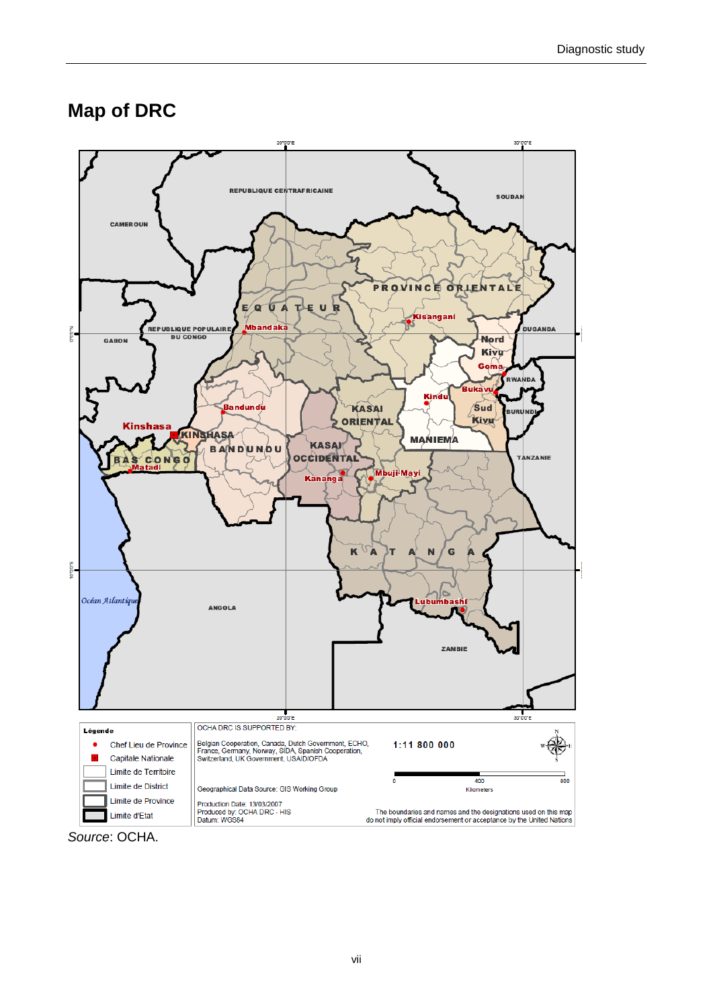# <span id="page-6-0"></span>**Map of DRC**



*Source*: OCHA.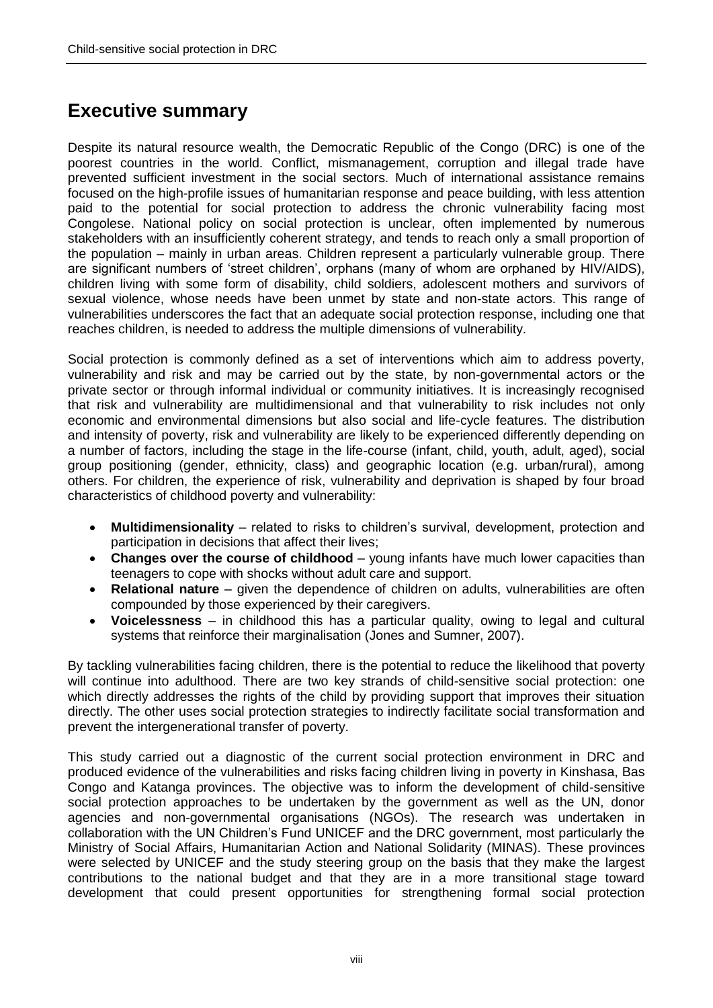# <span id="page-7-0"></span>**Executive summary**

Despite its natural resource wealth, the Democratic Republic of the Congo (DRC) is one of the poorest countries in the world. Conflict, mismanagement, corruption and illegal trade have prevented sufficient investment in the social sectors. Much of international assistance remains focused on the high-profile issues of humanitarian response and peace building, with less attention paid to the potential for social protection to address the chronic vulnerability facing most Congolese. National policy on social protection is unclear, often implemented by numerous stakeholders with an insufficiently coherent strategy, and tends to reach only a small proportion of the population – mainly in urban areas. Children represent a particularly vulnerable group. There are significant numbers of 'street children', orphans (many of whom are orphaned by HIV/AIDS), children living with some form of disability, child soldiers, adolescent mothers and survivors of sexual violence, whose needs have been unmet by state and non-state actors. This range of vulnerabilities underscores the fact that an adequate social protection response, including one that reaches children, is needed to address the multiple dimensions of vulnerability.

Social protection is commonly defined as a set of interventions which aim to address poverty, vulnerability and risk and may be carried out by the state, by non-governmental actors or the private sector or through informal individual or community initiatives. It is increasingly recognised that risk and vulnerability are multidimensional and that vulnerability to risk includes not only economic and environmental dimensions but also social and life-cycle features. The distribution and intensity of poverty, risk and vulnerability are likely to be experienced differently depending on a number of factors, including the stage in the life-course (infant, child, youth, adult, aged), social group positioning (gender, ethnicity, class) and geographic location (e.g. urban/rural), among others. For children, the experience of risk, vulnerability and deprivation is shaped by four broad characteristics of childhood poverty and vulnerability:

- **Multidimensionality**  related to risks to children's survival, development, protection and participation in decisions that affect their lives;
- **Changes over the course of childhood** young infants have much lower capacities than teenagers to cope with shocks without adult care and support.
- **Relational nature** given the dependence of children on adults, vulnerabilities are often compounded by those experienced by their caregivers.
- **Voicelessness** in childhood this has a particular quality, owing to legal and cultural systems that reinforce their marginalisation (Jones and Sumner, 2007).

By tackling vulnerabilities facing children, there is the potential to reduce the likelihood that poverty will continue into adulthood. There are two key strands of child-sensitive social protection: one which directly addresses the rights of the child by providing support that improves their situation directly. The other uses social protection strategies to indirectly facilitate social transformation and prevent the intergenerational transfer of poverty.

This study carried out a diagnostic of the current social protection environment in DRC and produced evidence of the vulnerabilities and risks facing children living in poverty in Kinshasa, Bas Congo and Katanga provinces. The objective was to inform the development of child-sensitive social protection approaches to be undertaken by the government as well as the UN, donor agencies and non-governmental organisations (NGOs). The research was undertaken in collaboration with the UN Children's Fund UNICEF and the DRC government, most particularly the Ministry of Social Affairs, Humanitarian Action and National Solidarity (MINAS). These provinces were selected by UNICEF and the study steering group on the basis that they make the largest contributions to the national budget and that they are in a more transitional stage toward development that could present opportunities for strengthening formal social protection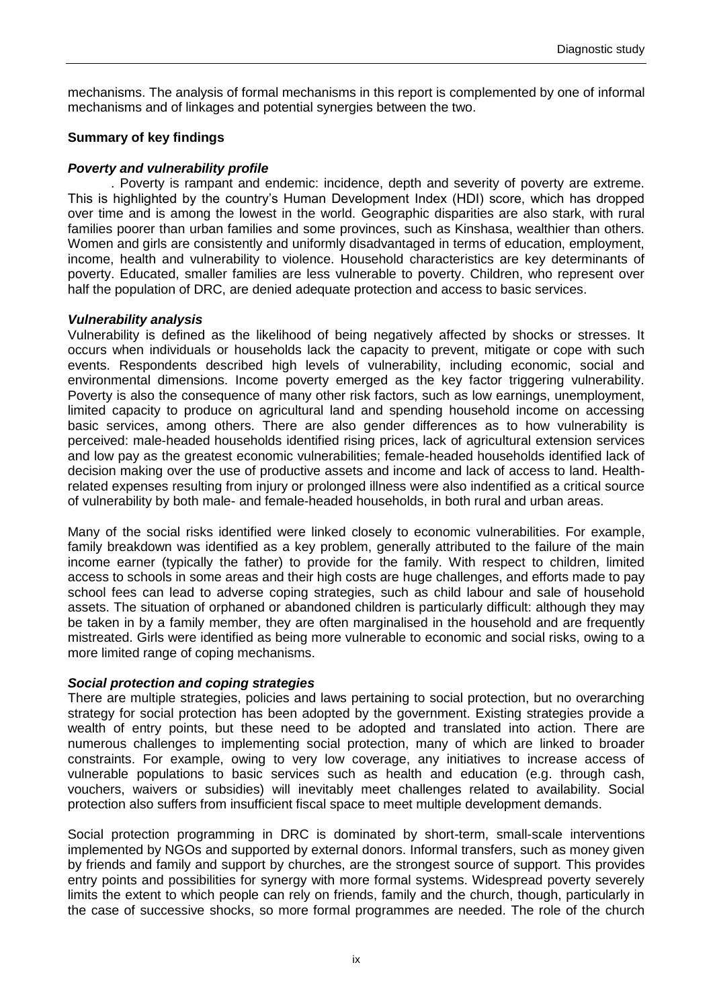mechanisms. The analysis of formal mechanisms in this report is complemented by one of informal mechanisms and of linkages and potential synergies between the two.

#### **Summary of key findings**

#### *Poverty and vulnerability profile*

. Poverty is rampant and endemic: incidence, depth and severity of poverty are extreme. This is highlighted by the country's Human Development Index (HDI) score, which has dropped over time and is among the lowest in the world. Geographic disparities are also stark, with rural families poorer than urban families and some provinces, such as Kinshasa, wealthier than others. Women and girls are consistently and uniformly disadvantaged in terms of education, employment, income, health and vulnerability to violence. Household characteristics are key determinants of poverty. Educated, smaller families are less vulnerable to poverty. Children, who represent over half the population of DRC, are denied adequate protection and access to basic services.

#### *Vulnerability analysis*

Vulnerability is defined as the likelihood of being negatively affected by shocks or stresses. It occurs when individuals or households lack the capacity to prevent, mitigate or cope with such events. Respondents described high levels of vulnerability, including economic, social and environmental dimensions. Income poverty emerged as the key factor triggering vulnerability. Poverty is also the consequence of many other risk factors, such as low earnings, unemployment, limited capacity to produce on agricultural land and spending household income on accessing basic services, among others. There are also gender differences as to how vulnerability is perceived: male-headed households identified rising prices, lack of agricultural extension services and low pay as the greatest economic vulnerabilities; female-headed households identified lack of decision making over the use of productive assets and income and lack of access to land. Healthrelated expenses resulting from injury or prolonged illness were also indentified as a critical source of vulnerability by both male- and female-headed households, in both rural and urban areas.

Many of the social risks identified were linked closely to economic vulnerabilities. For example, family breakdown was identified as a key problem, generally attributed to the failure of the main income earner (typically the father) to provide for the family. With respect to children, limited access to schools in some areas and their high costs are huge challenges, and efforts made to pay school fees can lead to adverse coping strategies, such as child labour and sale of household assets. The situation of orphaned or abandoned children is particularly difficult: although they may be taken in by a family member, they are often marginalised in the household and are frequently mistreated. Girls were identified as being more vulnerable to economic and social risks, owing to a more limited range of coping mechanisms.

#### *Social protection and coping strategies*

There are multiple strategies, policies and laws pertaining to social protection, but no overarching strategy for social protection has been adopted by the government. Existing strategies provide a wealth of entry points, but these need to be adopted and translated into action. There are numerous challenges to implementing social protection, many of which are linked to broader constraints. For example, owing to very low coverage, any initiatives to increase access of vulnerable populations to basic services such as health and education (e.g. through cash, vouchers, waivers or subsidies) will inevitably meet challenges related to availability. Social protection also suffers from insufficient fiscal space to meet multiple development demands.

Social protection programming in DRC is dominated by short-term, small-scale interventions implemented by NGOs and supported by external donors. Informal transfers, such as money given by friends and family and support by churches, are the strongest source of support. This provides entry points and possibilities for synergy with more formal systems. Widespread poverty severely limits the extent to which people can rely on friends, family and the church, though, particularly in the case of successive shocks, so more formal programmes are needed. The role of the church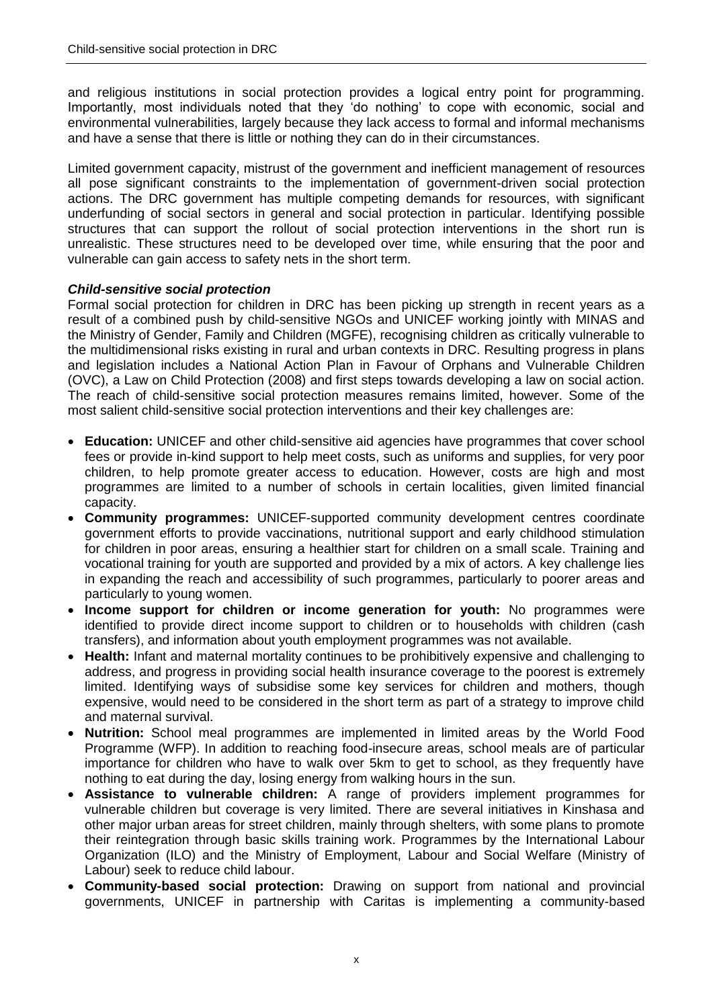and religious institutions in social protection provides a logical entry point for programming. Importantly, most individuals noted that they 'do nothing' to cope with economic, social and environmental vulnerabilities, largely because they lack access to formal and informal mechanisms and have a sense that there is little or nothing they can do in their circumstances.

Limited government capacity, mistrust of the government and inefficient management of resources all pose significant constraints to the implementation of government-driven social protection actions. The DRC government has multiple competing demands for resources, with significant underfunding of social sectors in general and social protection in particular. Identifying possible structures that can support the rollout of social protection interventions in the short run is unrealistic. These structures need to be developed over time, while ensuring that the poor and vulnerable can gain access to safety nets in the short term.

#### *Child-sensitive social protection*

Formal social protection for children in DRC has been picking up strength in recent years as a result of a combined push by child-sensitive NGOs and UNICEF working jointly with MINAS and the Ministry of Gender, Family and Children (MGFE), recognising children as critically vulnerable to the multidimensional risks existing in rural and urban contexts in DRC. Resulting progress in plans and legislation includes a National Action Plan in Favour of Orphans and Vulnerable Children (OVC), a Law on Child Protection (2008) and first steps towards developing a law on social action. The reach of child-sensitive social protection measures remains limited, however. Some of the most salient child-sensitive social protection interventions and their key challenges are:

- **Education:** UNICEF and other child-sensitive aid agencies have programmes that cover school fees or provide in-kind support to help meet costs, such as uniforms and supplies, for very poor children, to help promote greater access to education. However, costs are high and most programmes are limited to a number of schools in certain localities, given limited financial capacity.
- **Community programmes:** UNICEF-supported community development centres coordinate government efforts to provide vaccinations, nutritional support and early childhood stimulation for children in poor areas, ensuring a healthier start for children on a small scale. Training and vocational training for youth are supported and provided by a mix of actors. A key challenge lies in expanding the reach and accessibility of such programmes, particularly to poorer areas and particularly to young women.
- **Income support for children or income generation for youth:** No programmes were identified to provide direct income support to children or to households with children (cash transfers), and information about youth employment programmes was not available.
- **Health:** Infant and maternal mortality continues to be prohibitively expensive and challenging to address, and progress in providing social health insurance coverage to the poorest is extremely limited. Identifying ways of subsidise some key services for children and mothers, though expensive, would need to be considered in the short term as part of a strategy to improve child and maternal survival.
- **Nutrition:** School meal programmes are implemented in limited areas by the World Food Programme (WFP). In addition to reaching food-insecure areas, school meals are of particular importance for children who have to walk over 5km to get to school, as they frequently have nothing to eat during the day, losing energy from walking hours in the sun.
- **Assistance to vulnerable children:** A range of providers implement programmes for vulnerable children but coverage is very limited. There are several initiatives in Kinshasa and other major urban areas for street children, mainly through shelters, with some plans to promote their reintegration through basic skills training work. Programmes by the International Labour Organization (ILO) and the Ministry of Employment, Labour and Social Welfare (Ministry of Labour) seek to reduce child labour.
- **Community-based social protection:** Drawing on support from national and provincial governments, UNICEF in partnership with Caritas is implementing a community-based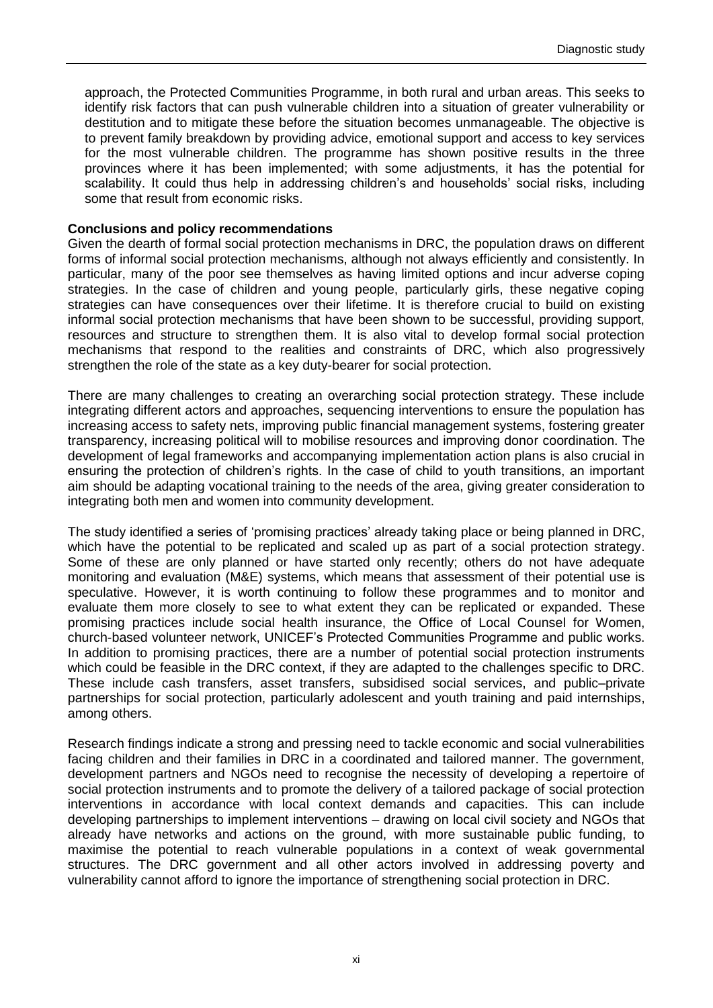approach, the Protected Communities Programme, in both rural and urban areas. This seeks to identify risk factors that can push vulnerable children into a situation of greater vulnerability or destitution and to mitigate these before the situation becomes unmanageable. The objective is to prevent family breakdown by providing advice, emotional support and access to key services for the most vulnerable children. The programme has shown positive results in the three provinces where it has been implemented; with some adjustments, it has the potential for scalability. It could thus help in addressing children's and households' social risks, including some that result from economic risks.

#### **Conclusions and policy recommendations**

Given the dearth of formal social protection mechanisms in DRC, the population draws on different forms of informal social protection mechanisms, although not always efficiently and consistently. In particular, many of the poor see themselves as having limited options and incur adverse coping strategies. In the case of children and young people, particularly girls, these negative coping strategies can have consequences over their lifetime. It is therefore crucial to build on existing informal social protection mechanisms that have been shown to be successful, providing support, resources and structure to strengthen them. It is also vital to develop formal social protection mechanisms that respond to the realities and constraints of DRC, which also progressively strengthen the role of the state as a key duty-bearer for social protection.

There are many challenges to creating an overarching social protection strategy. These include integrating different actors and approaches, sequencing interventions to ensure the population has increasing access to safety nets, improving public financial management systems, fostering greater transparency, increasing political will to mobilise resources and improving donor coordination. The development of legal frameworks and accompanying implementation action plans is also crucial in ensuring the protection of children's rights. In the case of child to youth transitions, an important aim should be adapting vocational training to the needs of the area, giving greater consideration to integrating both men and women into community development.

The study identified a series of 'promising practices' already taking place or being planned in DRC, which have the potential to be replicated and scaled up as part of a social protection strategy. Some of these are only planned or have started only recently; others do not have adequate monitoring and evaluation (M&E) systems, which means that assessment of their potential use is speculative. However, it is worth continuing to follow these programmes and to monitor and evaluate them more closely to see to what extent they can be replicated or expanded. These promising practices include social health insurance, the Office of Local Counsel for Women, church-based volunteer network, UNICEF's Protected Communities Programme and public works. In addition to promising practices, there are a number of potential social protection instruments which could be feasible in the DRC context, if they are adapted to the challenges specific to DRC. These include cash transfers, asset transfers, subsidised social services, and public–private partnerships for social protection, particularly adolescent and youth training and paid internships, among others.

Research findings indicate a strong and pressing need to tackle economic and social vulnerabilities facing children and their families in DRC in a coordinated and tailored manner. The government, development partners and NGOs need to recognise the necessity of developing a repertoire of social protection instruments and to promote the delivery of a tailored package of social protection interventions in accordance with local context demands and capacities. This can include developing partnerships to implement interventions – drawing on local civil society and NGOs that already have networks and actions on the ground, with more sustainable public funding, to maximise the potential to reach vulnerable populations in a context of weak governmental structures. The DRC government and all other actors involved in addressing poverty and vulnerability cannot afford to ignore the importance of strengthening social protection in DRC.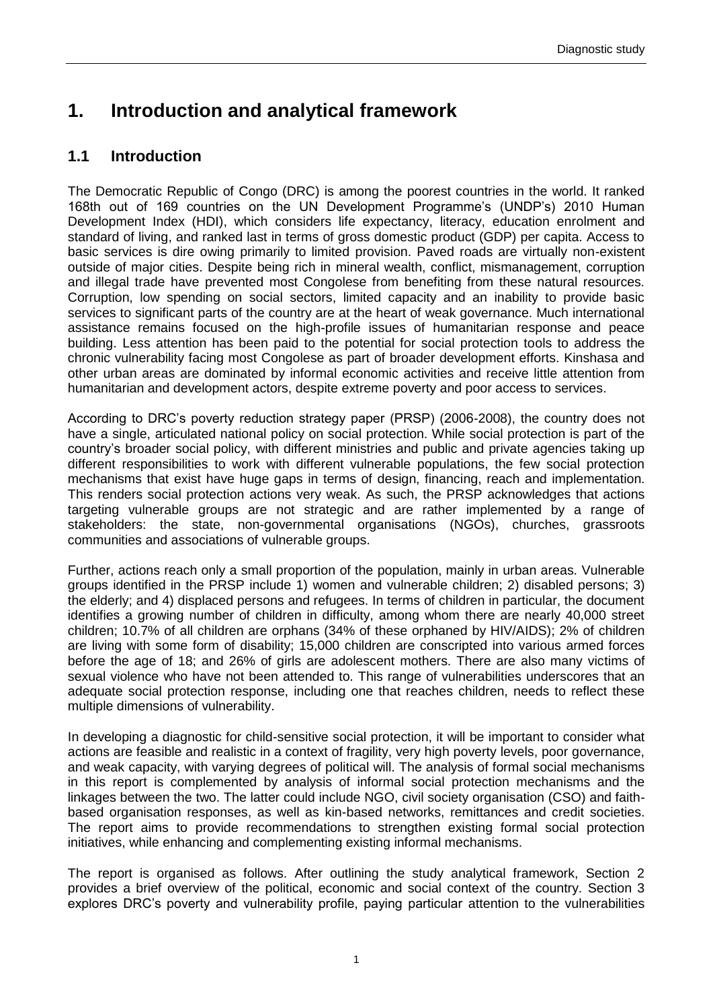# <span id="page-12-0"></span>**1. Introduction and analytical framework**

## <span id="page-12-1"></span>**1.1 Introduction**

The Democratic Republic of Congo (DRC) is among the poorest countries in the world. It ranked 168th out of 169 countries on the UN Development Programme's (UNDP's) 2010 Human Development Index (HDI), which considers life expectancy, literacy, education enrolment and standard of living, and ranked last in terms of gross domestic product (GDP) per capita. Access to basic services is dire owing primarily to limited provision. Paved roads are virtually non-existent outside of major cities. Despite being rich in mineral wealth, conflict, mismanagement, corruption and illegal trade have prevented most Congolese from benefiting from these natural resources. Corruption, low spending on social sectors, limited capacity and an inability to provide basic services to significant parts of the country are at the heart of weak governance. Much international assistance remains focused on the high-profile issues of humanitarian response and peace building. Less attention has been paid to the potential for social protection tools to address the chronic vulnerability facing most Congolese as part of broader development efforts. Kinshasa and other urban areas are dominated by informal economic activities and receive little attention from humanitarian and development actors, despite extreme poverty and poor access to services.

According to DRC's poverty reduction strategy paper (PRSP) (2006-2008), the country does not have a single, articulated national policy on social protection. While social protection is part of the country's broader social policy, with different ministries and public and private agencies taking up different responsibilities to work with different vulnerable populations, the few social protection mechanisms that exist have huge gaps in terms of design, financing, reach and implementation. This renders social protection actions very weak. As such, the PRSP acknowledges that actions targeting vulnerable groups are not strategic and are rather implemented by a range of stakeholders: the state, non-governmental organisations (NGOs), churches, grassroots communities and associations of vulnerable groups.

Further, actions reach only a small proportion of the population, mainly in urban areas. Vulnerable groups identified in the PRSP include 1) women and vulnerable children; 2) disabled persons; 3) the elderly; and 4) displaced persons and refugees. In terms of children in particular, the document identifies a growing number of children in difficulty, among whom there are nearly 40,000 street children; 10.7% of all children are orphans (34% of these orphaned by HIV/AIDS); 2% of children are living with some form of disability; 15,000 children are conscripted into various armed forces before the age of 18; and 26% of girls are adolescent mothers. There are also many victims of sexual violence who have not been attended to. This range of vulnerabilities underscores that an adequate social protection response, including one that reaches children, needs to reflect these multiple dimensions of vulnerability.

In developing a diagnostic for child-sensitive social protection, it will be important to consider what actions are feasible and realistic in a context of fragility, very high poverty levels, poor governance, and weak capacity, with varying degrees of political will. The analysis of formal social mechanisms in this report is complemented by analysis of informal social protection mechanisms and the linkages between the two. The latter could include NGO, civil society organisation (CSO) and faithbased organisation responses, as well as kin-based networks, remittances and credit societies. The report aims to provide recommendations to strengthen existing formal social protection initiatives, while enhancing and complementing existing informal mechanisms.

The report is organised as follows. After outlining the study analytical framework, Section 2 provides a brief overview of the political, economic and social context of the country. Section 3 explores DRC's poverty and vulnerability profile, paying particular attention to the vulnerabilities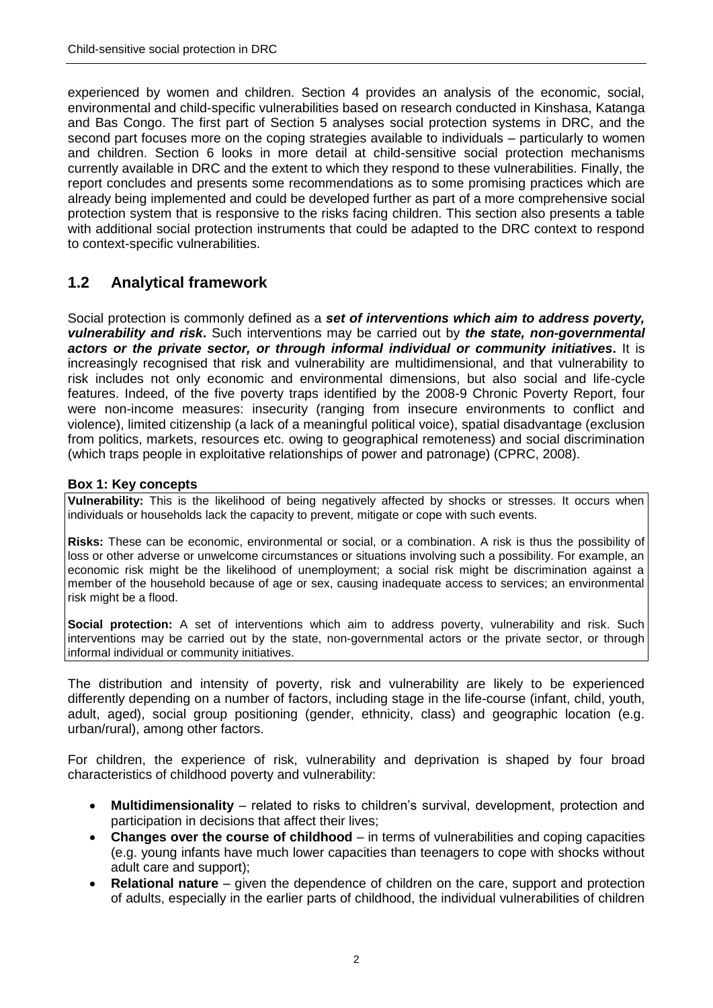experienced by women and children. Section 4 provides an analysis of the economic, social, environmental and child-specific vulnerabilities based on research conducted in Kinshasa, Katanga and Bas Congo. The first part of Section 5 analyses social protection systems in DRC, and the second part focuses more on the coping strategies available to individuals – particularly to women and children. Section 6 looks in more detail at child-sensitive social protection mechanisms currently available in DRC and the extent to which they respond to these vulnerabilities. Finally, the report concludes and presents some recommendations as to some promising practices which are already being implemented and could be developed further as part of a more comprehensive social protection system that is responsive to the risks facing children. This section also presents a table with additional social protection instruments that could be adapted to the DRC context to respond to context-specific vulnerabilities.

# <span id="page-13-0"></span>**1.2 Analytical framework**

Social protection is commonly defined as a *set of interventions which aim to address poverty, vulnerability and risk***.** Such interventions may be carried out by *the state, non-governmental actors or the private sector, or through informal individual or community initiatives***.** It is increasingly recognised that risk and vulnerability are multidimensional, and that vulnerability to risk includes not only economic and environmental dimensions, but also social and life-cycle features. Indeed, of the five poverty traps identified by the 2008-9 Chronic Poverty Report, four were non-income measures: insecurity (ranging from insecure environments to conflict and violence), limited citizenship (a lack of a meaningful political voice), spatial disadvantage (exclusion from politics, markets, resources etc. owing to geographical remoteness) and social discrimination (which traps people in exploitative relationships of power and patronage) (CPRC, 2008).

### <span id="page-13-1"></span>**Box 1: Key concepts**

**Vulnerability:** This is the likelihood of being negatively affected by shocks or stresses. It occurs when individuals or households lack the capacity to prevent, mitigate or cope with such events.

**Risks:** These can be economic, environmental or social, or a combination. A risk is thus the possibility of loss or other adverse or unwelcome circumstances or situations involving such a possibility. For example, an economic risk might be the likelihood of unemployment; a social risk might be discrimination against a member of the household because of age or sex, causing inadequate access to services; an environmental risk might be a flood.

**Social protection:** A set of interventions which aim to address poverty, vulnerability and risk. Such interventions may be carried out by the state, non-governmental actors or the private sector, or through informal individual or community initiatives.

The distribution and intensity of poverty, risk and vulnerability are likely to be experienced differently depending on a number of factors, including stage in the life-course (infant, child, youth, adult, aged), social group positioning (gender, ethnicity, class) and geographic location (e.g. urban/rural), among other factors.

For children, the experience of risk, vulnerability and deprivation is shaped by four broad characteristics of childhood poverty and vulnerability:

- **Multidimensionality**  related to risks to children's survival, development, protection and participation in decisions that affect their lives;
- **Changes over the course of childhood**  in terms of vulnerabilities and coping capacities (e.g. young infants have much lower capacities than teenagers to cope with shocks without adult care and support);
- **Relational nature**  given the dependence of children on the care, support and protection of adults, especially in the earlier parts of childhood, the individual vulnerabilities of children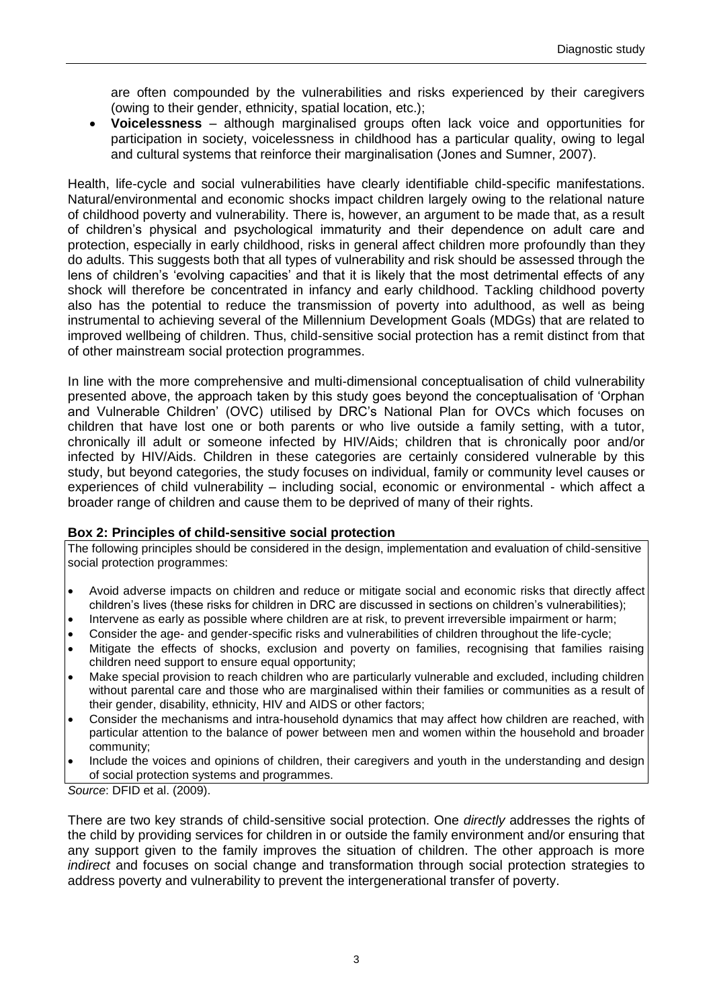are often compounded by the vulnerabilities and risks experienced by their caregivers (owing to their gender, ethnicity, spatial location, etc.);

 **Voicelessness** – although marginalised groups often lack voice and opportunities for participation in society, voicelessness in childhood has a particular quality, owing to legal and cultural systems that reinforce their marginalisation (Jones and Sumner, 2007).

Health, life-cycle and social vulnerabilities have clearly identifiable child-specific manifestations. Natural/environmental and economic shocks impact children largely owing to the relational nature of childhood poverty and vulnerability. There is, however, an argument to be made that, as a result of children's physical and psychological immaturity and their dependence on adult care and protection, especially in early childhood, risks in general affect children more profoundly than they do adults. This suggests both that all types of vulnerability and risk should be assessed through the lens of children's 'evolving capacities' and that it is likely that the most detrimental effects of any shock will therefore be concentrated in infancy and early childhood. Tackling childhood poverty also has the potential to reduce the transmission of poverty into adulthood, as well as being instrumental to achieving several of the Millennium Development Goals (MDGs) that are related to improved wellbeing of children. Thus, child-sensitive social protection has a remit distinct from that of other mainstream social protection programmes.

In line with the more comprehensive and multi-dimensional conceptualisation of child vulnerability presented above, the approach taken by this study goes beyond the conceptualisation of 'Orphan and Vulnerable Children' (OVC) utilised by DRC's National Plan for OVCs which focuses on children that have lost one or both parents or who live outside a family setting, with a tutor, chronically ill adult or someone infected by HIV/Aids; children that is chronically poor and/or infected by HIV/Aids. Children in these categories are certainly considered vulnerable by this study, but beyond categories, the study focuses on individual, family or community level causes or experiences of child vulnerability – including social, economic or environmental - which affect a broader range of children and cause them to be deprived of many of their rights.

#### <span id="page-14-0"></span>**Box 2: Principles of child-sensitive social protection**

The following principles should be considered in the design, implementation and evaluation of child-sensitive social protection programmes:

- Avoid adverse impacts on children and reduce or mitigate social and economic risks that directly affect children's lives (these risks for children in DRC are discussed in sections on children's vulnerabilities);
- Intervene as early as possible where children are at risk, to prevent irreversible impairment or harm;
- Consider the age- and gender-specific risks and vulnerabilities of children throughout the life-cycle;
- Mitigate the effects of shocks, exclusion and poverty on families, recognising that families raising children need support to ensure equal opportunity;
- Make special provision to reach children who are particularly vulnerable and excluded, including children without parental care and those who are marginalised within their families or communities as a result of their gender, disability, ethnicity, HIV and AIDS or other factors;
- Consider the mechanisms and intra-household dynamics that may affect how children are reached, with particular attention to the balance of power between men and women within the household and broader community;
- Include the voices and opinions of children, their caregivers and youth in the understanding and design of social protection systems and programmes.

*Source*: DFID et al. (2009).

There are two key strands of child-sensitive social protection. One *directly* addresses the rights of the child by providing services for children in or outside the family environment and/or ensuring that any support given to the family improves the situation of children. The other approach is more *indirect* and focuses on social change and transformation through social protection strategies to address poverty and vulnerability to prevent the intergenerational transfer of poverty.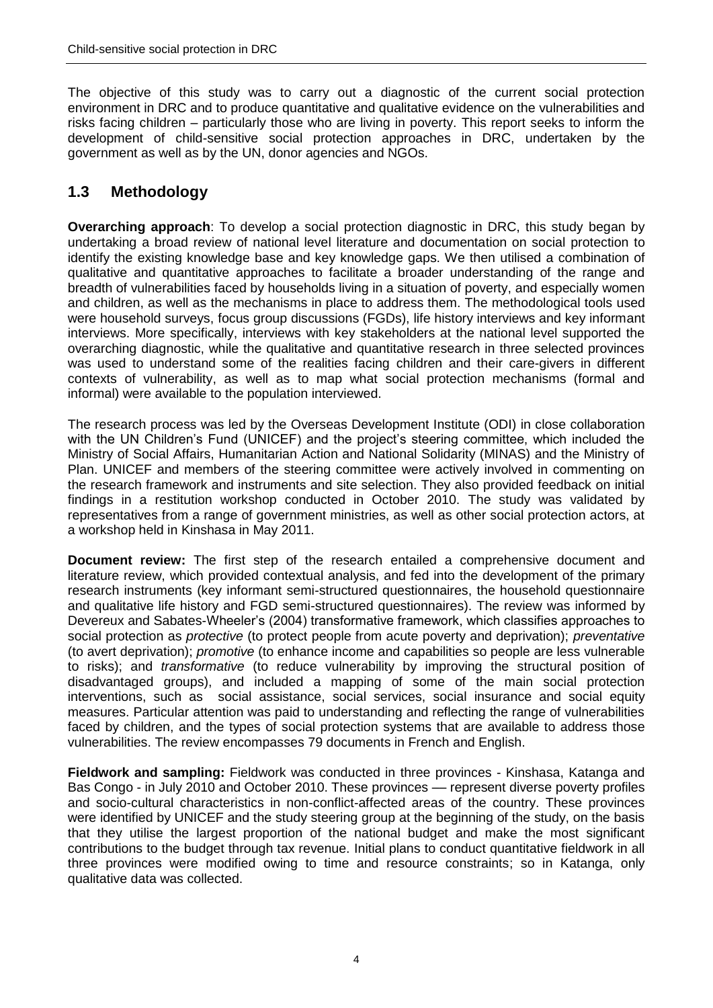The objective of this study was to carry out a diagnostic of the current social protection environment in DRC and to produce quantitative and qualitative evidence on the vulnerabilities and risks facing children – particularly those who are living in poverty. This report seeks to inform the development of child-sensitive social protection approaches in DRC, undertaken by the government as well as by the UN, donor agencies and NGOs.

# <span id="page-15-0"></span>**1.3 Methodology**

**Overarching approach**: To develop a social protection diagnostic in DRC, this study began by undertaking a broad review of national level literature and documentation on social protection to identify the existing knowledge base and key knowledge gaps. We then utilised a combination of qualitative and quantitative approaches to facilitate a broader understanding of the range and breadth of vulnerabilities faced by households living in a situation of poverty, and especially women and children, as well as the mechanisms in place to address them. The methodological tools used were household surveys, focus group discussions (FGDs), life history interviews and key informant interviews. More specifically, interviews with key stakeholders at the national level supported the overarching diagnostic, while the qualitative and quantitative research in three selected provinces was used to understand some of the realities facing children and their care-givers in different contexts of vulnerability, as well as to map what social protection mechanisms (formal and informal) were available to the population interviewed.

The research process was led by the Overseas Development Institute (ODI) in close collaboration with the UN Children's Fund (UNICEF) and the project's steering committee, which included the Ministry of Social Affairs, Humanitarian Action and National Solidarity (MINAS) and the Ministry of Plan. UNICEF and members of the steering committee were actively involved in commenting on the research framework and instruments and site selection. They also provided feedback on initial findings in a restitution workshop conducted in October 2010. The study was validated by representatives from a range of government ministries, as well as other social protection actors, at a workshop held in Kinshasa in May 2011.

**Document review:** The first step of the research entailed a comprehensive document and literature review, which provided contextual analysis, and fed into the development of the primary research instruments (key informant semi-structured questionnaires, the household questionnaire and qualitative life history and FGD semi-structured questionnaires). The review was informed by Devereux and Sabates-Wheeler's (2004) transformative framework, which classifies approaches to social protection as *protective* (to protect people from acute poverty and deprivation); *preventative* (to avert deprivation); *promotive* (to enhance income and capabilities so people are less vulnerable to risks); and *transformative* (to reduce vulnerability by improving the structural position of disadvantaged groups), and included a mapping of some of the main social protection interventions, such as social assistance, social services, social insurance and social equity measures. Particular attention was paid to understanding and reflecting the range of vulnerabilities faced by children, and the types of social protection systems that are available to address those vulnerabilities. The review encompasses 79 documents in French and English.

**Fieldwork and sampling:** Fieldwork was conducted in three provinces - Kinshasa, Katanga and Bas Congo - in July 2010 and October 2010. These provinces — represent diverse poverty profiles and socio-cultural characteristics in non-conflict-affected areas of the country. These provinces were identified by UNICEF and the study steering group at the beginning of the study, on the basis that they utilise the largest proportion of the national budget and make the most significant contributions to the budget through tax revenue. Initial plans to conduct quantitative fieldwork in all three provinces were modified owing to time and resource constraints; so in Katanga, only qualitative data was collected.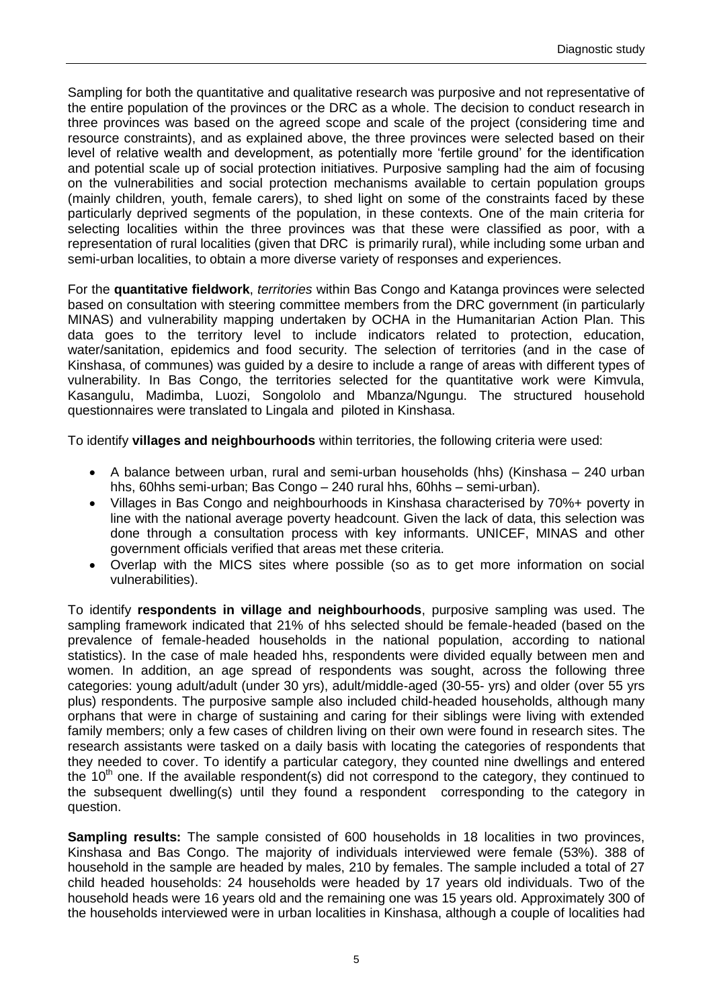Sampling for both the quantitative and qualitative research was purposive and not representative of the entire population of the provinces or the DRC as a whole. The decision to conduct research in three provinces was based on the agreed scope and scale of the project (considering time and resource constraints), and as explained above, the three provinces were selected based on their level of relative wealth and development, as potentially more 'fertile ground' for the identification and potential scale up of social protection initiatives. Purposive sampling had the aim of focusing on the vulnerabilities and social protection mechanisms available to certain population groups (mainly children, youth, female carers), to shed light on some of the constraints faced by these particularly deprived segments of the population, in these contexts. One of the main criteria for selecting localities within the three provinces was that these were classified as poor, with a representation of rural localities (given that DRC is primarily rural), while including some urban and semi-urban localities, to obtain a more diverse variety of responses and experiences.

For the **quantitative fieldwork**, *territories* within Bas Congo and Katanga provinces were selected based on consultation with steering committee members from the DRC government (in particularly MINAS) and vulnerability mapping undertaken by OCHA in the Humanitarian Action Plan. This data goes to the territory level to include indicators related to protection, education, water/sanitation, epidemics and food security. The selection of territories (and in the case of Kinshasa, of communes) was guided by a desire to include a range of areas with different types of vulnerability. In Bas Congo, the territories selected for the quantitative work were Kimvula, Kasangulu, Madimba, Luozi, Songololo and Mbanza/Ngungu. The structured household questionnaires were translated to Lingala and piloted in Kinshasa.

To identify **villages and neighbourhoods** within territories, the following criteria were used:

- A balance between urban, rural and semi-urban households (hhs) (Kinshasa 240 urban hhs, 60hhs semi-urban; Bas Congo – 240 rural hhs, 60hhs – semi-urban).
- Villages in Bas Congo and neighbourhoods in Kinshasa characterised by 70%+ poverty in line with the national average poverty headcount. Given the lack of data, this selection was done through a consultation process with key informants. UNICEF, MINAS and other government officials verified that areas met these criteria.
- Overlap with the MICS sites where possible (so as to get more information on social vulnerabilities).

To identify **respondents in village and neighbourhoods**, purposive sampling was used. The sampling framework indicated that 21% of hhs selected should be female-headed (based on the prevalence of female-headed households in the national population, according to national statistics). In the case of male headed hhs, respondents were divided equally between men and women. In addition, an age spread of respondents was sought, across the following three categories: young adult/adult (under 30 yrs), adult/middle-aged (30-55- yrs) and older (over 55 yrs plus) respondents. The purposive sample also included child-headed households, although many orphans that were in charge of sustaining and caring for their siblings were living with extended family members; only a few cases of children living on their own were found in research sites. The research assistants were tasked on a daily basis with locating the categories of respondents that they needed to cover. To identify a particular category, they counted nine dwellings and entered the  $10<sup>th</sup>$  one. If the available respondent(s) did not correspond to the category, they continued to the subsequent dwelling(s) until they found a respondent corresponding to the category in question.

**Sampling results:** The sample consisted of 600 households in 18 localities in two provinces, Kinshasa and Bas Congo. The majority of individuals interviewed were female (53%). 388 of household in the sample are headed by males, 210 by females. The sample included a total of 27 child headed households: 24 households were headed by 17 years old individuals. Two of the household heads were 16 years old and the remaining one was 15 years old. Approximately 300 of the households interviewed were in urban localities in Kinshasa, although a couple of localities had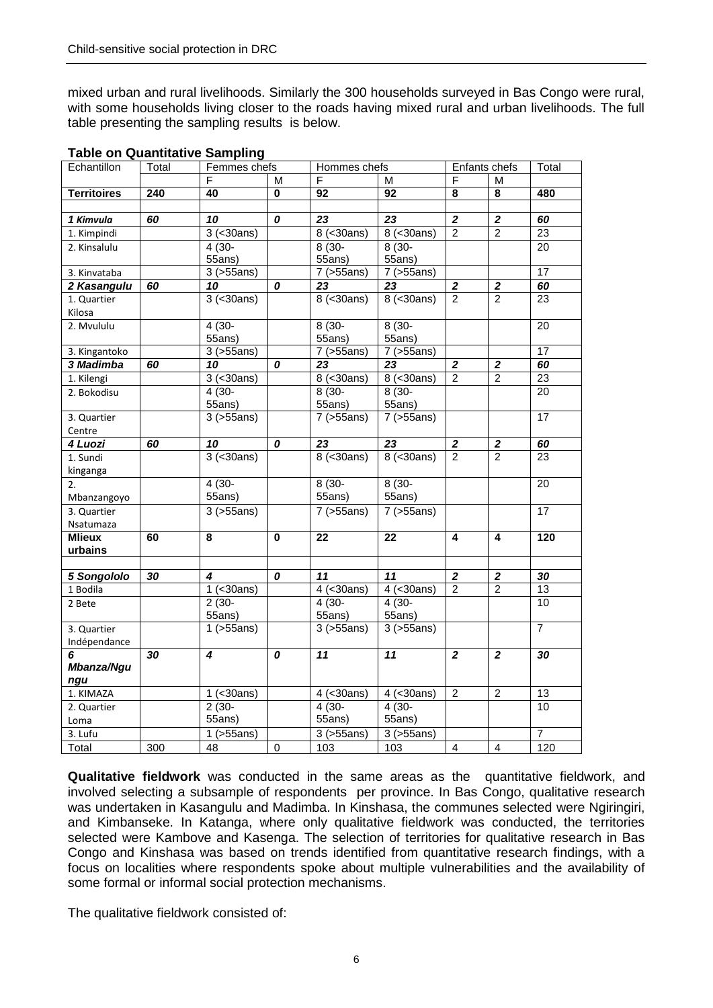mixed urban and rural livelihoods. Similarly the 300 households surveyed in Bas Congo were rural, with some households living closer to the roads having mixed rural and urban livelihoods. The full table presenting the sampling results is below.

| Echantillon        | Total           | Femmes chefs            |                                        | Hommes chefs            |                  | Enfants chefs           |                         | Total           |
|--------------------|-----------------|-------------------------|----------------------------------------|-------------------------|------------------|-------------------------|-------------------------|-----------------|
|                    |                 | F                       | M                                      | F                       | М                | F                       | M                       |                 |
| <b>Territoires</b> | 240             | 40                      | 0                                      | 92                      | 92               | 8                       | 8                       | 480             |
|                    |                 |                         |                                        |                         |                  |                         |                         |                 |
| 1 Kimvula          | 60              | $\overline{10}$         | 0                                      | $\overline{23}$         | $\overline{23}$  | $\overline{2}$          | $\overline{\mathbf{2}}$ | 60              |
| 1. Kimpindi        |                 | $3$ (< 30ans)           |                                        | $8 \overline{(-30ans)}$ | $8$ (<30ans)     | $\sqrt{2}$              | $\overline{c}$          | 23              |
| 2. Kinsalulu       |                 | $4(30-$                 |                                        | $8(30 -$                | $8(30 -$         |                         |                         | 20              |
|                    |                 | 55ans)                  |                                        | $55ans$ )               | $55ans$ )        |                         |                         |                 |
| 3. Kinvataba       |                 | 3(55)                   |                                        | $7$ ( $>55ans$ )        | $7$ ( $>55$ ans) |                         |                         | $\overline{17}$ |
| 2 Kasangulu        | 60              | $\overline{10}$         | 0                                      | $\overline{23}$         | 23               | $\overline{2}$          | $\overline{\mathbf{2}}$ | 60              |
| 1. Quartier        |                 | $3$ (< 30ans)           |                                        | $8$ (< $30ans$ )        | $8$ (< $30ans$ ) | $\overline{2}$          | $\overline{2}$          | $\overline{23}$ |
| Kilosa             |                 |                         |                                        |                         |                  |                         |                         |                 |
| 2. Mvululu         |                 | $4(30 -$                |                                        | $8(30 -$                | $8(30 -$         |                         |                         | $\overline{20}$ |
|                    |                 | 55ans)                  |                                        | 55ans)                  | 55ans)           |                         |                         |                 |
| 3. Kingantoko      |                 | 3 (>55ans)              |                                        | 7 (>55ans)              | 7 (>55ans)       |                         |                         | 17              |
| 3 Madimba          | 60              | 10                      | 0                                      | 23                      | 23               | $\overline{\mathbf{2}}$ | $\boldsymbol{2}$        | 60              |
| 1. Kilengi         |                 | $3$ (< 30ans)           |                                        | $8$ (<30ans)            | $8$ (<30ans)     | $\overline{2}$          | $\overline{2}$          | $\overline{23}$ |
| 2. Bokodisu        |                 | $4(30-$                 |                                        | $8(30 -$                | $8(30 -$         |                         |                         | 20              |
|                    |                 | 55ans)                  |                                        | 55ans)                  | 55ans)           |                         |                         |                 |
| 3. Quartier        |                 | $3$ ( $>55ans$ )        |                                        | $7$ ( $>55$ ans)        | $7$ ( $>55$ ans) |                         |                         | $\overline{17}$ |
| Centre             |                 |                         |                                        |                         |                  |                         |                         |                 |
| 4 Luozi            | 60              | $\overline{10}$         | $\overline{\boldsymbol{\mathfrak{o}}}$ | $\overline{23}$         | $\overline{23}$  | $\boldsymbol{2}$        | $\boldsymbol{2}$        | 60              |
| 1. Sundi           |                 | $3$ (< 30 ans)          |                                        | $8$ (< $30ans$ )        | $8$ (< 30ans)    | $\overline{2}$          | $\overline{2}$          | $\overline{23}$ |
| kinganga           |                 |                         |                                        |                         |                  |                         |                         |                 |
| 2.                 |                 | $4(30 -$                |                                        | $8(30 -$                | $8(30 -$         |                         |                         | 20              |
| Mbanzangoyo        |                 | 55ans)                  |                                        | 55ans)                  | 55ans)           |                         |                         |                 |
| 3. Quartier        |                 | $3$ (>55ans)            |                                        | $7$ ( $>55$ ans)        | 7 (>55ans)       |                         |                         | $\overline{17}$ |
| Nsatumaza          |                 |                         |                                        |                         |                  |                         |                         |                 |
| <b>Mlieux</b>      | 60              | $\overline{\mathbf{8}}$ | $\mathbf{0}$                           | $\overline{22}$         | $\overline{22}$  | 4                       | 4                       | 120             |
| urbains            |                 |                         |                                        |                         |                  |                         |                         |                 |
|                    |                 |                         |                                        |                         |                  |                         |                         |                 |
| 5 Songololo        | 30              | 4                       | 0                                      | $\overline{11}$         | $\overline{11}$  | $\boldsymbol{2}$        | $\boldsymbol{2}$        | 30              |
| 1 Bodila           |                 | $1$ (< 30ans)           |                                        | $4$ (<30ans)            | 4 (<30ans)       | $\overline{2}$          | $\overline{2}$          | 13              |
| 2 Bete             |                 | $2(30-$                 |                                        | $4(30 -$                | $4(30-$          |                         |                         | $\overline{10}$ |
|                    |                 | 55ans)                  |                                        | 55ans)                  | 55ans)           |                         |                         |                 |
| 3. Quartier        |                 | $1$ ( $>55ans$ )        |                                        | $3$ ( $>55$ ans)        | $3$ ( $>55ans$ ) |                         |                         | $\overline{7}$  |
| Indépendance       |                 |                         |                                        |                         |                  |                         |                         |                 |
| 6                  | $\overline{30}$ | 4                       | 0                                      | 11                      | 11               | $\mathbf{2}$            | $\mathbf{2}$            | $\overline{30}$ |
| Mbanza/Ngu         |                 |                         |                                        |                         |                  |                         |                         |                 |
| ngu                |                 |                         |                                        |                         |                  |                         |                         |                 |
| 1. KIMAZA          |                 | 1 $(30ans)$             |                                        | $4$ (<30ans)            | $4$ (<30ans)     | $\sqrt{2}$              | $\boldsymbol{2}$        | 13              |
| 2. Quartier        |                 | $2(30-$                 |                                        | $4(30 -$                | $4(30 -$         |                         |                         | $\overline{10}$ |
| Loma               |                 | 55ans)                  |                                        | 55ans)                  | 55ans)           |                         |                         |                 |
| 3. Lufu            |                 | $1$ ( $>55ans$ )        |                                        | $3$ ( $>55ans$ )        | $3$ ( $>55$ ans) |                         |                         | 7               |
| Total              | 300             | 48                      | 0                                      | 103                     | 103              | $\overline{4}$          | 4                       | 120             |

### **Table on Quantitative Sampling**

**Qualitative fieldwork** was conducted in the same areas as the quantitative fieldwork, and involved selecting a subsample of respondents per province. In Bas Congo, qualitative research was undertaken in Kasangulu and Madimba. In Kinshasa, the communes selected were Ngiringiri, and Kimbanseke. In Katanga, where only qualitative fieldwork was conducted, the territories selected were Kambove and Kasenga. The selection of territories for qualitative research in Bas Congo and Kinshasa was based on trends identified from quantitative research findings, with a focus on localities where respondents spoke about multiple vulnerabilities and the availability of some formal or informal social protection mechanisms.

The qualitative fieldwork consisted of: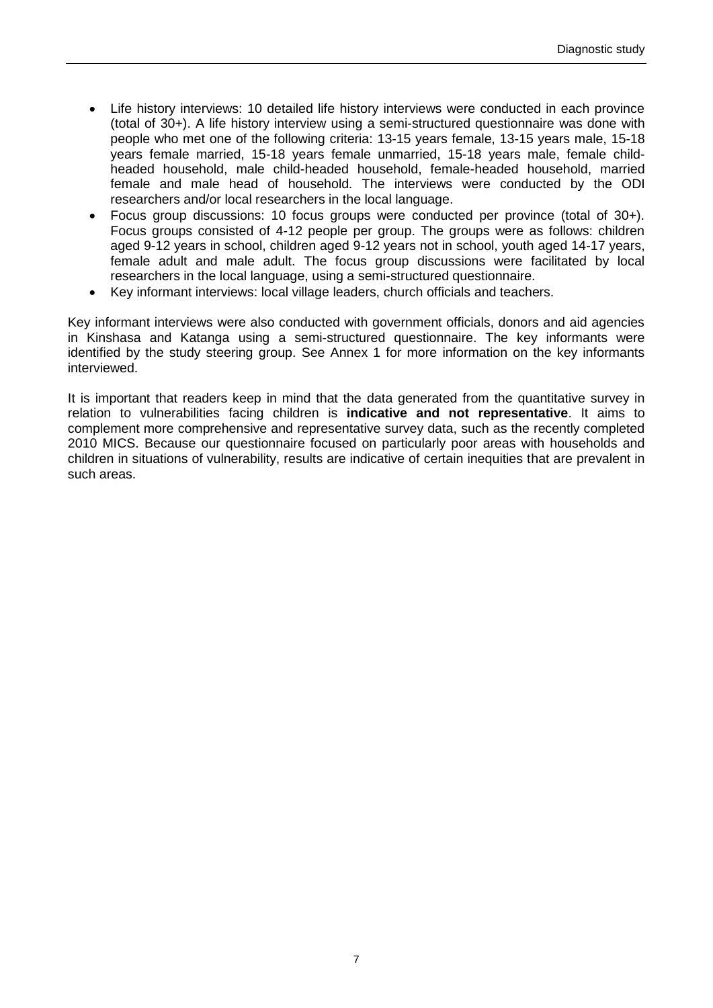- Life history interviews: 10 detailed life history interviews were conducted in each province (total of 30+). A life history interview using a semi-structured questionnaire was done with people who met one of the following criteria: 13-15 years female, 13-15 years male, 15-18 years female married, 15-18 years female unmarried, 15-18 years male, female childheaded household, male child-headed household, female-headed household, married female and male head of household. The interviews were conducted by the ODI researchers and/or local researchers in the local language.
- Focus group discussions: 10 focus groups were conducted per province (total of 30+). Focus groups consisted of 4-12 people per group. The groups were as follows: children aged 9-12 years in school, children aged 9-12 years not in school, youth aged 14-17 years, female adult and male adult. The focus group discussions were facilitated by local researchers in the local language, using a semi-structured questionnaire.
- Key informant interviews: local village leaders, church officials and teachers.

Key informant interviews were also conducted with government officials, donors and aid agencies in Kinshasa and Katanga using a semi-structured questionnaire. The key informants were identified by the study steering group. See Annex 1 for more information on the key informants interviewed.

It is important that readers keep in mind that the data generated from the quantitative survey in relation to vulnerabilities facing children is **indicative and not representative**. It aims to complement more comprehensive and representative survey data, such as the recently completed 2010 MICS. Because our questionnaire focused on particularly poor areas with households and children in situations of vulnerability, results are indicative of certain inequities that are prevalent in such areas.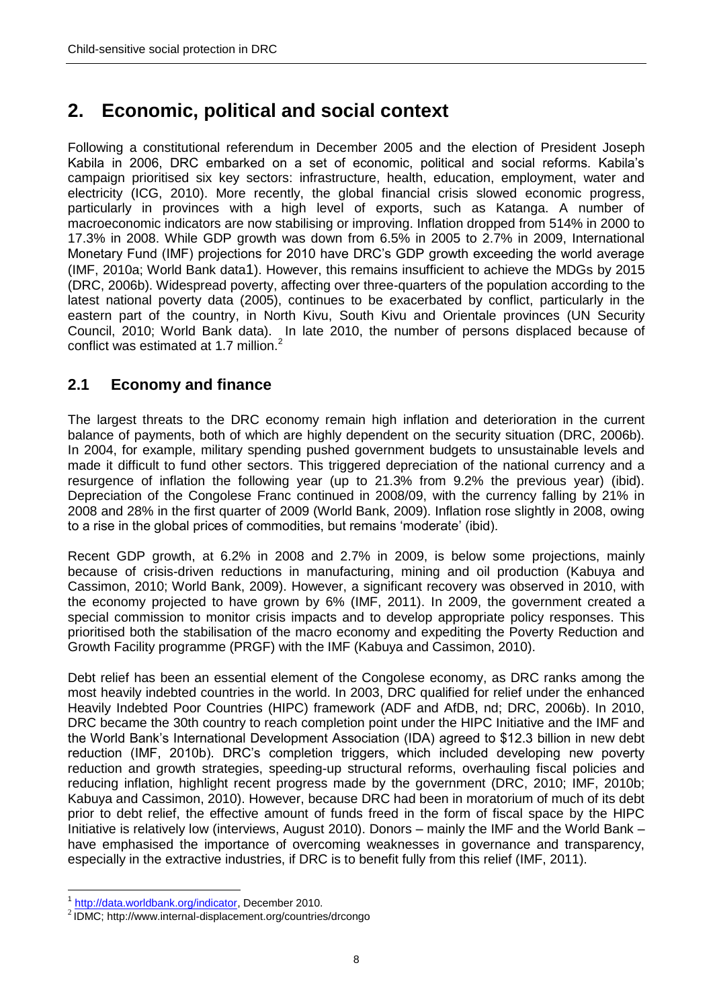# <span id="page-19-0"></span>**2. Economic, political and social context**

Following a constitutional referendum in December 2005 and the election of President Joseph Kabila in 2006, DRC embarked on a set of economic, political and social reforms. Kabila's campaign prioritised six key sectors: infrastructure, health, education, employment, water and electricity (ICG, 2010). More recently, the global financial crisis slowed economic progress, particularly in provinces with a high level of exports, such as Katanga. A number of macroeconomic indicators are now stabilising or improving. Inflation dropped from 514% in 2000 to 17.3% in 2008. While GDP growth was down from 6.5% in 2005 to 2.7% in 2009, International Monetary Fund (IMF) projections for 2010 have DRC's GDP growth exceeding the world average (IMF, 2010a; World Bank data1). However, this remains insufficient to achieve the MDGs by 2015 (DRC, 2006b). Widespread poverty, affecting over three-quarters of the population according to the latest national poverty data (2005), continues to be exacerbated by conflict, particularly in the eastern part of the country, in North Kivu, South Kivu and Orientale provinces (UN Security Council, 2010; World Bank data). In late 2010, the number of persons displaced because of conflict was estimated at 1.7 million.<sup>2</sup>

## <span id="page-19-1"></span>**2.1 Economy and finance**

The largest threats to the DRC economy remain high inflation and deterioration in the current balance of payments, both of which are highly dependent on the security situation (DRC, 2006b). In 2004, for example, military spending pushed government budgets to unsustainable levels and made it difficult to fund other sectors. This triggered depreciation of the national currency and a resurgence of inflation the following year (up to 21.3% from 9.2% the previous year) (ibid). Depreciation of the Congolese Franc continued in 2008/09, with the currency falling by 21% in 2008 and 28% in the first quarter of 2009 (World Bank, 2009). Inflation rose slightly in 2008, owing to a rise in the global prices of commodities, but remains 'moderate' (ibid).

Recent GDP growth, at 6.2% in 2008 and 2.7% in 2009, is below some projections, mainly because of crisis-driven reductions in manufacturing, mining and oil production (Kabuya and Cassimon, 2010; World Bank, 2009). However, a significant recovery was observed in 2010, with the economy projected to have grown by 6% (IMF, 2011). In 2009, the government created a special commission to monitor crisis impacts and to develop appropriate policy responses. This prioritised both the stabilisation of the macro economy and expediting the Poverty Reduction and Growth Facility programme (PRGF) with the IMF (Kabuya and Cassimon, 2010).

Debt relief has been an essential element of the Congolese economy, as DRC ranks among the most heavily indebted countries in the world. In 2003, DRC qualified for relief under the enhanced Heavily Indebted Poor Countries (HIPC) framework (ADF and AfDB, nd; DRC, 2006b). In 2010, DRC became the 30th country to reach completion point under the HIPC Initiative and the IMF and the World Bank's International Development Association (IDA) agreed to \$12.3 billion in new debt reduction (IMF, 2010b). DRC's completion triggers, which included developing new poverty reduction and growth strategies, speeding-up structural reforms, overhauling fiscal policies and reducing inflation, highlight recent progress made by the government (DRC, 2010; IMF, 2010b; Kabuya and Cassimon, 2010). However, because DRC had been in moratorium of much of its debt prior to debt relief, the effective amount of funds freed in the form of fiscal space by the HIPC Initiative is relatively low (interviews, August 2010). Donors – mainly the IMF and the World Bank – have emphasised the importance of overcoming weaknesses in governance and transparency, especially in the extractive industries, if DRC is to benefit fully from this relief (IMF, 2011).

<sup>&</sup>lt;u>.</u> <sup>1</sup> [http://data.worldbank.org/indicator,](http://data.worldbank.org/indicator) December 2010.

<sup>2</sup> IDMC; http://www.internal-displacement.org/countries/drcongo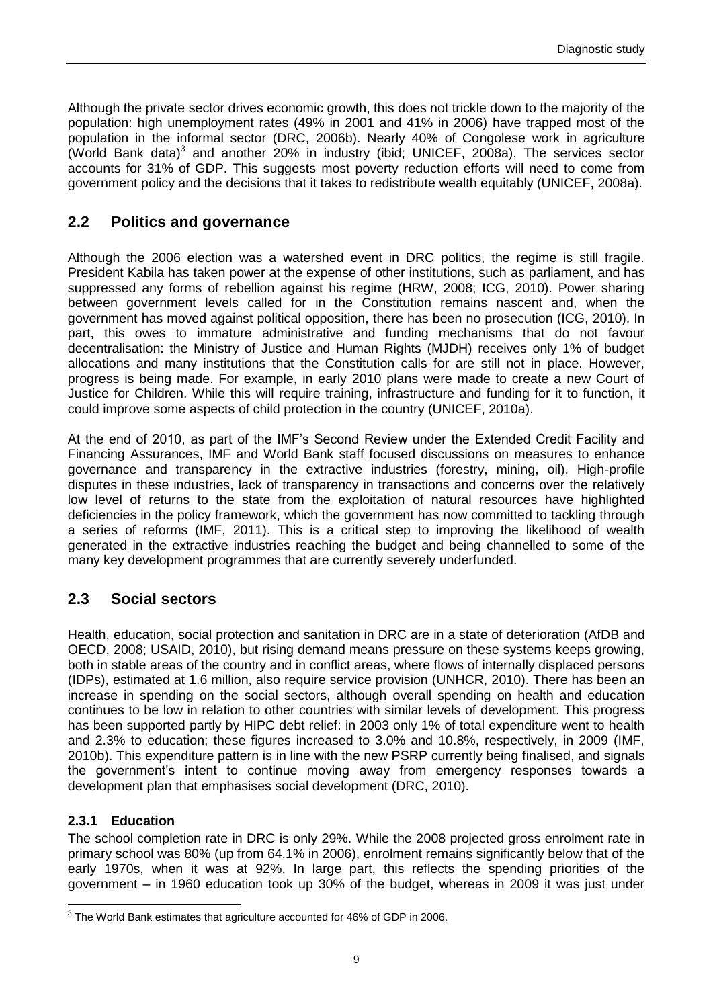Although the private sector drives economic growth, this does not trickle down to the majority of the population: high unemployment rates (49% in 2001 and 41% in 2006) have trapped most of the population in the informal sector (DRC, 2006b). Nearly 40% of Congolese work in agriculture (World Bank data)<sup>3</sup> and another 20% in industry (ibid; UNICEF, 2008a). The services sector accounts for 31% of GDP. This suggests most poverty reduction efforts will need to come from government policy and the decisions that it takes to redistribute wealth equitably (UNICEF, 2008a).

# <span id="page-20-0"></span>**2.2 Politics and governance**

Although the 2006 election was a watershed event in DRC politics, the regime is still fragile. President Kabila has taken power at the expense of other institutions, such as parliament, and has suppressed any forms of rebellion against his regime (HRW, 2008; ICG, 2010). Power sharing between government levels called for in the Constitution remains nascent and, when the government has moved against political opposition, there has been no prosecution (ICG, 2010). In part, this owes to immature administrative and funding mechanisms that do not favour decentralisation: the Ministry of Justice and Human Rights (MJDH) receives only 1% of budget allocations and many institutions that the Constitution calls for are still not in place. However, progress is being made. For example, in early 2010 plans were made to create a new Court of Justice for Children. While this will require training, infrastructure and funding for it to function, it could improve some aspects of child protection in the country (UNICEF, 2010a).

At the end of 2010, as part of the IMF's Second Review under the Extended Credit Facility and Financing Assurances, IMF and World Bank staff focused discussions on measures to enhance governance and transparency in the extractive industries (forestry, mining, oil). High-profile disputes in these industries, lack of transparency in transactions and concerns over the relatively low level of returns to the state from the exploitation of natural resources have highlighted deficiencies in the policy framework, which the government has now committed to tackling through a series of reforms (IMF, 2011). This is a critical step to improving the likelihood of wealth generated in the extractive industries reaching the budget and being channelled to some of the many key development programmes that are currently severely underfunded.

## <span id="page-20-1"></span>**2.3 Social sectors**

Health, education, social protection and sanitation in DRC are in a state of deterioration (AfDB and OECD, 2008; USAID, 2010), but rising demand means pressure on these systems keeps growing, both in stable areas of the country and in conflict areas, where flows of internally displaced persons (IDPs), estimated at 1.6 million, also require service provision (UNHCR, 2010). There has been an increase in spending on the social sectors, although overall spending on health and education continues to be low in relation to other countries with similar levels of development. This progress has been supported partly by HIPC debt relief: in 2003 only 1% of total expenditure went to health and 2.3% to education; these figures increased to 3.0% and 10.8%, respectively, in 2009 (IMF, 2010b). This expenditure pattern is in line with the new PSRP currently being finalised, and signals the government's intent to continue moving away from emergency responses towards a development plan that emphasises social development (DRC, 2010).

## <span id="page-20-2"></span>**2.3.1 Education**

The school completion rate in DRC is only 29%. While the 2008 projected gross enrolment rate in primary school was 80% (up from 64.1% in 2006), enrolment remains significantly below that of the early 1970s, when it was at 92%. In large part, this reflects the spending priorities of the government – in 1960 education took up 30% of the budget, whereas in 2009 it was just under

<sup>1</sup>  $3$  The World Bank estimates that agriculture accounted for 46% of GDP in 2006.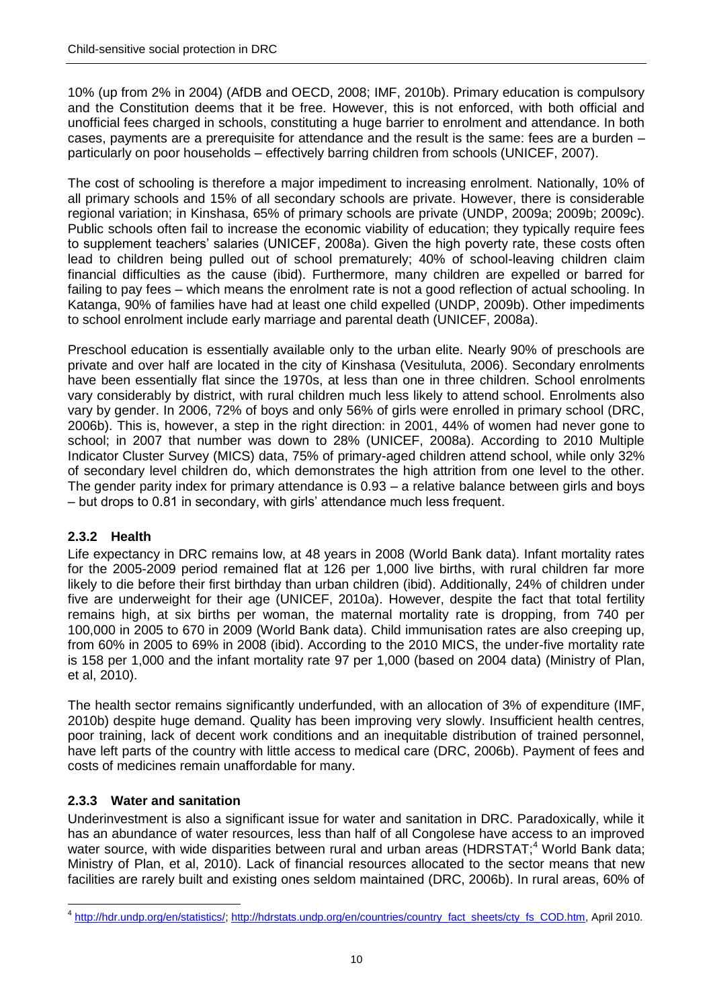10% (up from 2% in 2004) (AfDB and OECD, 2008; IMF, 2010b). Primary education is compulsory and the Constitution deems that it be free. However, this is not enforced, with both official and unofficial fees charged in schools, constituting a huge barrier to enrolment and attendance. In both cases, payments are a prerequisite for attendance and the result is the same: fees are a burden – particularly on poor households – effectively barring children from schools (UNICEF, 2007).

The cost of schooling is therefore a major impediment to increasing enrolment. Nationally, 10% of all primary schools and 15% of all secondary schools are private. However, there is considerable regional variation; in Kinshasa, 65% of primary schools are private (UNDP, 2009a; 2009b; 2009c). Public schools often fail to increase the economic viability of education; they typically require fees to supplement teachers' salaries (UNICEF, 2008a). Given the high poverty rate, these costs often lead to children being pulled out of school prematurely; 40% of school-leaving children claim financial difficulties as the cause (ibid). Furthermore, many children are expelled or barred for failing to pay fees – which means the enrolment rate is not a good reflection of actual schooling. In Katanga, 90% of families have had at least one child expelled (UNDP, 2009b). Other impediments to school enrolment include early marriage and parental death (UNICEF, 2008a).

Preschool education is essentially available only to the urban elite. Nearly 90% of preschools are private and over half are located in the city of Kinshasa (Vesituluta, 2006). Secondary enrolments have been essentially flat since the 1970s, at less than one in three children. School enrolments vary considerably by district, with rural children much less likely to attend school. Enrolments also vary by gender. In 2006, 72% of boys and only 56% of girls were enrolled in primary school (DRC, 2006b). This is, however, a step in the right direction: in 2001, 44% of women had never gone to school; in 2007 that number was down to 28% (UNICEF, 2008a). According to 2010 Multiple Indicator Cluster Survey (MICS) data, 75% of primary-aged children attend school, while only 32% of secondary level children do, which demonstrates the high attrition from one level to the other. The gender parity index for primary attendance is 0.93 – a relative balance between girls and boys – but drops to 0.81 in secondary, with girls' attendance much less frequent.

### <span id="page-21-0"></span>**2.3.2 Health**

Life expectancy in DRC remains low, at 48 years in 2008 (World Bank data). Infant mortality rates for the 2005-2009 period remained flat at 126 per 1,000 live births, with rural children far more likely to die before their first birthday than urban children (ibid). Additionally, 24% of children under five are underweight for their age (UNICEF, 2010a). However, despite the fact that total fertility remains high, at six births per woman, the maternal mortality rate is dropping, from 740 per 100,000 in 2005 to 670 in 2009 (World Bank data). Child immunisation rates are also creeping up, from 60% in 2005 to 69% in 2008 (ibid). According to the 2010 MICS, the under-five mortality rate is 158 per 1,000 and the infant mortality rate 97 per 1,000 (based on 2004 data) (Ministry of Plan, et al, 2010).

The health sector remains significantly underfunded, with an allocation of 3% of expenditure (IMF, 2010b) despite huge demand. Quality has been improving very slowly. Insufficient health centres, poor training, lack of decent work conditions and an inequitable distribution of trained personnel, have left parts of the country with little access to medical care (DRC, 2006b). Payment of fees and costs of medicines remain unaffordable for many.

### <span id="page-21-1"></span>**2.3.3 Water and sanitation**

Underinvestment is also a significant issue for water and sanitation in DRC. Paradoxically, while it has an abundance of water resources, less than half of all Congolese have access to an improved water source, with wide disparities between rural and urban areas (HDRSTAT;<sup>4</sup> World Bank data; Ministry of Plan, et al, 2010). Lack of financial resources allocated to the sector means that new facilities are rarely built and existing ones seldom maintained (DRC, 2006b). In rural areas, 60% of

 4 [http://hdr.undp.org/en/statistics/;](http://hdr.undp.org/en/statistics/) [http://hdrstats.undp.org/en/countries/country\\_fact\\_sheets/cty\\_fs\\_COD.htm,](http://hdrstats.undp.org/en/countries/country_fact_sheets/cty_fs_COD.html) April 2010.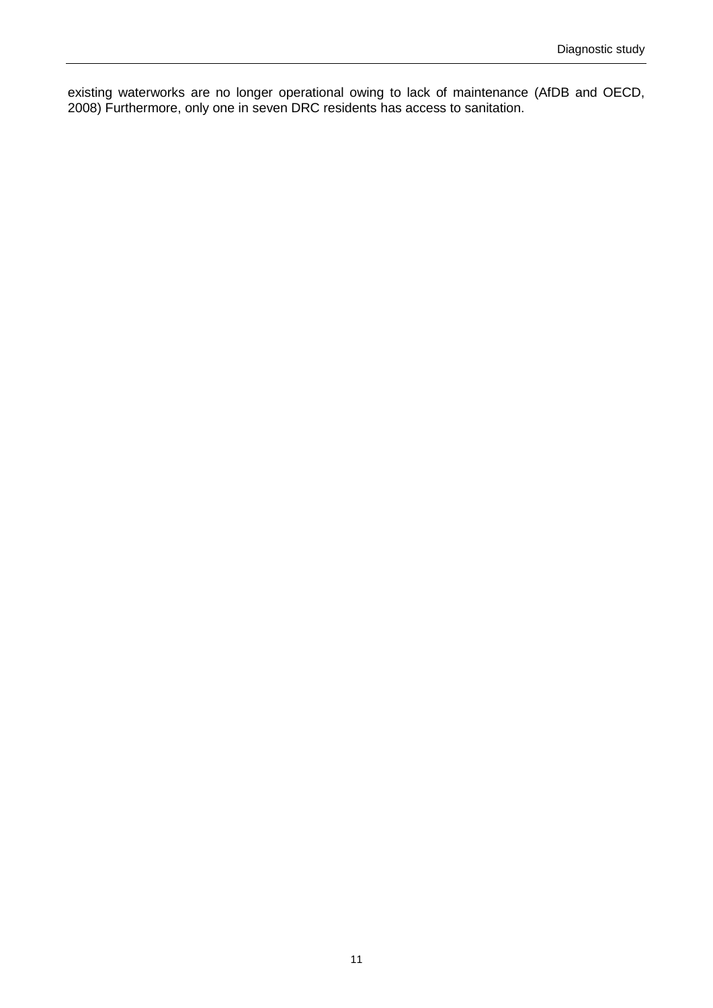existing waterworks are no longer operational owing to lack of maintenance (AfDB and OECD, 2008) Furthermore, only one in seven DRC residents has access to sanitation.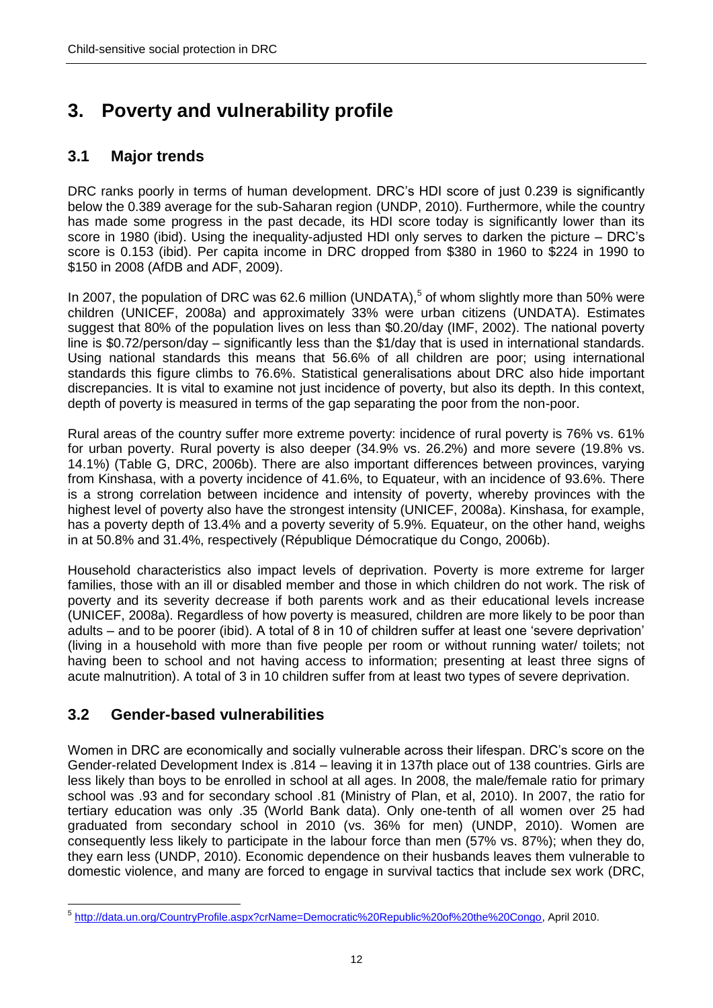# <span id="page-23-0"></span>**3. Poverty and vulnerability profile**

## <span id="page-23-1"></span>**3.1 Major trends**

DRC ranks poorly in terms of human development. DRC's HDI score of just 0.239 is significantly below the 0.389 average for the sub-Saharan region (UNDP, 2010). Furthermore, while the country has made some progress in the past decade, its HDI score today is significantly lower than its score in 1980 (ibid). Using the inequality-adjusted HDI only serves to darken the picture – DRC's score is 0.153 (ibid). Per capita income in DRC dropped from \$380 in 1960 to \$224 in 1990 to \$150 in 2008 (AfDB and ADF, 2009).

In 2007, the population of DRC was 62.6 million (UNDATA),<sup>5</sup> of whom slightly more than 50% were children (UNICEF, 2008a) and approximately 33% were urban citizens (UNDATA). Estimates suggest that 80% of the population lives on less than \$0.20/day (IMF, 2002). The national poverty line is \$0.72/person/day – significantly less than the \$1/day that is used in international standards. Using national standards this means that 56.6% of all children are poor; using international standards this figure climbs to 76.6%. Statistical generalisations about DRC also hide important discrepancies. It is vital to examine not just incidence of poverty, but also its depth. In this context, depth of poverty is measured in terms of the gap separating the poor from the non-poor.

Rural areas of the country suffer more extreme poverty: incidence of rural poverty is 76% vs. 61% for urban poverty. Rural poverty is also deeper (34.9% vs. 26.2%) and more severe (19.8% vs. 14.1%) (Table G, DRC, 2006b). There are also important differences between provinces, varying from Kinshasa, with a poverty incidence of 41.6%, to Equateur, with an incidence of 93.6%. There is a strong correlation between incidence and intensity of poverty, whereby provinces with the highest level of poverty also have the strongest intensity (UNICEF, 2008a). Kinshasa, for example, has a poverty depth of 13.4% and a poverty severity of 5.9%. Equateur, on the other hand, weighs in at 50.8% and 31.4%, respectively (République Démocratique du Congo, 2006b).

Household characteristics also impact levels of deprivation. Poverty is more extreme for larger families, those with an ill or disabled member and those in which children do not work. The risk of poverty and its severity decrease if both parents work and as their educational levels increase (UNICEF, 2008a). Regardless of how poverty is measured, children are more likely to be poor than adults – and to be poorer (ibid). A total of 8 in 10 of children suffer at least one 'severe deprivation' (living in a household with more than five people per room or without running water/ toilets; not having been to school and not having access to information; presenting at least three signs of acute malnutrition). A total of 3 in 10 children suffer from at least two types of severe deprivation.

## <span id="page-23-2"></span>**3.2 Gender-based vulnerabilities**

Women in DRC are economically and socially vulnerable across their lifespan. DRC's score on the Gender-related Development Index is .814 – leaving it in 137th place out of 138 countries. Girls are less likely than boys to be enrolled in school at all ages. In 2008, the male/female ratio for primary school was .93 and for secondary school .81 (Ministry of Plan, et al, 2010). In 2007, the ratio for tertiary education was only .35 (World Bank data). Only one-tenth of all women over 25 had graduated from secondary school in 2010 (vs. 36% for men) (UNDP, 2010). Women are consequently less likely to participate in the labour force than men (57% vs. 87%); when they do, they earn less (UNDP, 2010). Economic dependence on their husbands leaves them vulnerable to domestic violence, and many are forced to engage in survival tactics that include sex work (DRC,

 5 [http://data.un.org/CountryProfile.aspx?crName=Democratic%20Republic%20of%20the%20Congo,](http://data.un.org/CountryProfile.aspx?crName=Democratic%20Republic%20of%20the%20Congo) April 2010.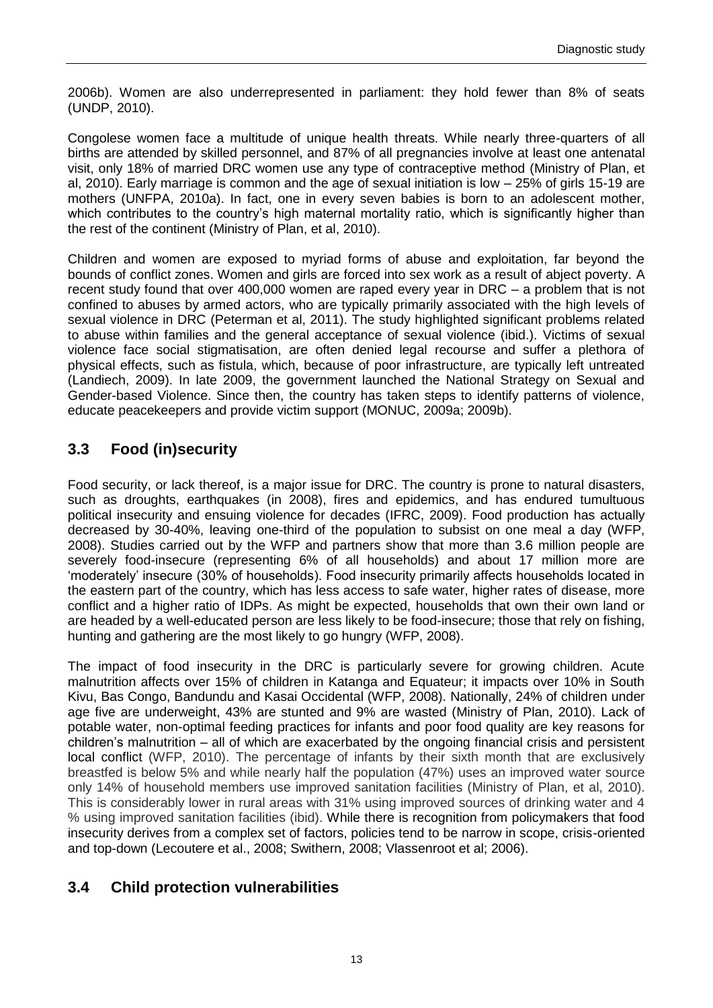2006b). Women are also underrepresented in parliament: they hold fewer than 8% of seats (UNDP, 2010).

Congolese women face a multitude of unique health threats. While nearly three-quarters of all births are attended by skilled personnel, and 87% of all pregnancies involve at least one antenatal visit, only 18% of married DRC women use any type of contraceptive method (Ministry of Plan, et al, 2010). Early marriage is common and the age of sexual initiation is low – 25% of girls 15-19 are mothers (UNFPA, 2010a). In fact, one in every seven babies is born to an adolescent mother, which contributes to the country's high maternal mortality ratio, which is significantly higher than the rest of the continent (Ministry of Plan, et al, 2010).

Children and women are exposed to myriad forms of abuse and exploitation, far beyond the bounds of conflict zones. Women and girls are forced into sex work as a result of abject poverty. A recent study found that over 400,000 women are raped every year in DRC – a problem that is not confined to abuses by armed actors, who are typically primarily associated with the high levels of sexual violence in DRC (Peterman et al, 2011). The study highlighted significant problems related to abuse within families and the general acceptance of sexual violence (ibid.). Victims of sexual violence face social stigmatisation, are often denied legal recourse and suffer a plethora of physical effects, such as fistula, which, because of poor infrastructure, are typically left untreated (Landiech, 2009). In late 2009, the government launched the National Strategy on Sexual and Gender-based Violence. Since then, the country has taken steps to identify patterns of violence, educate peacekeepers and provide victim support (MONUC, 2009a; 2009b).

# <span id="page-24-0"></span>**3.3 Food (in)security**

Food security, or lack thereof, is a major issue for DRC. The country is prone to natural disasters, such as droughts, earthquakes (in 2008), fires and epidemics, and has endured tumultuous political insecurity and ensuing violence for decades (IFRC, 2009). Food production has actually decreased by 30-40%, leaving one-third of the population to subsist on one meal a day (WFP, 2008). Studies carried out by the WFP and partners show that more than 3.6 million people are severely food-insecure (representing 6% of all households) and about 17 million more are 'moderately' insecure (30% of households). Food insecurity primarily affects households located in the eastern part of the country, which has less access to safe water, higher rates of disease, more conflict and a higher ratio of IDPs. As might be expected, households that own their own land or are headed by a well-educated person are less likely to be food-insecure; those that rely on fishing, hunting and gathering are the most likely to go hungry (WFP, 2008).

The impact of food insecurity in the DRC is particularly severe for growing children. Acute malnutrition affects over 15% of children in Katanga and Equateur; it impacts over 10% in South Kivu, Bas Congo, Bandundu and Kasai Occidental (WFP, 2008). Nationally, 24% of children under age five are underweight, 43% are stunted and 9% are wasted (Ministry of Plan, 2010). Lack of potable water, non-optimal feeding practices for infants and poor food quality are key reasons for children's malnutrition – all of which are exacerbated by the ongoing financial crisis and persistent local conflict (WFP, 2010). The percentage of infants by their sixth month that are exclusively breastfed is below 5% and while nearly half the population (47%) uses an improved water source only 14% of household members use improved sanitation facilities (Ministry of Plan, et al, 2010). This is considerably lower in rural areas with 31% using improved sources of drinking water and 4 % using improved sanitation facilities (ibid). While there is recognition from policymakers that food insecurity derives from a complex set of factors, policies tend to be narrow in scope, crisis-oriented and top-down (Lecoutere et al., 2008; Swithern, 2008; Vlassenroot et al; 2006).

## <span id="page-24-1"></span>**3.4 Child protection vulnerabilities**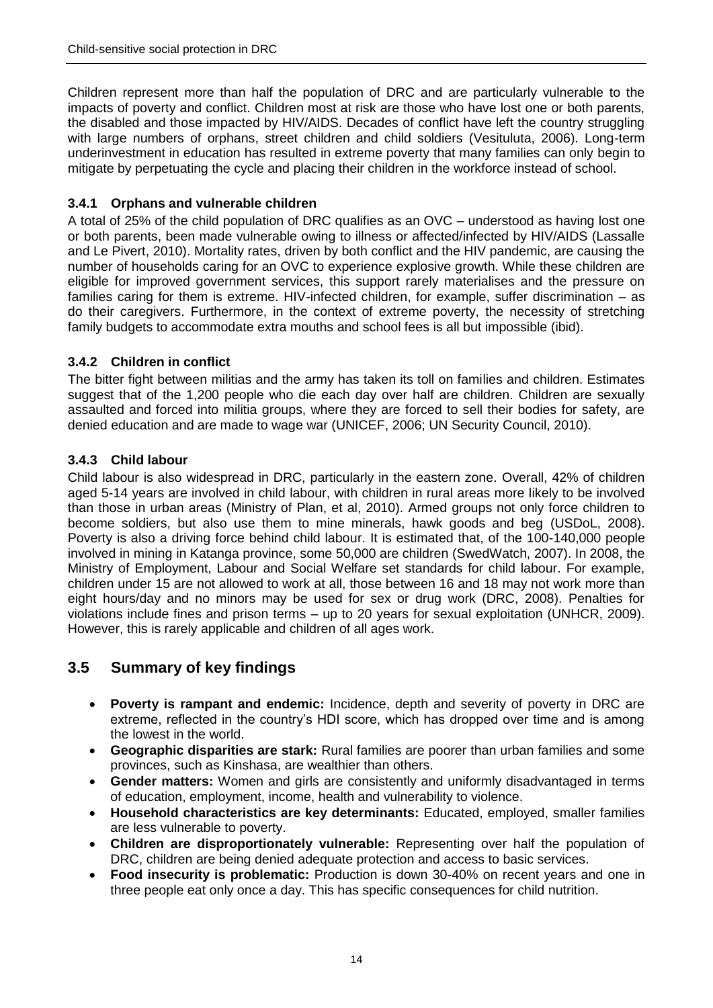Children represent more than half the population of DRC and are particularly vulnerable to the impacts of poverty and conflict. Children most at risk are those who have lost one or both parents, the disabled and those impacted by HIV/AIDS. Decades of conflict have left the country struggling with large numbers of orphans, street children and child soldiers (Vesituluta, 2006). Long-term underinvestment in education has resulted in extreme poverty that many families can only begin to mitigate by perpetuating the cycle and placing their children in the workforce instead of school.

## <span id="page-25-0"></span>**3.4.1 Orphans and vulnerable children**

A total of 25% of the child population of DRC qualifies as an OVC – understood as having lost one or both parents, been made vulnerable owing to illness or affected/infected by HIV/AIDS (Lassalle and Le Pivert, 2010). Mortality rates, driven by both conflict and the HIV pandemic, are causing the number of households caring for an OVC to experience explosive growth. While these children are eligible for improved government services, this support rarely materialises and the pressure on families caring for them is extreme. HIV-infected children, for example, suffer discrimination – as do their caregivers. Furthermore, in the context of extreme poverty, the necessity of stretching family budgets to accommodate extra mouths and school fees is all but impossible (ibid).

## <span id="page-25-1"></span>**3.4.2 Children in conflict**

The bitter fight between militias and the army has taken its toll on families and children. Estimates suggest that of the 1,200 people who die each day over half are children. Children are sexually assaulted and forced into militia groups, where they are forced to sell their bodies for safety, are denied education and are made to wage war (UNICEF, 2006; UN Security Council, 2010).

## <span id="page-25-2"></span>**3.4.3 Child labour**

Child labour is also widespread in DRC, particularly in the eastern zone. Overall, 42% of children aged 5-14 years are involved in child labour, with children in rural areas more likely to be involved than those in urban areas (Ministry of Plan, et al, 2010). Armed groups not only force children to become soldiers, but also use them to mine minerals, hawk goods and beg (USDoL, 2008). Poverty is also a driving force behind child labour. It is estimated that, of the 100-140,000 people involved in mining in Katanga province, some 50,000 are children (SwedWatch, 2007). In 2008, the Ministry of Employment, Labour and Social Welfare set standards for child labour. For example, children under 15 are not allowed to work at all, those between 16 and 18 may not work more than eight hours/day and no minors may be used for sex or drug work (DRC, 2008). Penalties for violations include fines and prison terms – up to 20 years for sexual exploitation (UNHCR, 2009). However, this is rarely applicable and children of all ages work.

# <span id="page-25-3"></span>**3.5 Summary of key findings**

- **Poverty is rampant and endemic:** Incidence, depth and severity of poverty in DRC are extreme, reflected in the country's HDI score, which has dropped over time and is among the lowest in the world.
- **Geographic disparities are stark:** Rural families are poorer than urban families and some provinces, such as Kinshasa, are wealthier than others.
- **Gender matters:** Women and girls are consistently and uniformly disadvantaged in terms of education, employment, income, health and vulnerability to violence.
- **Household characteristics are key determinants:** Educated, employed, smaller families are less vulnerable to poverty.
- **Children are disproportionately vulnerable:** Representing over half the population of DRC, children are being denied adequate protection and access to basic services.
- **Food insecurity is problematic:** Production is down 30-40% on recent years and one in three people eat only once a day. This has specific consequences for child nutrition.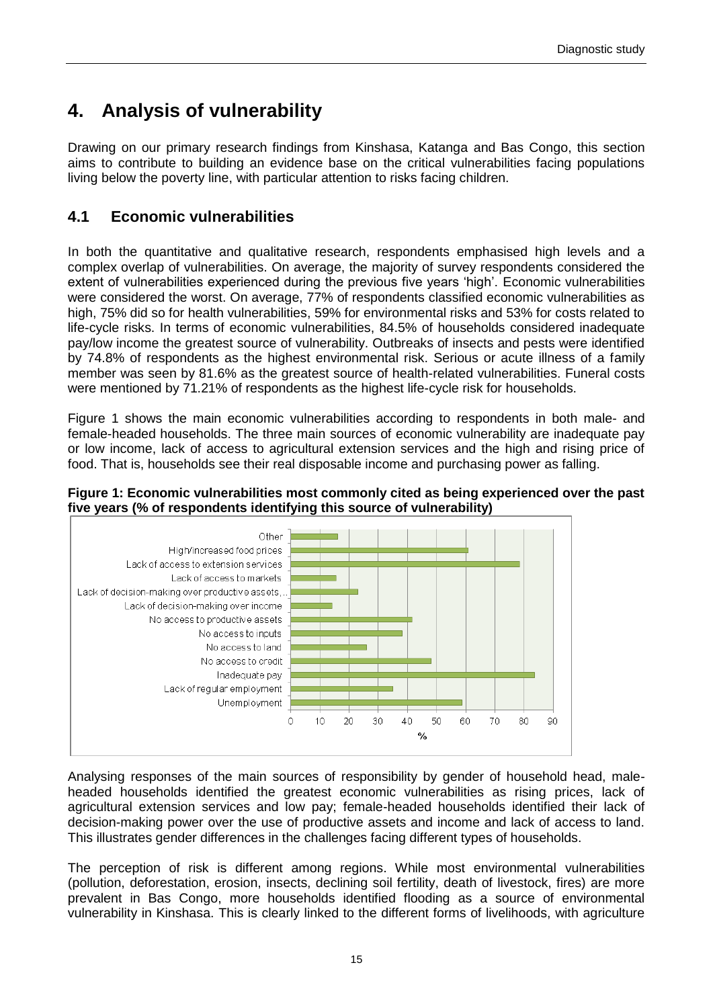# <span id="page-26-0"></span>**4. Analysis of vulnerability**

Drawing on our primary research findings from Kinshasa, Katanga and Bas Congo, this section aims to contribute to building an evidence base on the critical vulnerabilities facing populations living below the poverty line, with particular attention to risks facing children.

## <span id="page-26-1"></span>**4.1 Economic vulnerabilities**

In both the quantitative and qualitative research, respondents emphasised high levels and a complex overlap of vulnerabilities. On average, the majority of survey respondents considered the extent of vulnerabilities experienced during the previous five years 'high'. Economic vulnerabilities were considered the worst. On average, 77% of respondents classified economic vulnerabilities as high, 75% did so for health vulnerabilities, 59% for environmental risks and 53% for costs related to life-cycle risks. In terms of economic vulnerabilities, 84.5% of households considered inadequate pay/low income the greatest source of vulnerability. Outbreaks of insects and pests were identified by 74.8% of respondents as the highest environmental risk. Serious or acute illness of a family member was seen by 81.6% as the greatest source of health-related vulnerabilities. Funeral costs were mentioned by 71.21% of respondents as the highest life-cycle risk for households.

Figure 1 shows the main economic vulnerabilities according to respondents in both male- and female-headed households. The three main sources of economic vulnerability are inadequate pay or low income, lack of access to agricultural extension services and the high and rising price of food. That is, households see their real disposable income and purchasing power as falling.

### <span id="page-26-2"></span>**Figure 1: Economic vulnerabilities most commonly cited as being experienced over the past five years (% of respondents identifying this source of vulnerability)**



Analysing responses of the main sources of responsibility by gender of household head, maleheaded households identified the greatest economic vulnerabilities as rising prices, lack of agricultural extension services and low pay; female-headed households identified their lack of decision-making power over the use of productive assets and income and lack of access to land. This illustrates gender differences in the challenges facing different types of households.

The perception of risk is different among regions. While most environmental vulnerabilities (pollution, deforestation, erosion, insects, declining soil fertility, death of livestock, fires) are more prevalent in Bas Congo, more households identified flooding as a source of environmental vulnerability in Kinshasa. This is clearly linked to the different forms of livelihoods, with agriculture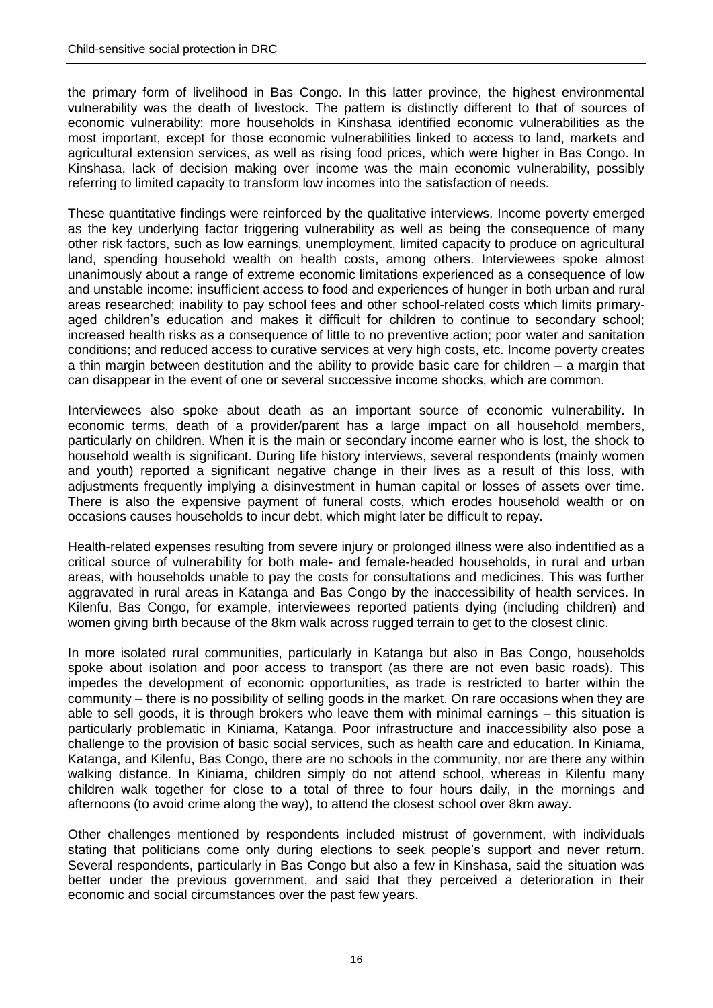the primary form of livelihood in Bas Congo. In this latter province, the highest environmental vulnerability was the death of livestock. The pattern is distinctly different to that of sources of economic vulnerability: more households in Kinshasa identified economic vulnerabilities as the most important, except for those economic vulnerabilities linked to access to land, markets and agricultural extension services, as well as rising food prices, which were higher in Bas Congo. In Kinshasa, lack of decision making over income was the main economic vulnerability, possibly referring to limited capacity to transform low incomes into the satisfaction of needs.

These quantitative findings were reinforced by the qualitative interviews. Income poverty emerged as the key underlying factor triggering vulnerability as well as being the consequence of many other risk factors, such as low earnings, unemployment, limited capacity to produce on agricultural land, spending household wealth on health costs, among others. Interviewees spoke almost unanimously about a range of extreme economic limitations experienced as a consequence of low and unstable income: insufficient access to food and experiences of hunger in both urban and rural areas researched; inability to pay school fees and other school-related costs which limits primaryaged children's education and makes it difficult for children to continue to secondary school; increased health risks as a consequence of little to no preventive action; poor water and sanitation conditions; and reduced access to curative services at very high costs, etc. Income poverty creates a thin margin between destitution and the ability to provide basic care for children – a margin that can disappear in the event of one or several successive income shocks, which are common.

Interviewees also spoke about death as an important source of economic vulnerability. In economic terms, death of a provider/parent has a large impact on all household members, particularly on children. When it is the main or secondary income earner who is lost, the shock to household wealth is significant. During life history interviews, several respondents (mainly women and youth) reported a significant negative change in their lives as a result of this loss, with adjustments frequently implying a disinvestment in human capital or losses of assets over time. There is also the expensive payment of funeral costs, which erodes household wealth or on occasions causes households to incur debt, which might later be difficult to repay.

Health-related expenses resulting from severe injury or prolonged illness were also indentified as a critical source of vulnerability for both male- and female-headed households, in rural and urban areas, with households unable to pay the costs for consultations and medicines. This was further aggravated in rural areas in Katanga and Bas Congo by the inaccessibility of health services. In Kilenfu, Bas Congo, for example, interviewees reported patients dying (including children) and women giving birth because of the 8km walk across rugged terrain to get to the closest clinic.

In more isolated rural communities, particularly in Katanga but also in Bas Congo, households spoke about isolation and poor access to transport (as there are not even basic roads). This impedes the development of economic opportunities, as trade is restricted to barter within the community – there is no possibility of selling goods in the market. On rare occasions when they are able to sell goods, it is through brokers who leave them with minimal earnings – this situation is particularly problematic in Kiniama, Katanga. Poor infrastructure and inaccessibility also pose a challenge to the provision of basic social services, such as health care and education. In Kiniama, Katanga, and Kilenfu, Bas Congo, there are no schools in the community, nor are there any within walking distance. In Kiniama, children simply do not attend school, whereas in Kilenfu many children walk together for close to a total of three to four hours daily, in the mornings and afternoons (to avoid crime along the way), to attend the closest school over 8km away.

Other challenges mentioned by respondents included mistrust of government, with individuals stating that politicians come only during elections to seek people's support and never return. Several respondents, particularly in Bas Congo but also a few in Kinshasa, said the situation was better under the previous government, and said that they perceived a deterioration in their economic and social circumstances over the past few years.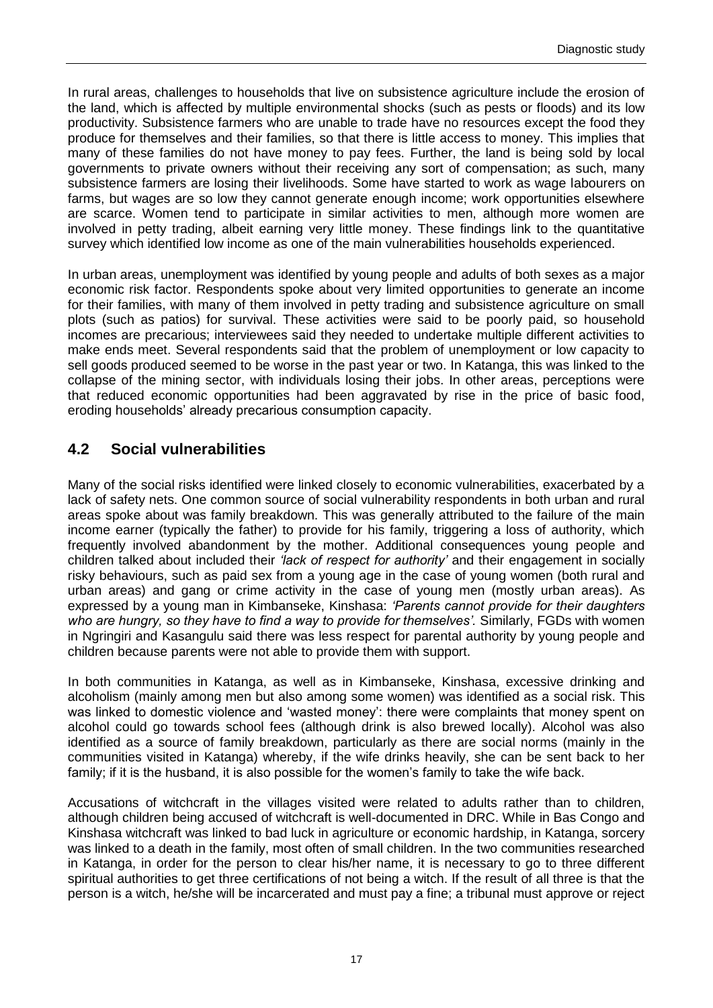In rural areas, challenges to households that live on subsistence agriculture include the erosion of the land, which is affected by multiple environmental shocks (such as pests or floods) and its low productivity. Subsistence farmers who are unable to trade have no resources except the food they produce for themselves and their families, so that there is little access to money. This implies that many of these families do not have money to pay fees. Further, the land is being sold by local governments to private owners without their receiving any sort of compensation; as such, many subsistence farmers are losing their livelihoods. Some have started to work as wage labourers on farms, but wages are so low they cannot generate enough income; work opportunities elsewhere are scarce. Women tend to participate in similar activities to men, although more women are involved in petty trading, albeit earning very little money. These findings link to the quantitative survey which identified low income as one of the main vulnerabilities households experienced.

In urban areas, unemployment was identified by young people and adults of both sexes as a major economic risk factor. Respondents spoke about very limited opportunities to generate an income for their families, with many of them involved in petty trading and subsistence agriculture on small plots (such as patios) for survival. These activities were said to be poorly paid, so household incomes are precarious; interviewees said they needed to undertake multiple different activities to make ends meet. Several respondents said that the problem of unemployment or low capacity to sell goods produced seemed to be worse in the past year or two. In Katanga, this was linked to the collapse of the mining sector, with individuals losing their jobs. In other areas, perceptions were that reduced economic opportunities had been aggravated by rise in the price of basic food, eroding households' already precarious consumption capacity.

# <span id="page-28-0"></span>**4.2 Social vulnerabilities**

Many of the social risks identified were linked closely to economic vulnerabilities, exacerbated by a lack of safety nets. One common source of social vulnerability respondents in both urban and rural areas spoke about was family breakdown. This was generally attributed to the failure of the main income earner (typically the father) to provide for his family, triggering a loss of authority, which frequently involved abandonment by the mother. Additional consequences young people and children talked about included their *'lack of respect for authority'* and their engagement in socially risky behaviours, such as paid sex from a young age in the case of young women (both rural and urban areas) and gang or crime activity in the case of young men (mostly urban areas). As expressed by a young man in Kimbanseke, Kinshasa: *'Parents cannot provide for their daughters who are hungry, so they have to find a way to provide for themselves'.* Similarly, FGDs with women in Ngringiri and Kasangulu said there was less respect for parental authority by young people and children because parents were not able to provide them with support.

In both communities in Katanga, as well as in Kimbanseke, Kinshasa, excessive drinking and alcoholism (mainly among men but also among some women) was identified as a social risk. This was linked to domestic violence and 'wasted money': there were complaints that money spent on alcohol could go towards school fees (although drink is also brewed locally). Alcohol was also identified as a source of family breakdown, particularly as there are social norms (mainly in the communities visited in Katanga) whereby, if the wife drinks heavily, she can be sent back to her family; if it is the husband, it is also possible for the women's family to take the wife back.

Accusations of witchcraft in the villages visited were related to adults rather than to children, although children being accused of witchcraft is well-documented in DRC. While in Bas Congo and Kinshasa witchcraft was linked to bad luck in agriculture or economic hardship, in Katanga, sorcery was linked to a death in the family, most often of small children. In the two communities researched in Katanga, in order for the person to clear his/her name, it is necessary to go to three different spiritual authorities to get three certifications of not being a witch. If the result of all three is that the person is a witch, he/she will be incarcerated and must pay a fine; a tribunal must approve or reject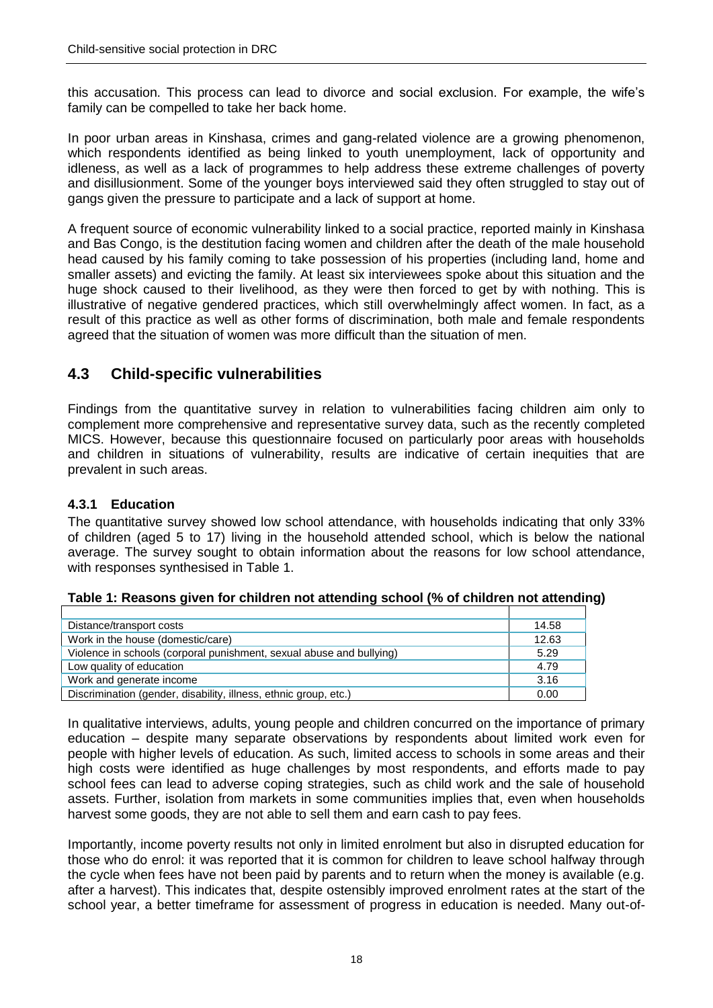this accusation. This process can lead to divorce and social exclusion. For example, the wife's family can be compelled to take her back home.

In poor urban areas in Kinshasa, crimes and gang-related violence are a growing phenomenon, which respondents identified as being linked to youth unemployment, lack of opportunity and idleness, as well as a lack of programmes to help address these extreme challenges of poverty and disillusionment. Some of the younger boys interviewed said they often struggled to stay out of gangs given the pressure to participate and a lack of support at home.

A frequent source of economic vulnerability linked to a social practice, reported mainly in Kinshasa and Bas Congo, is the destitution facing women and children after the death of the male household head caused by his family coming to take possession of his properties (including land, home and smaller assets) and evicting the family. At least six interviewees spoke about this situation and the huge shock caused to their livelihood, as they were then forced to get by with nothing. This is illustrative of negative gendered practices, which still overwhelmingly affect women. In fact, as a result of this practice as well as other forms of discrimination, both male and female respondents agreed that the situation of women was more difficult than the situation of men.

## <span id="page-29-0"></span>**4.3 Child-specific vulnerabilities**

Findings from the quantitative survey in relation to vulnerabilities facing children aim only to complement more comprehensive and representative survey data, such as the recently completed MICS. However, because this questionnaire focused on particularly poor areas with households and children in situations of vulnerability, results are indicative of certain inequities that are prevalent in such areas.

### <span id="page-29-1"></span>**4.3.1 Education**

The quantitative survey showed low school attendance, with households indicating that only 33% of children (aged 5 to 17) living in the household attended school, which is below the national average. The survey sought to obtain information about the reasons for low school attendance, with responses synthesised in Table 1.

| Distance/transport costs                                             | 14.58 |
|----------------------------------------------------------------------|-------|
| Work in the house (domestic/care)                                    | 12.63 |
| Violence in schools (corporal punishment, sexual abuse and bullying) | 5.29  |
| Low quality of education                                             | 4.79  |
| Work and generate income                                             | 3.16  |
| Discrimination (gender, disability, illness, ethnic group, etc.)     | 0.00  |

<span id="page-29-2"></span>

| Table 1: Reasons given for children not attending school (% of children not attending) |  |  |  |  |
|----------------------------------------------------------------------------------------|--|--|--|--|
|                                                                                        |  |  |  |  |

In qualitative interviews, adults, young people and children concurred on the importance of primary education – despite many separate observations by respondents about limited work even for people with higher levels of education. As such, limited access to schools in some areas and their high costs were identified as huge challenges by most respondents, and efforts made to pay school fees can lead to adverse coping strategies, such as child work and the sale of household assets. Further, isolation from markets in some communities implies that, even when households harvest some goods, they are not able to sell them and earn cash to pay fees.

Importantly, income poverty results not only in limited enrolment but also in disrupted education for those who do enrol: it was reported that it is common for children to leave school halfway through the cycle when fees have not been paid by parents and to return when the money is available (e.g. after a harvest). This indicates that, despite ostensibly improved enrolment rates at the start of the school year, a better timeframe for assessment of progress in education is needed. Many out-of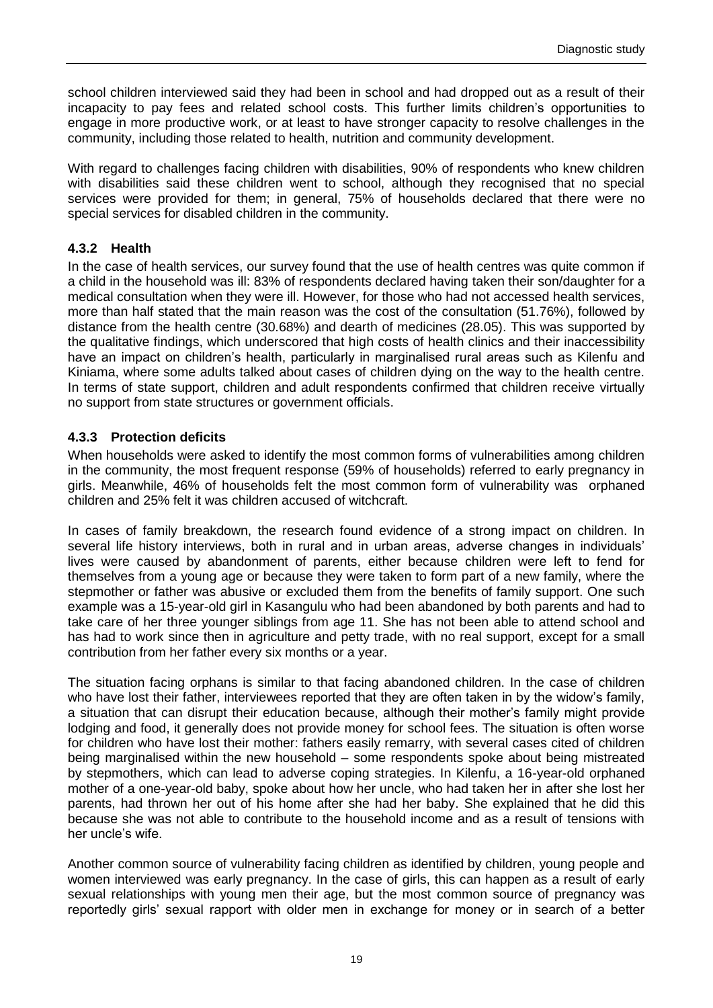school children interviewed said they had been in school and had dropped out as a result of their incapacity to pay fees and related school costs. This further limits children's opportunities to engage in more productive work, or at least to have stronger capacity to resolve challenges in the community, including those related to health, nutrition and community development.

With regard to challenges facing children with disabilities, 90% of respondents who knew children with disabilities said these children went to school, although they recognised that no special services were provided for them; in general, 75% of households declared that there were no special services for disabled children in the community.

### <span id="page-30-0"></span>**4.3.2 Health**

In the case of health services, our survey found that the use of health centres was quite common if a child in the household was ill: 83% of respondents declared having taken their son/daughter for a medical consultation when they were ill. However, for those who had not accessed health services, more than half stated that the main reason was the cost of the consultation (51.76%), followed by distance from the health centre (30.68%) and dearth of medicines (28.05). This was supported by the qualitative findings, which underscored that high costs of health clinics and their inaccessibility have an impact on children's health, particularly in marginalised rural areas such as Kilenfu and Kiniama, where some adults talked about cases of children dying on the way to the health centre. In terms of state support, children and adult respondents confirmed that children receive virtually no support from state structures or government officials.

### <span id="page-30-1"></span>**4.3.3 Protection deficits**

When households were asked to identify the most common forms of vulnerabilities among children in the community, the most frequent response (59% of households) referred to early pregnancy in girls. Meanwhile, 46% of households felt the most common form of vulnerability was orphaned children and 25% felt it was children accused of witchcraft.

In cases of family breakdown, the research found evidence of a strong impact on children. In several life history interviews, both in rural and in urban areas, adverse changes in individuals' lives were caused by abandonment of parents, either because children were left to fend for themselves from a young age or because they were taken to form part of a new family, where the stepmother or father was abusive or excluded them from the benefits of family support. One such example was a 15-year-old girl in Kasangulu who had been abandoned by both parents and had to take care of her three younger siblings from age 11. She has not been able to attend school and has had to work since then in agriculture and petty trade, with no real support, except for a small contribution from her father every six months or a year.

The situation facing orphans is similar to that facing abandoned children. In the case of children who have lost their father, interviewees reported that they are often taken in by the widow's family, a situation that can disrupt their education because, although their mother's family might provide lodging and food, it generally does not provide money for school fees. The situation is often worse for children who have lost their mother: fathers easily remarry, with several cases cited of children being marginalised within the new household – some respondents spoke about being mistreated by stepmothers, which can lead to adverse coping strategies. In Kilenfu, a 16-year-old orphaned mother of a one-year-old baby, spoke about how her uncle, who had taken her in after she lost her parents, had thrown her out of his home after she had her baby. She explained that he did this because she was not able to contribute to the household income and as a result of tensions with her uncle's wife.

Another common source of vulnerability facing children as identified by children, young people and women interviewed was early pregnancy. In the case of girls, this can happen as a result of early sexual relationships with young men their age, but the most common source of pregnancy was reportedly girls' sexual rapport with older men in exchange for money or in search of a better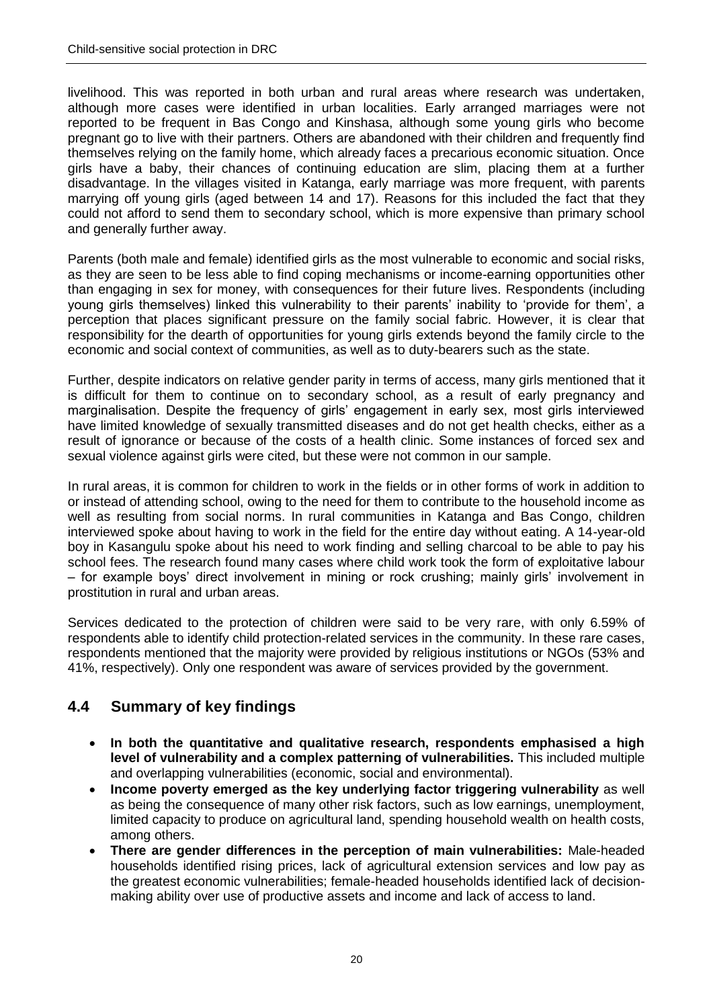livelihood. This was reported in both urban and rural areas where research was undertaken, although more cases were identified in urban localities. Early arranged marriages were not reported to be frequent in Bas Congo and Kinshasa, although some young girls who become pregnant go to live with their partners. Others are abandoned with their children and frequently find themselves relying on the family home, which already faces a precarious economic situation. Once girls have a baby, their chances of continuing education are slim, placing them at a further disadvantage. In the villages visited in Katanga, early marriage was more frequent, with parents marrying off young girls (aged between 14 and 17). Reasons for this included the fact that they could not afford to send them to secondary school, which is more expensive than primary school and generally further away.

Parents (both male and female) identified girls as the most vulnerable to economic and social risks, as they are seen to be less able to find coping mechanisms or income-earning opportunities other than engaging in sex for money, with consequences for their future lives. Respondents (including young girls themselves) linked this vulnerability to their parents' inability to 'provide for them', a perception that places significant pressure on the family social fabric. However, it is clear that responsibility for the dearth of opportunities for young girls extends beyond the family circle to the economic and social context of communities, as well as to duty-bearers such as the state.

Further, despite indicators on relative gender parity in terms of access, many girls mentioned that it is difficult for them to continue on to secondary school, as a result of early pregnancy and marginalisation. Despite the frequency of girls' engagement in early sex, most girls interviewed have limited knowledge of sexually transmitted diseases and do not get health checks, either as a result of ignorance or because of the costs of a health clinic. Some instances of forced sex and sexual violence against girls were cited, but these were not common in our sample.

In rural areas, it is common for children to work in the fields or in other forms of work in addition to or instead of attending school, owing to the need for them to contribute to the household income as well as resulting from social norms. In rural communities in Katanga and Bas Congo, children interviewed spoke about having to work in the field for the entire day without eating. A 14-year-old boy in Kasangulu spoke about his need to work finding and selling charcoal to be able to pay his school fees. The research found many cases where child work took the form of exploitative labour – for example boys' direct involvement in mining or rock crushing; mainly girls' involvement in prostitution in rural and urban areas.

Services dedicated to the protection of children were said to be very rare, with only 6.59% of respondents able to identify child protection-related services in the community. In these rare cases, respondents mentioned that the majority were provided by religious institutions or NGOs (53% and 41%, respectively). Only one respondent was aware of services provided by the government.

## <span id="page-31-0"></span>**4.4 Summary of key findings**

- **In both the quantitative and qualitative research, respondents emphasised a high level of vulnerability and a complex patterning of vulnerabilities.** This included multiple and overlapping vulnerabilities (economic, social and environmental).
- **Income poverty emerged as the key underlying factor triggering vulnerability** as well as being the consequence of many other risk factors, such as low earnings, unemployment, limited capacity to produce on agricultural land, spending household wealth on health costs, among others.
- **There are gender differences in the perception of main vulnerabilities:** Male-headed households identified rising prices, lack of agricultural extension services and low pay as the greatest economic vulnerabilities; female-headed households identified lack of decisionmaking ability over use of productive assets and income and lack of access to land.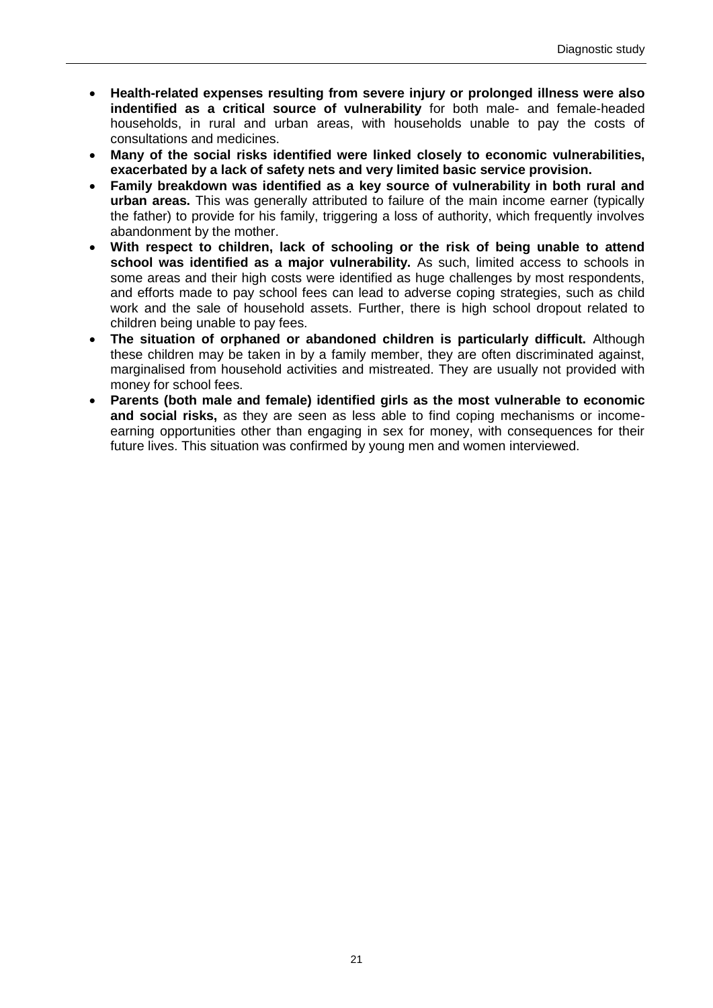- **Health-related expenses resulting from severe injury or prolonged illness were also indentified as a critical source of vulnerability** for both male- and female-headed households, in rural and urban areas, with households unable to pay the costs of consultations and medicines.
- **Many of the social risks identified were linked closely to economic vulnerabilities, exacerbated by a lack of safety nets and very limited basic service provision.**
- **Family breakdown was identified as a key source of vulnerability in both rural and urban areas.** This was generally attributed to failure of the main income earner (typically the father) to provide for his family, triggering a loss of authority, which frequently involves abandonment by the mother.
- **With respect to children, lack of schooling or the risk of being unable to attend school was identified as a major vulnerability.** As such, limited access to schools in some areas and their high costs were identified as huge challenges by most respondents, and efforts made to pay school fees can lead to adverse coping strategies, such as child work and the sale of household assets. Further, there is high school dropout related to children being unable to pay fees.
- **The situation of orphaned or abandoned children is particularly difficult.** Although these children may be taken in by a family member, they are often discriminated against, marginalised from household activities and mistreated. They are usually not provided with money for school fees.
- **Parents (both male and female) identified girls as the most vulnerable to economic and social risks,** as they are seen as less able to find coping mechanisms or incomeearning opportunities other than engaging in sex for money, with consequences for their future lives. This situation was confirmed by young men and women interviewed.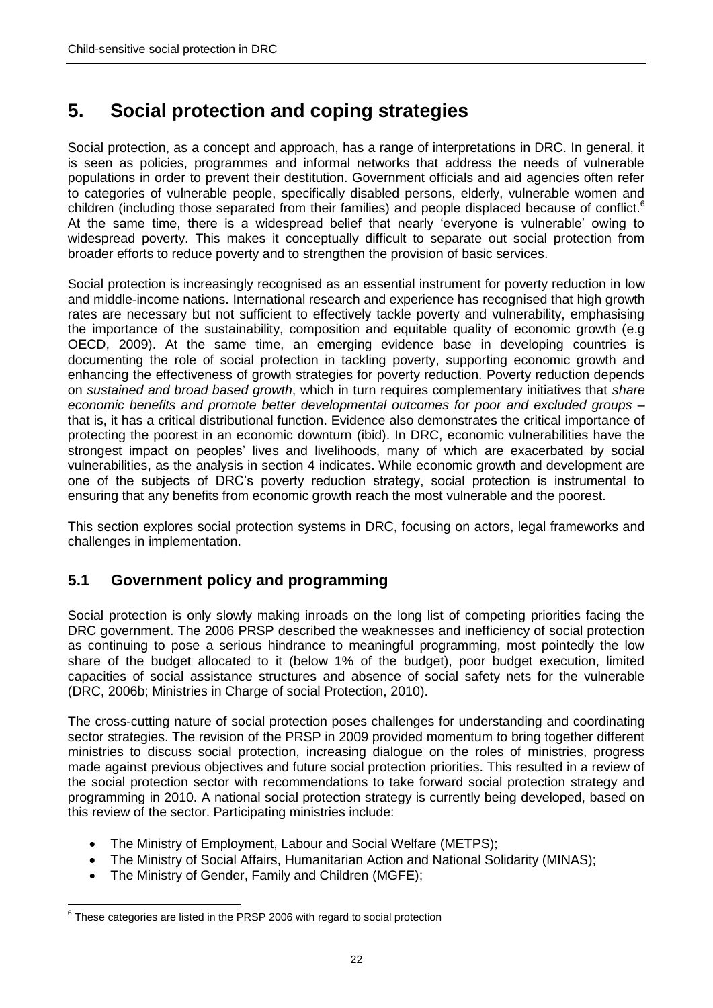# <span id="page-33-0"></span>**5. Social protection and coping strategies**

Social protection, as a concept and approach, has a range of interpretations in DRC. In general, it is seen as policies, programmes and informal networks that address the needs of vulnerable populations in order to prevent their destitution. Government officials and aid agencies often refer to categories of vulnerable people, specifically disabled persons, elderly, vulnerable women and children (including those separated from their families) and people displaced because of conflict.<sup>6</sup> At the same time, there is a widespread belief that nearly 'everyone is vulnerable' owing to widespread poverty. This makes it conceptually difficult to separate out social protection from broader efforts to reduce poverty and to strengthen the provision of basic services.

Social protection is increasingly recognised as an essential instrument for poverty reduction in low and middle-income nations. International research and experience has recognised that high growth rates are necessary but not sufficient to effectively tackle poverty and vulnerability, emphasising the importance of the sustainability, composition and equitable quality of economic growth (e.g OECD, 2009). At the same time, an emerging evidence base in developing countries is documenting the role of social protection in tackling poverty, supporting economic growth and enhancing the effectiveness of growth strategies for poverty reduction. Poverty reduction depends on *sustained and broad based growth*, which in turn requires complementary initiatives that *share economic benefits and promote better developmental outcomes for poor and excluded groups* – that is, it has a critical distributional function. Evidence also demonstrates the critical importance of protecting the poorest in an economic downturn (ibid). In DRC, economic vulnerabilities have the strongest impact on peoples' lives and livelihoods, many of which are exacerbated by social vulnerabilities, as the analysis in section 4 indicates. While economic growth and development are one of the subjects of DRC's poverty reduction strategy, social protection is instrumental to ensuring that any benefits from economic growth reach the most vulnerable and the poorest.

This section explores social protection systems in DRC, focusing on actors, legal frameworks and challenges in implementation.

# <span id="page-33-1"></span>**5.1 Government policy and programming**

Social protection is only slowly making inroads on the long list of competing priorities facing the DRC government. The 2006 PRSP described the weaknesses and inefficiency of social protection as continuing to pose a serious hindrance to meaningful programming, most pointedly the low share of the budget allocated to it (below 1% of the budget), poor budget execution, limited capacities of social assistance structures and absence of social safety nets for the vulnerable (DRC, 2006b; Ministries in Charge of social Protection, 2010).

The cross-cutting nature of social protection poses challenges for understanding and coordinating sector strategies. The revision of the PRSP in 2009 provided momentum to bring together different ministries to discuss social protection, increasing dialogue on the roles of ministries, progress made against previous objectives and future social protection priorities. This resulted in a review of the social protection sector with recommendations to take forward social protection strategy and programming in 2010. A national social protection strategy is currently being developed, based on this review of the sector. Participating ministries include:

- The Ministry of Employment, Labour and Social Welfare (METPS);
- The Ministry of Social Affairs, Humanitarian Action and National Solidarity (MINAS);
- The Ministry of Gender, Family and Children (MGFE);

<sup>1</sup>  $6$  These categories are listed in the PRSP 2006 with regard to social protection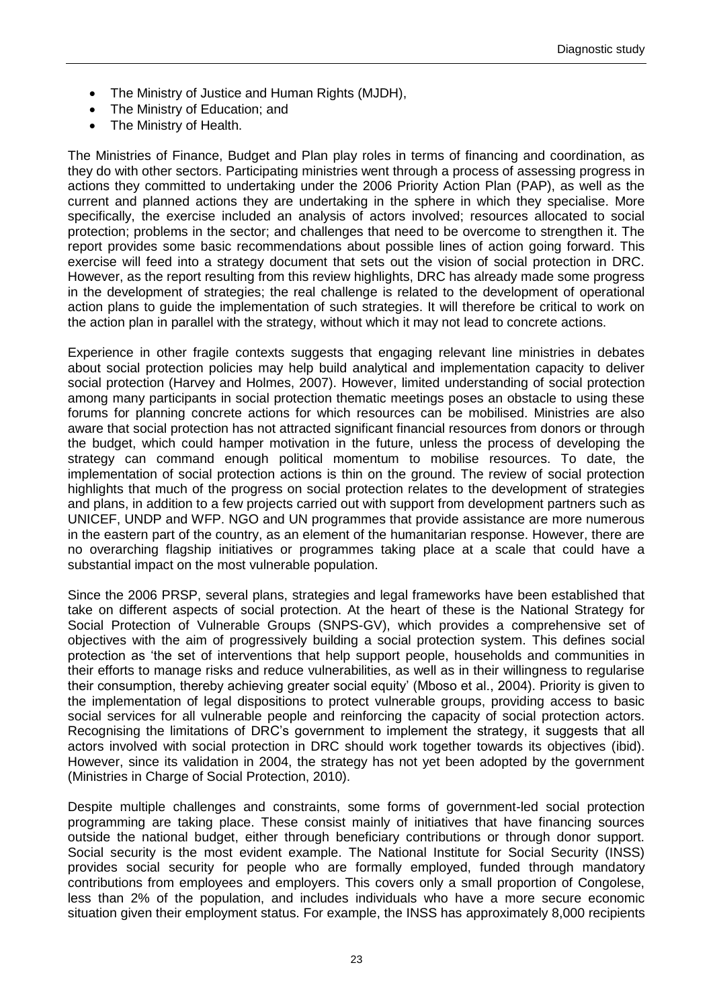- The Ministry of Justice and Human Rights (MJDH),
- The Ministry of Education; and
- The Ministry of Health.

The Ministries of Finance, Budget and Plan play roles in terms of financing and coordination, as they do with other sectors. Participating ministries went through a process of assessing progress in actions they committed to undertaking under the 2006 Priority Action Plan (PAP), as well as the current and planned actions they are undertaking in the sphere in which they specialise. More specifically, the exercise included an analysis of actors involved; resources allocated to social protection; problems in the sector; and challenges that need to be overcome to strengthen it. The report provides some basic recommendations about possible lines of action going forward. This exercise will feed into a strategy document that sets out the vision of social protection in DRC. However, as the report resulting from this review highlights, DRC has already made some progress in the development of strategies; the real challenge is related to the development of operational action plans to guide the implementation of such strategies. It will therefore be critical to work on the action plan in parallel with the strategy, without which it may not lead to concrete actions.

Experience in other fragile contexts suggests that engaging relevant line ministries in debates about social protection policies may help build analytical and implementation capacity to deliver social protection (Harvey and Holmes, 2007). However, limited understanding of social protection among many participants in social protection thematic meetings poses an obstacle to using these forums for planning concrete actions for which resources can be mobilised. Ministries are also aware that social protection has not attracted significant financial resources from donors or through the budget, which could hamper motivation in the future, unless the process of developing the strategy can command enough political momentum to mobilise resources. To date, the implementation of social protection actions is thin on the ground. The review of social protection highlights that much of the progress on social protection relates to the development of strategies and plans, in addition to a few projects carried out with support from development partners such as UNICEF, UNDP and WFP. NGO and UN programmes that provide assistance are more numerous in the eastern part of the country, as an element of the humanitarian response. However, there are no overarching flagship initiatives or programmes taking place at a scale that could have a substantial impact on the most vulnerable population.

Since the 2006 PRSP, several plans, strategies and legal frameworks have been established that take on different aspects of social protection. At the heart of these is the National Strategy for Social Protection of Vulnerable Groups (SNPS-GV), which provides a comprehensive set of objectives with the aim of progressively building a social protection system. This defines social protection as 'the set of interventions that help support people, households and communities in their efforts to manage risks and reduce vulnerabilities, as well as in their willingness to regularise their consumption, thereby achieving greater social equity' (Mboso et al., 2004). Priority is given to the implementation of legal dispositions to protect vulnerable groups, providing access to basic social services for all vulnerable people and reinforcing the capacity of social protection actors. Recognising the limitations of DRC's government to implement the strategy, it suggests that all actors involved with social protection in DRC should work together towards its objectives (ibid). However, since its validation in 2004, the strategy has not yet been adopted by the government (Ministries in Charge of Social Protection, 2010).

Despite multiple challenges and constraints, some forms of government-led social protection programming are taking place. These consist mainly of initiatives that have financing sources outside the national budget, either through beneficiary contributions or through donor support. Social security is the most evident example. The National Institute for Social Security (INSS) provides social security for people who are formally employed, funded through mandatory contributions from employees and employers. This covers only a small proportion of Congolese, less than 2% of the population, and includes individuals who have a more secure economic situation given their employment status. For example, the INSS has approximately 8,000 recipients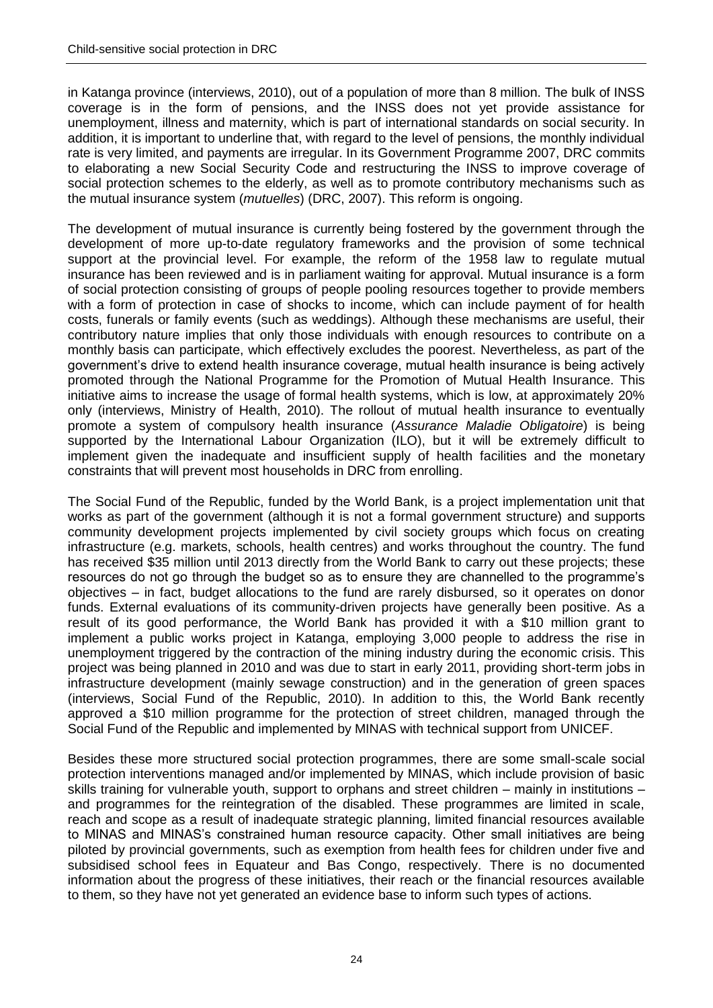in Katanga province (interviews, 2010), out of a population of more than 8 million. The bulk of INSS coverage is in the form of pensions, and the INSS does not yet provide assistance for unemployment, illness and maternity, which is part of international standards on social security. In addition, it is important to underline that, with regard to the level of pensions, the monthly individual rate is very limited, and payments are irregular. In its Government Programme 2007, DRC commits to elaborating a new Social Security Code and restructuring the INSS to improve coverage of social protection schemes to the elderly, as well as to promote contributory mechanisms such as the mutual insurance system (*mutuelles*) (DRC, 2007). This reform is ongoing.

The development of mutual insurance is currently being fostered by the government through the development of more up-to-date regulatory frameworks and the provision of some technical support at the provincial level. For example, the reform of the 1958 law to regulate mutual insurance has been reviewed and is in parliament waiting for approval. Mutual insurance is a form of social protection consisting of groups of people pooling resources together to provide members with a form of protection in case of shocks to income, which can include payment of for health costs, funerals or family events (such as weddings). Although these mechanisms are useful, their contributory nature implies that only those individuals with enough resources to contribute on a monthly basis can participate, which effectively excludes the poorest. Nevertheless, as part of the government's drive to extend health insurance coverage, mutual health insurance is being actively promoted through the National Programme for the Promotion of Mutual Health Insurance. This initiative aims to increase the usage of formal health systems, which is low, at approximately 20% only (interviews, Ministry of Health, 2010). The rollout of mutual health insurance to eventually promote a system of compulsory health insurance (*Assurance Maladie Obligatoire*) is being supported by the International Labour Organization (ILO), but it will be extremely difficult to implement given the inadequate and insufficient supply of health facilities and the monetary constraints that will prevent most households in DRC from enrolling.

The Social Fund of the Republic, funded by the World Bank, is a project implementation unit that works as part of the government (although it is not a formal government structure) and supports community development projects implemented by civil society groups which focus on creating infrastructure (e.g. markets, schools, health centres) and works throughout the country. The fund has received \$35 million until 2013 directly from the World Bank to carry out these projects; these resources do not go through the budget so as to ensure they are channelled to the programme's objectives – in fact, budget allocations to the fund are rarely disbursed, so it operates on donor funds. External evaluations of its community-driven projects have generally been positive. As a result of its good performance, the World Bank has provided it with a \$10 million grant to implement a public works project in Katanga, employing 3,000 people to address the rise in unemployment triggered by the contraction of the mining industry during the economic crisis. This project was being planned in 2010 and was due to start in early 2011, providing short-term jobs in infrastructure development (mainly sewage construction) and in the generation of green spaces (interviews, Social Fund of the Republic, 2010). In addition to this, the World Bank recently approved a \$10 million programme for the protection of street children, managed through the Social Fund of the Republic and implemented by MINAS with technical support from UNICEF.

Besides these more structured social protection programmes, there are some small-scale social protection interventions managed and/or implemented by MINAS, which include provision of basic skills training for vulnerable youth, support to orphans and street children – mainly in institutions – and programmes for the reintegration of the disabled. These programmes are limited in scale, reach and scope as a result of inadequate strategic planning, limited financial resources available to MINAS and MINAS's constrained human resource capacity. Other small initiatives are being piloted by provincial governments, such as exemption from health fees for children under five and subsidised school fees in Equateur and Bas Congo, respectively. There is no documented information about the progress of these initiatives, their reach or the financial resources available to them, so they have not yet generated an evidence base to inform such types of actions.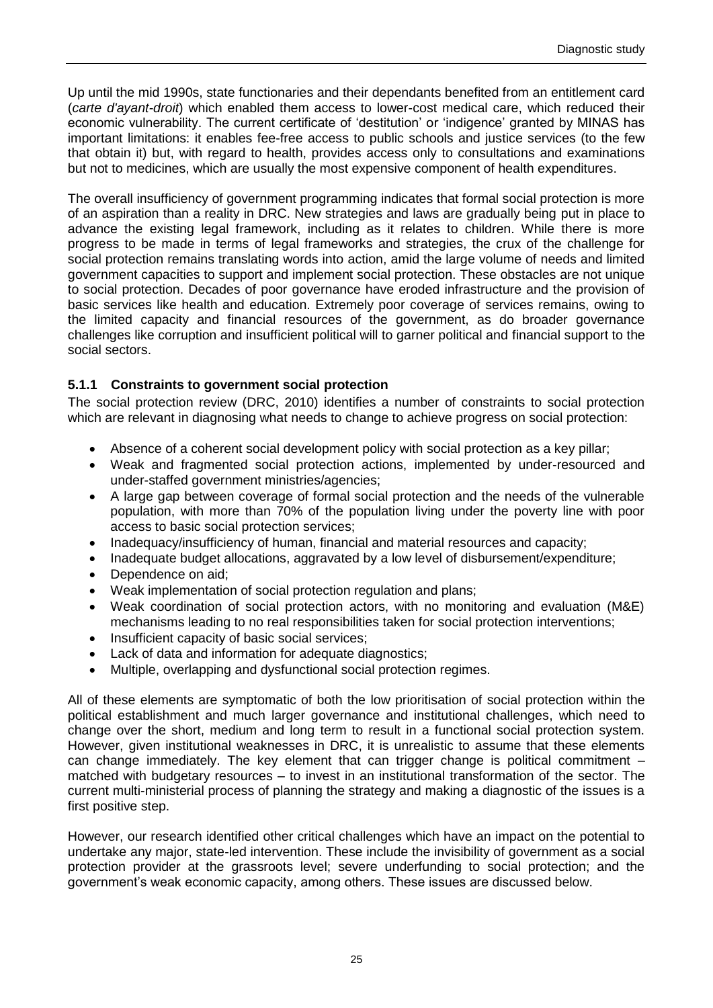Up until the mid 1990s, state functionaries and their dependants benefited from an entitlement card (*carte d'ayant-droit*) which enabled them access to lower-cost medical care, which reduced their economic vulnerability. The current certificate of 'destitution' or 'indigence' granted by MINAS has important limitations: it enables fee-free access to public schools and justice services (to the few that obtain it) but, with regard to health, provides access only to consultations and examinations but not to medicines, which are usually the most expensive component of health expenditures.

The overall insufficiency of government programming indicates that formal social protection is more of an aspiration than a reality in DRC. New strategies and laws are gradually being put in place to advance the existing legal framework, including as it relates to children. While there is more progress to be made in terms of legal frameworks and strategies, the crux of the challenge for social protection remains translating words into action, amid the large volume of needs and limited government capacities to support and implement social protection. These obstacles are not unique to social protection. Decades of poor governance have eroded infrastructure and the provision of basic services like health and education. Extremely poor coverage of services remains, owing to the limited capacity and financial resources of the government, as do broader governance challenges like corruption and insufficient political will to garner political and financial support to the social sectors.

## <span id="page-36-0"></span>**5.1.1 Constraints to government social protection**

The social protection review (DRC, 2010) identifies a number of constraints to social protection which are relevant in diagnosing what needs to change to achieve progress on social protection:

- Absence of a coherent social development policy with social protection as a key pillar;
- Weak and fragmented social protection actions, implemented by under-resourced and under-staffed government ministries/agencies;
- A large gap between coverage of formal social protection and the needs of the vulnerable population, with more than 70% of the population living under the poverty line with poor access to basic social protection services;
- Inadequacy/insufficiency of human, financial and material resources and capacity;
- Inadequate budget allocations, aggravated by a low level of disbursement/expenditure;
- Dependence on aid:
- Weak implementation of social protection regulation and plans;
- Weak coordination of social protection actors, with no monitoring and evaluation (M&E) mechanisms leading to no real responsibilities taken for social protection interventions;
- Insufficient capacity of basic social services:
- Lack of data and information for adequate diagnostics;
- Multiple, overlapping and dysfunctional social protection regimes.

All of these elements are symptomatic of both the low prioritisation of social protection within the political establishment and much larger governance and institutional challenges, which need to change over the short, medium and long term to result in a functional social protection system. However, given institutional weaknesses in DRC, it is unrealistic to assume that these elements can change immediately. The key element that can trigger change is political commitment – matched with budgetary resources – to invest in an institutional transformation of the sector. The current multi-ministerial process of planning the strategy and making a diagnostic of the issues is a first positive step.

However, our research identified other critical challenges which have an impact on the potential to undertake any major, state-led intervention. These include the invisibility of government as a social protection provider at the grassroots level; severe underfunding to social protection; and the government's weak economic capacity, among others. These issues are discussed below.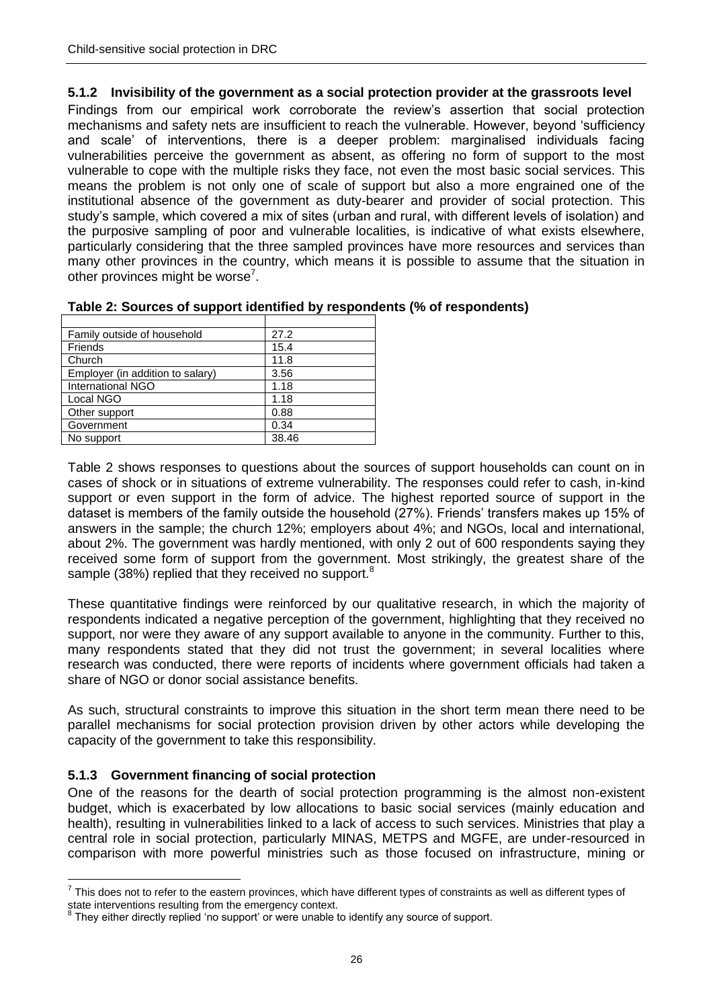### <span id="page-37-0"></span>**5.1.2 Invisibility of the government as a social protection provider at the grassroots level**

Findings from our empirical work corroborate the review's assertion that social protection mechanisms and safety nets are insufficient to reach the vulnerable. However, beyond 'sufficiency and scale' of interventions, there is a deeper problem: marginalised individuals facing vulnerabilities perceive the government as absent, as offering no form of support to the most vulnerable to cope with the multiple risks they face, not even the most basic social services. This means the problem is not only one of scale of support but also a more engrained one of the institutional absence of the government as duty-bearer and provider of social protection. This study's sample, which covered a mix of sites (urban and rural, with different levels of isolation) and the purposive sampling of poor and vulnerable localities, is indicative of what exists elsewhere, particularly considering that the three sampled provinces have more resources and services than many other provinces in the country, which means it is possible to assume that the situation in other provinces might be worse<sup>7</sup>.

| Family outside of household      | 27.2  |
|----------------------------------|-------|
| <b>Friends</b>                   | 15.4  |
| Church                           | 11.8  |
| Employer (in addition to salary) | 3.56  |
| International NGO                | 1.18  |
| Local NGO                        | 1.18  |
| Other support                    | 0.88  |
| Government                       | 0.34  |
| No support                       | 38.46 |

<span id="page-37-2"></span>

| Table 2: Sources of support identified by respondents (% of respondents) |  |
|--------------------------------------------------------------------------|--|
|                                                                          |  |

Table 2 shows responses to questions about the sources of support households can count on in cases of shock or in situations of extreme vulnerability. The responses could refer to cash, in-kind support or even support in the form of advice. The highest reported source of support in the dataset is members of the family outside the household (27%). Friends' transfers makes up 15% of answers in the sample; the church 12%; employers about 4%; and NGOs, local and international, about 2%. The government was hardly mentioned, with only 2 out of 600 respondents saying they received some form of support from the government. Most strikingly, the greatest share of the sample (38%) replied that they received no support.<sup>8</sup>

These quantitative findings were reinforced by our qualitative research, in which the majority of respondents indicated a negative perception of the government, highlighting that they received no support, nor were they aware of any support available to anyone in the community. Further to this, many respondents stated that they did not trust the government; in several localities where research was conducted, there were reports of incidents where government officials had taken a share of NGO or donor social assistance benefits.

As such, structural constraints to improve this situation in the short term mean there need to be parallel mechanisms for social protection provision driven by other actors while developing the capacity of the government to take this responsibility.

### <span id="page-37-1"></span>**5.1.3 Government financing of social protection**

One of the reasons for the dearth of social protection programming is the almost non-existent budget, which is exacerbated by low allocations to basic social services (mainly education and health), resulting in vulnerabilities linked to a lack of access to such services. Ministries that play a central role in social protection, particularly MINAS, METPS and MGFE, are under-resourced in comparison with more powerful ministries such as those focused on infrastructure, mining or

 7 This does not to refer to the eastern provinces, which have different types of constraints as well as different types of state interventions resulting from the emergency context.

<sup>&</sup>lt;sup>8</sup> They either directly replied 'no support' or were unable to identify any source of support.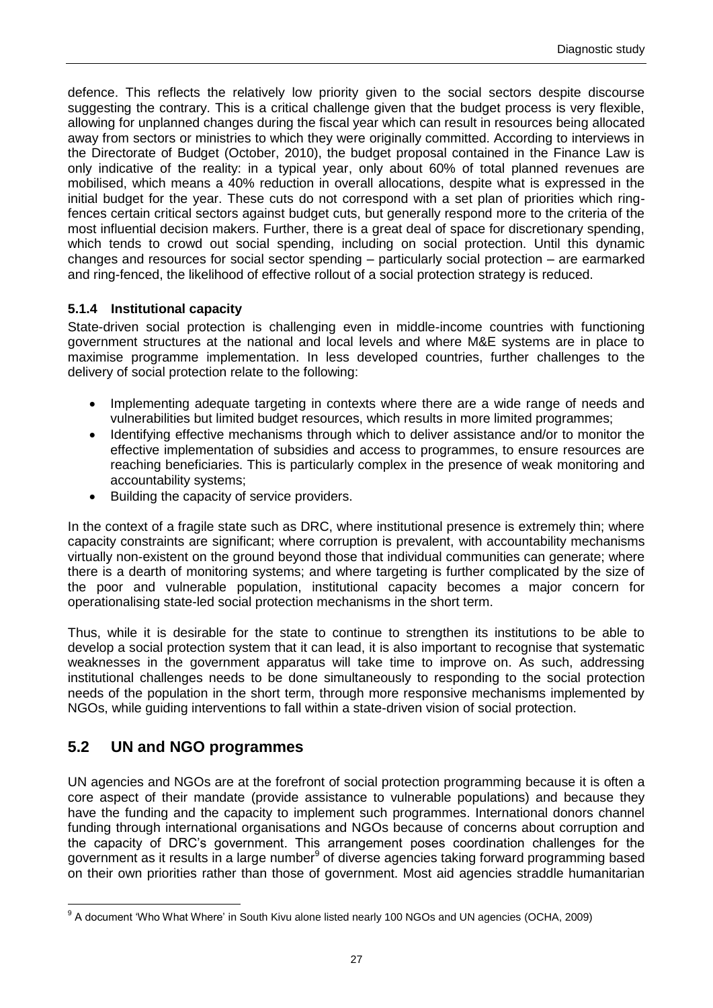defence. This reflects the relatively low priority given to the social sectors despite discourse suggesting the contrary. This is a critical challenge given that the budget process is very flexible, allowing for unplanned changes during the fiscal year which can result in resources being allocated away from sectors or ministries to which they were originally committed. According to interviews in the Directorate of Budget (October, 2010), the budget proposal contained in the Finance Law is only indicative of the reality: in a typical year, only about 60% of total planned revenues are mobilised, which means a 40% reduction in overall allocations, despite what is expressed in the initial budget for the year. These cuts do not correspond with a set plan of priorities which ringfences certain critical sectors against budget cuts, but generally respond more to the criteria of the most influential decision makers. Further, there is a great deal of space for discretionary spending, which tends to crowd out social spending, including on social protection. Until this dynamic changes and resources for social sector spending – particularly social protection – are earmarked and ring-fenced, the likelihood of effective rollout of a social protection strategy is reduced.

### <span id="page-38-0"></span>**5.1.4 Institutional capacity**

State-driven social protection is challenging even in middle-income countries with functioning government structures at the national and local levels and where M&E systems are in place to maximise programme implementation. In less developed countries, further challenges to the delivery of social protection relate to the following:

- Implementing adequate targeting in contexts where there are a wide range of needs and vulnerabilities but limited budget resources, which results in more limited programmes;
- Identifying effective mechanisms through which to deliver assistance and/or to monitor the effective implementation of subsidies and access to programmes, to ensure resources are reaching beneficiaries. This is particularly complex in the presence of weak monitoring and accountability systems;
- Building the capacity of service providers.

In the context of a fragile state such as DRC, where institutional presence is extremely thin; where capacity constraints are significant; where corruption is prevalent, with accountability mechanisms virtually non-existent on the ground beyond those that individual communities can generate; where there is a dearth of monitoring systems; and where targeting is further complicated by the size of the poor and vulnerable population, institutional capacity becomes a major concern for operationalising state-led social protection mechanisms in the short term.

Thus, while it is desirable for the state to continue to strengthen its institutions to be able to develop a social protection system that it can lead, it is also important to recognise that systematic weaknesses in the government apparatus will take time to improve on. As such, addressing institutional challenges needs to be done simultaneously to responding to the social protection needs of the population in the short term, through more responsive mechanisms implemented by NGOs, while guiding interventions to fall within a state-driven vision of social protection.

## <span id="page-38-1"></span>**5.2 UN and NGO programmes**

UN agencies and NGOs are at the forefront of social protection programming because it is often a core aspect of their mandate (provide assistance to vulnerable populations) and because they have the funding and the capacity to implement such programmes. International donors channel funding through international organisations and NGOs because of concerns about corruption and the capacity of DRC's government. This arrangement poses coordination challenges for the government as it results in a large number<sup>9</sup> of diverse agencies taking forward programming based on their own priorities rather than those of government. Most aid agencies straddle humanitarian

<sup>1</sup> <sup>9</sup> A document 'Who What Where' in South Kivu alone listed nearly 100 NGOs and UN agencies (OCHA, 2009)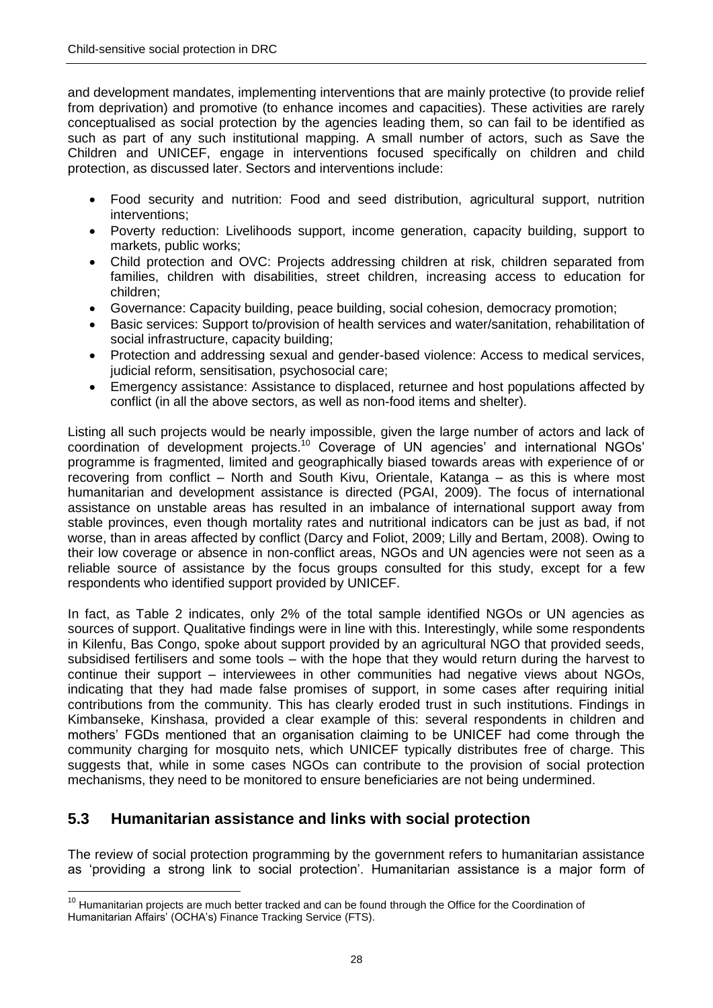and development mandates, implementing interventions that are mainly protective (to provide relief from deprivation) and promotive (to enhance incomes and capacities). These activities are rarely conceptualised as social protection by the agencies leading them, so can fail to be identified as such as part of any such institutional mapping. A small number of actors, such as Save the Children and UNICEF, engage in interventions focused specifically on children and child protection, as discussed later. Sectors and interventions include:

- Food security and nutrition: Food and seed distribution, agricultural support, nutrition interventions;
- Poverty reduction: Livelihoods support, income generation, capacity building, support to markets, public works;
- Child protection and OVC: Projects addressing children at risk, children separated from families, children with disabilities, street children, increasing access to education for children;
- Governance: Capacity building, peace building, social cohesion, democracy promotion;
- Basic services: Support to/provision of health services and water/sanitation, rehabilitation of social infrastructure, capacity building;
- Protection and addressing sexual and gender-based violence: Access to medical services, judicial reform, sensitisation, psychosocial care;
- Emergency assistance: Assistance to displaced, returnee and host populations affected by conflict (in all the above sectors, as well as non-food items and shelter).

Listing all such projects would be nearly impossible, given the large number of actors and lack of coordination of development projects.<sup>10</sup> Coverage of UN agencies' and international NGOs' programme is fragmented, limited and geographically biased towards areas with experience of or recovering from conflict – North and South Kivu, Orientale, Katanga – as this is where most humanitarian and development assistance is directed (PGAI, 2009). The focus of international assistance on unstable areas has resulted in an imbalance of international support away from stable provinces, even though mortality rates and nutritional indicators can be just as bad, if not worse, than in areas affected by conflict (Darcy and Foliot, 2009; Lilly and Bertam, 2008). Owing to their low coverage or absence in non-conflict areas, NGOs and UN agencies were not seen as a reliable source of assistance by the focus groups consulted for this study, except for a few respondents who identified support provided by UNICEF.

In fact, as Table 2 indicates, only 2% of the total sample identified NGOs or UN agencies as sources of support. Qualitative findings were in line with this. Interestingly, while some respondents in Kilenfu, Bas Congo, spoke about support provided by an agricultural NGO that provided seeds, subsidised fertilisers and some tools – with the hope that they would return during the harvest to continue their support – interviewees in other communities had negative views about NGOs, indicating that they had made false promises of support, in some cases after requiring initial contributions from the community. This has clearly eroded trust in such institutions. Findings in Kimbanseke, Kinshasa, provided a clear example of this: several respondents in children and mothers' FGDs mentioned that an organisation claiming to be UNICEF had come through the community charging for mosquito nets, which UNICEF typically distributes free of charge. This suggests that, while in some cases NGOs can contribute to the provision of social protection mechanisms, they need to be monitored to ensure beneficiaries are not being undermined.

## <span id="page-39-0"></span>**5.3 Humanitarian assistance and links with social protection**

<u>.</u>

The review of social protection programming by the government refers to humanitarian assistance as 'providing a strong link to social protection'. Humanitarian assistance is a major form of

<sup>&</sup>lt;sup>10</sup> Humanitarian projects are much better tracked and can be found through the Office for the Coordination of Humanitarian Affairs' (OCHA's) Finance Tracking Service (FTS).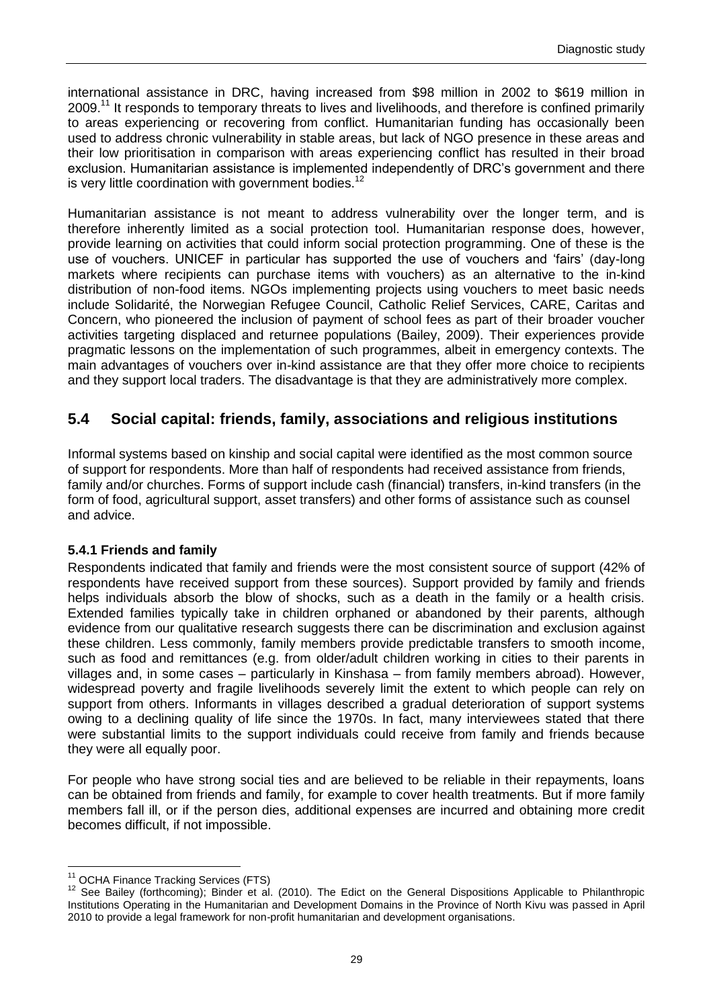international assistance in DRC, having increased from \$98 million in 2002 to \$619 million in 2009.<sup>11</sup> It responds to temporary threats to lives and livelihoods, and therefore is confined primarily to areas experiencing or recovering from conflict. Humanitarian funding has occasionally been used to address chronic vulnerability in stable areas, but lack of NGO presence in these areas and their low prioritisation in comparison with areas experiencing conflict has resulted in their broad exclusion. Humanitarian assistance is implemented independently of DRC's government and there is very little coordination with government bodies.<sup>12</sup>

Humanitarian assistance is not meant to address vulnerability over the longer term, and is therefore inherently limited as a social protection tool. Humanitarian response does, however, provide learning on activities that could inform social protection programming. One of these is the use of vouchers. UNICEF in particular has supported the use of vouchers and 'fairs' (day-long markets where recipients can purchase items with vouchers) as an alternative to the in-kind distribution of non-food items. NGOs implementing projects using vouchers to meet basic needs include Solidarité, the Norwegian Refugee Council, Catholic Relief Services, CARE, Caritas and Concern, who pioneered the inclusion of payment of school fees as part of their broader voucher activities targeting displaced and returnee populations (Bailey, 2009). Their experiences provide pragmatic lessons on the implementation of such programmes, albeit in emergency contexts. The main advantages of vouchers over in-kind assistance are that they offer more choice to recipients and they support local traders. The disadvantage is that they are administratively more complex.

## <span id="page-40-0"></span>**5.4 Social capital: friends, family, associations and religious institutions**

Informal systems based on kinship and social capital were identified as the most common source of support for respondents. More than half of respondents had received assistance from friends, family and/or churches. Forms of support include cash (financial) transfers, in-kind transfers (in the form of food, agricultural support, asset transfers) and other forms of assistance such as counsel and advice.

### <span id="page-40-1"></span>**5.4.1 Friends and family**

Respondents indicated that family and friends were the most consistent source of support (42% of respondents have received support from these sources). Support provided by family and friends helps individuals absorb the blow of shocks, such as a death in the family or a health crisis. Extended families typically take in children orphaned or abandoned by their parents, although evidence from our qualitative research suggests there can be discrimination and exclusion against these children. Less commonly, family members provide predictable transfers to smooth income, such as food and remittances (e.g. from older/adult children working in cities to their parents in villages and, in some cases – particularly in Kinshasa – from family members abroad). However, widespread poverty and fragile livelihoods severely limit the extent to which people can rely on support from others. Informants in villages described a gradual deterioration of support systems owing to a declining quality of life since the 1970s. In fact, many interviewees stated that there were substantial limits to the support individuals could receive from family and friends because they were all equally poor.

For people who have strong social ties and are believed to be reliable in their repayments, loans can be obtained from friends and family, for example to cover health treatments. But if more family members fall ill, or if the person dies, additional expenses are incurred and obtaining more credit becomes difficult, if not impossible.

<sup>1</sup>  $11$  OCHA Finance Tracking Services (FTS)

<sup>12</sup> See Bailey (forthcoming); Binder et al. (2010). The Edict on the General Dispositions Applicable to Philanthropic Institutions Operating in the Humanitarian and Development Domains in the Province of North Kivu was passed in April 2010 to provide a legal framework for non-profit humanitarian and development organisations.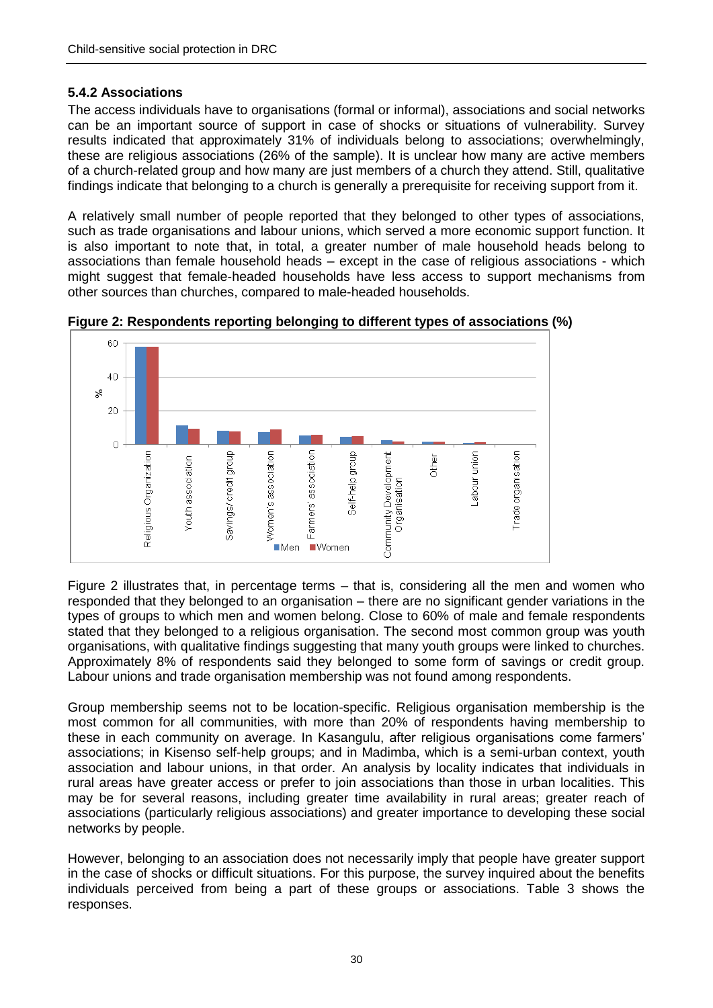### <span id="page-41-0"></span>**5.4.2 Associations**

The access individuals have to organisations (formal or informal), associations and social networks can be an important source of support in case of shocks or situations of vulnerability. Survey results indicated that approximately 31% of individuals belong to associations; overwhelmingly, these are religious associations (26% of the sample). It is unclear how many are active members of a church-related group and how many are just members of a church they attend. Still, qualitative findings indicate that belonging to a church is generally a prerequisite for receiving support from it.

A relatively small number of people reported that they belonged to other types of associations, such as trade organisations and labour unions, which served a more economic support function. It is also important to note that, in total, a greater number of male household heads belong to associations than female household heads – except in the case of religious associations - which might suggest that female-headed households have less access to support mechanisms from other sources than churches, compared to male-headed households.



<span id="page-41-1"></span>**Figure 2: Respondents reporting belonging to different types of associations (%)**

Figure 2 illustrates that, in percentage terms – that is, considering all the men and women who responded that they belonged to an organisation – there are no significant gender variations in the types of groups to which men and women belong. Close to 60% of male and female respondents stated that they belonged to a religious organisation. The second most common group was youth organisations, with qualitative findings suggesting that many youth groups were linked to churches. Approximately 8% of respondents said they belonged to some form of savings or credit group. Labour unions and trade organisation membership was not found among respondents.

Group membership seems not to be location-specific. Religious organisation membership is the most common for all communities, with more than 20% of respondents having membership to these in each community on average. In Kasangulu, after religious organisations come farmers' associations; in Kisenso self-help groups; and in Madimba, which is a semi-urban context, youth association and labour unions, in that order. An analysis by locality indicates that individuals in rural areas have greater access or prefer to join associations than those in urban localities. This may be for several reasons, including greater time availability in rural areas; greater reach of associations (particularly religious associations) and greater importance to developing these social networks by people.

However, belonging to an association does not necessarily imply that people have greater support in the case of shocks or difficult situations. For this purpose, the survey inquired about the benefits individuals perceived from being a part of these groups or associations. Table 3 shows the responses.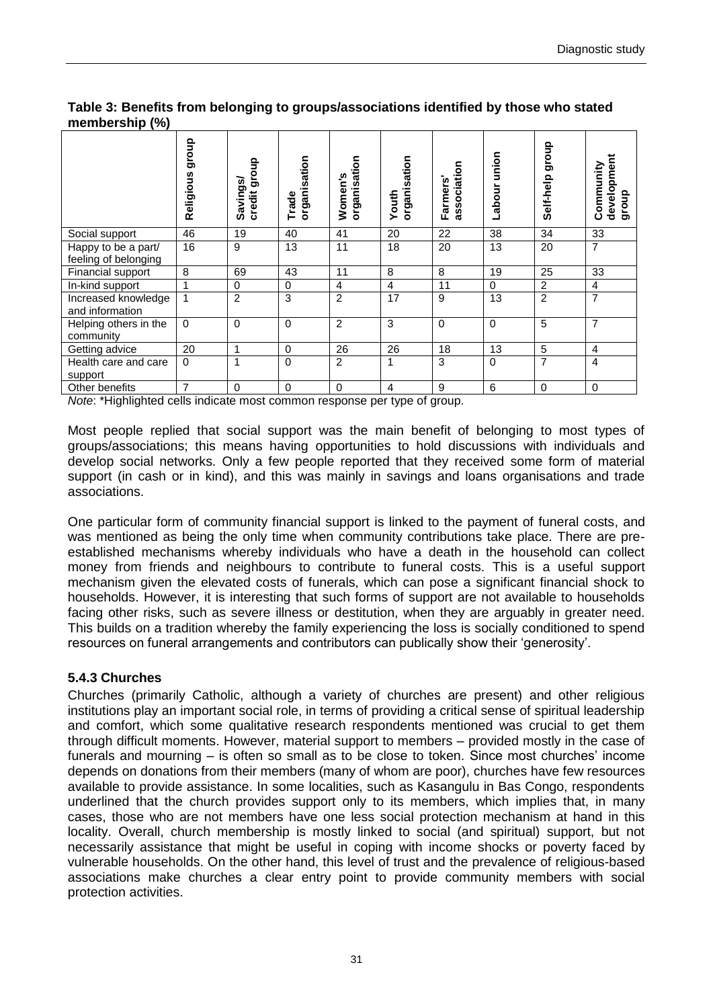|                                             | dho.fo<br>Religious | dhoub<br>Savings<br>credit | organisation<br><b>rade</b> | organisation<br>Women's | organisation<br>Youth | association<br>Farmers | union<br>Labour | dhoub<br>Self-help | Community<br>pme<br>develo<br>dhoub |
|---------------------------------------------|---------------------|----------------------------|-----------------------------|-------------------------|-----------------------|------------------------|-----------------|--------------------|-------------------------------------|
| Social support                              | 46                  | 19                         | 40                          | 41                      | 20                    | 22                     | 38              | 34                 | 33                                  |
| Happy to be a part/<br>feeling of belonging | 16                  | 9                          | 13                          | 11                      | 18                    | 20                     | 13              | 20                 | 7                                   |
| Financial support                           | 8                   | 69                         | 43                          | 11                      | 8                     | 8                      | 19              | 25                 | 33                                  |
| In-kind support                             |                     | $\mathbf 0$                | 0                           | 4                       | 4                     | 11                     | $\mathbf 0$     | 2                  | 4                                   |
| Increased knowledge<br>and information      |                     | 2                          | 3                           | $\overline{2}$          | 17                    | 9                      | 13              | 2                  | $\overline{7}$                      |
| Helping others in the<br>community          | $\Omega$            | $\Omega$                   | $\Omega$                    | 2                       | 3                     | $\Omega$               | $\Omega$        | 5                  | 7                                   |
| Getting advice                              | 20                  |                            | $\Omega$                    | 26                      | 26                    | 18                     | 13              | 5                  | 4                                   |

#### <span id="page-42-1"></span>**Table 3: Benefits from belonging to groups/associations identified by those who stated membership (%)**

Other benefits 7 0 0 0 4 9 6 0 0 *Note*: \*Highlighted cells indicate most common response per type of group.

Most people replied that social support was the main benefit of belonging to most types of groups/associations; this means having opportunities to hold discussions with individuals and develop social networks. Only a few people reported that they received some form of material support (in cash or in kind), and this was mainly in savings and loans organisations and trade associations.

0 |1 |0 |2 |1 |3 |0 |7 |4

One particular form of community financial support is linked to the payment of funeral costs, and was mentioned as being the only time when community contributions take place. There are preestablished mechanisms whereby individuals who have a death in the household can collect money from friends and neighbours to contribute to funeral costs. This is a useful support mechanism given the elevated costs of funerals, which can pose a significant financial shock to households. However, it is interesting that such forms of support are not available to households facing other risks, such as severe illness or destitution, when they are arguably in greater need. This builds on a tradition whereby the family experiencing the loss is socially conditioned to spend resources on funeral arrangements and contributors can publically show their 'generosity'.

#### <span id="page-42-0"></span>**5.4.3 Churches**

Health care and care

support

Churches (primarily Catholic, although a variety of churches are present) and other religious institutions play an important social role, in terms of providing a critical sense of spiritual leadership and comfort, which some qualitative research respondents mentioned was crucial to get them through difficult moments. However, material support to members – provided mostly in the case of funerals and mourning – is often so small as to be close to token. Since most churches' income depends on donations from their members (many of whom are poor), churches have few resources available to provide assistance. In some localities, such as Kasangulu in Bas Congo, respondents underlined that the church provides support only to its members, which implies that, in many cases, those who are not members have one less social protection mechanism at hand in this locality. Overall, church membership is mostly linked to social (and spiritual) support, but not necessarily assistance that might be useful in coping with income shocks or poverty faced by vulnerable households. On the other hand, this level of trust and the prevalence of religious-based associations make churches a clear entry point to provide community members with social protection activities.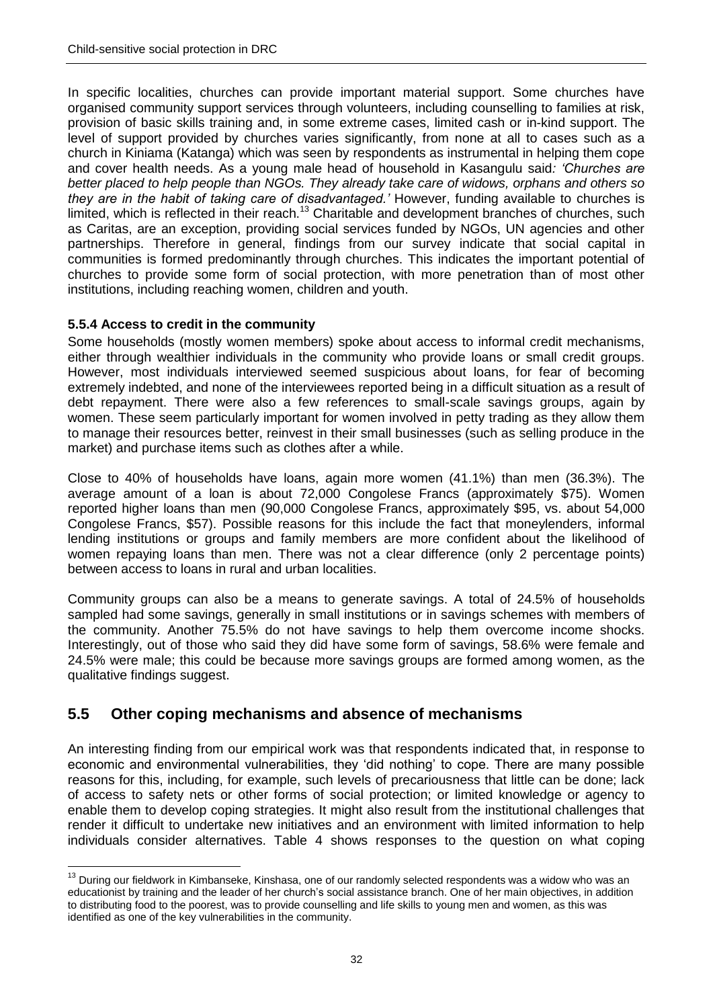In specific localities, churches can provide important material support. Some churches have organised community support services through volunteers, including counselling to families at risk, provision of basic skills training and, in some extreme cases, limited cash or in-kind support. The level of support provided by churches varies significantly, from none at all to cases such as a church in Kiniama (Katanga) which was seen by respondents as instrumental in helping them cope and cover health needs. As a young male head of household in Kasangulu said*: 'Churches are better placed to help people than NGOs. They already take care of widows, orphans and others so they are in the habit of taking care of disadvantaged.'* However, funding available to churches is limited, which is reflected in their reach.<sup>13</sup> Charitable and development branches of churches, such as Caritas, are an exception, providing social services funded by NGOs, UN agencies and other partnerships. Therefore in general, findings from our survey indicate that social capital in communities is formed predominantly through churches. This indicates the important potential of churches to provide some form of social protection, with more penetration than of most other institutions, including reaching women, children and youth.

### <span id="page-43-0"></span>**5.5.4 Access to credit in the community**

Some households (mostly women members) spoke about access to informal credit mechanisms, either through wealthier individuals in the community who provide loans or small credit groups. However, most individuals interviewed seemed suspicious about loans, for fear of becoming extremely indebted, and none of the interviewees reported being in a difficult situation as a result of debt repayment. There were also a few references to small-scale savings groups, again by women. These seem particularly important for women involved in petty trading as they allow them to manage their resources better, reinvest in their small businesses (such as selling produce in the market) and purchase items such as clothes after a while.

Close to 40% of households have loans, again more women (41.1%) than men (36.3%). The average amount of a loan is about 72,000 Congolese Francs (approximately \$75). Women reported higher loans than men (90,000 Congolese Francs, approximately \$95, vs. about 54,000 Congolese Francs, \$57). Possible reasons for this include the fact that moneylenders, informal lending institutions or groups and family members are more confident about the likelihood of women repaying loans than men. There was not a clear difference (only 2 percentage points) between access to loans in rural and urban localities.

Community groups can also be a means to generate savings. A total of 24.5% of households sampled had some savings, generally in small institutions or in savings schemes with members of the community. Another 75.5% do not have savings to help them overcome income shocks. Interestingly, out of those who said they did have some form of savings, 58.6% were female and 24.5% were male; this could be because more savings groups are formed among women, as the qualitative findings suggest.

## <span id="page-43-1"></span>**5.5 Other coping mechanisms and absence of mechanisms**

An interesting finding from our empirical work was that respondents indicated that, in response to economic and environmental vulnerabilities, they 'did nothing' to cope. There are many possible reasons for this, including, for example, such levels of precariousness that little can be done; lack of access to safety nets or other forms of social protection; or limited knowledge or agency to enable them to develop coping strategies. It might also result from the institutional challenges that render it difficult to undertake new initiatives and an environment with limited information to help individuals consider alternatives. Table 4 shows responses to the question on what coping

<sup>1</sup>  $13$  During our fieldwork in Kimbanseke, Kinshasa, one of our randomly selected respondents was a widow who was an educationist by training and the leader of her church's social assistance branch. One of her main objectives, in addition to distributing food to the poorest, was to provide counselling and life skills to young men and women, as this was identified as one of the key vulnerabilities in the community.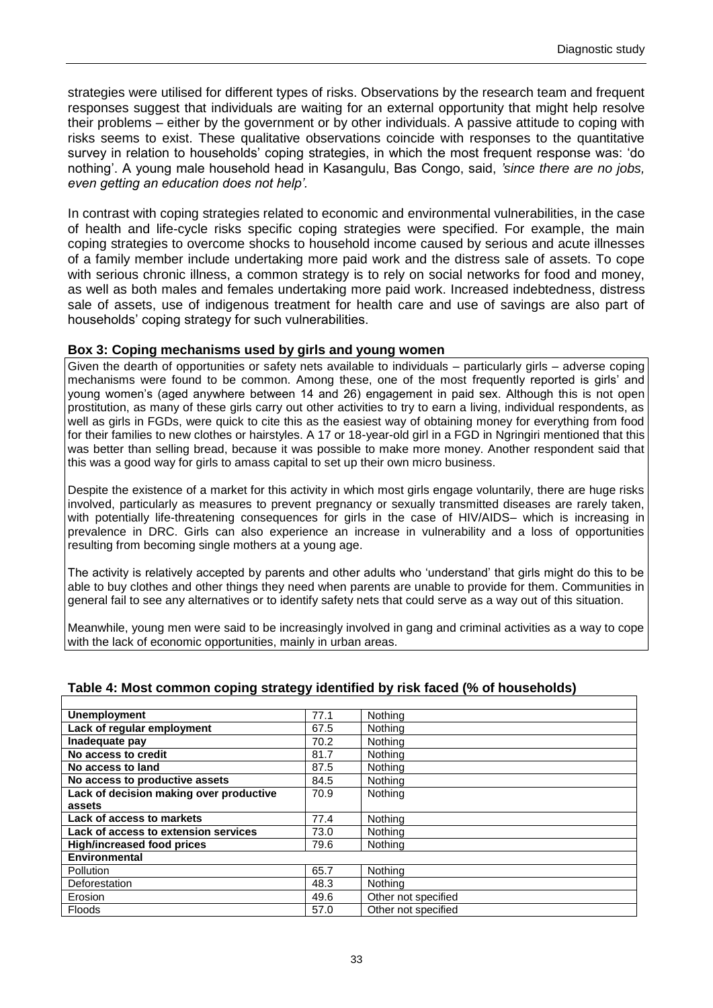strategies were utilised for different types of risks. Observations by the research team and frequent responses suggest that individuals are waiting for an external opportunity that might help resolve their problems – either by the government or by other individuals. A passive attitude to coping with risks seems to exist. These qualitative observations coincide with responses to the quantitative survey in relation to households' coping strategies, in which the most frequent response was: 'do nothing'. A young male household head in Kasangulu, Bas Congo, said, *'since there are no jobs, even getting an education does not help'.*

In contrast with coping strategies related to economic and environmental vulnerabilities, in the case of health and life-cycle risks specific coping strategies were specified. For example, the main coping strategies to overcome shocks to household income caused by serious and acute illnesses of a family member include undertaking more paid work and the distress sale of assets. To cope with serious chronic illness, a common strategy is to rely on social networks for food and money, as well as both males and females undertaking more paid work. Increased indebtedness, distress sale of assets, use of indigenous treatment for health care and use of savings are also part of households' coping strategy for such vulnerabilities.

#### <span id="page-44-0"></span>**Box 3: Coping mechanisms used by girls and young women**

Given the dearth of opportunities or safety nets available to individuals – particularly girls – adverse coping mechanisms were found to be common. Among these, one of the most frequently reported is girls' and young women's (aged anywhere between 14 and 26) engagement in paid sex. Although this is not open prostitution, as many of these girls carry out other activities to try to earn a living, individual respondents, as well as girls in FGDs, were quick to cite this as the easiest way of obtaining money for everything from food for their families to new clothes or hairstyles. A 17 or 18-year-old girl in a FGD in Ngringiri mentioned that this was better than selling bread, because it was possible to make more money. Another respondent said that this was a good way for girls to amass capital to set up their own micro business.

Despite the existence of a market for this activity in which most girls engage voluntarily, there are huge risks involved, particularly as measures to prevent pregnancy or sexually transmitted diseases are rarely taken, with potentially life-threatening consequences for girls in the case of HIV/AIDS– which is increasing in prevalence in DRC. Girls can also experience an increase in vulnerability and a loss of opportunities resulting from becoming single mothers at a young age.

The activity is relatively accepted by parents and other adults who 'understand' that girls might do this to be able to buy clothes and other things they need when parents are unable to provide for them. Communities in general fail to see any alternatives or to identify safety nets that could serve as a way out of this situation.

Meanwhile, young men were said to be increasingly involved in gang and criminal activities as a way to cope with the lack of economic opportunities, mainly in urban areas.

| <b>Unemployment</b>                     | 77.1 | Nothina             |
|-----------------------------------------|------|---------------------|
| Lack of regular employment              | 67.5 | Nothing             |
| Inadequate pay                          | 70.2 | Nothing             |
| No access to credit                     | 81.7 | Nothing             |
| No access to land                       | 87.5 | Nothing             |
| No access to productive assets          | 84.5 | Nothing             |
| Lack of decision making over productive | 70.9 | Nothing             |
| assets                                  |      |                     |
| Lack of access to markets               | 77.4 | Nothing             |
| Lack of access to extension services    | 73.0 | Nothing             |
| <b>High/increased food prices</b>       | 79.6 | Nothina             |
| Environmental                           |      |                     |
| Pollution                               | 65.7 | Nothing             |
| Deforestation                           | 48.3 | Nothing             |
| Erosion                                 | 49.6 | Other not specified |
| <b>Floods</b>                           | 57.0 | Other not specified |

#### <span id="page-44-1"></span>**Table 4: Most common coping strategy identified by risk faced (% of households)**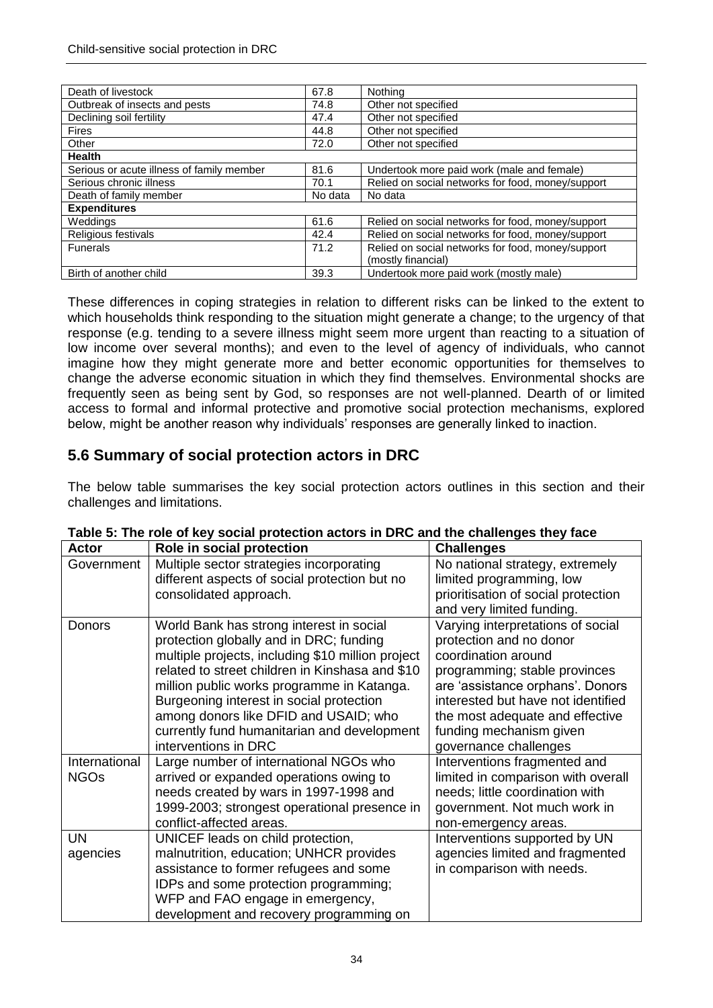| Death of livestock                        | 67.8    | Nothing                                           |
|-------------------------------------------|---------|---------------------------------------------------|
| Outbreak of insects and pests             | 74.8    | Other not specified                               |
| Declining soil fertility                  | 47.4    | Other not specified                               |
| <b>Fires</b>                              | 44.8    | Other not specified                               |
| Other                                     | 72.0    | Other not specified                               |
| <b>Health</b>                             |         |                                                   |
| Serious or acute illness of family member | 81.6    | Undertook more paid work (male and female)        |
| Serious chronic illness                   | 70.1    | Relied on social networks for food, money/support |
| Death of family member                    | No data | No data                                           |
| <b>Expenditures</b>                       |         |                                                   |
| Weddings                                  | 61.6    | Relied on social networks for food, money/support |
| Religious festivals                       | 42.4    | Relied on social networks for food, money/support |
| <b>Funerals</b>                           | 71.2    | Relied on social networks for food, money/support |
|                                           |         | (mostly financial)                                |
| Birth of another child                    | 39.3    | Undertook more paid work (mostly male)            |

These differences in coping strategies in relation to different risks can be linked to the extent to which households think responding to the situation might generate a change; to the urgency of that response (e.g. tending to a severe illness might seem more urgent than reacting to a situation of low income over several months); and even to the level of agency of individuals, who cannot imagine how they might generate more and better economic opportunities for themselves to change the adverse economic situation in which they find themselves. Environmental shocks are frequently seen as being sent by God, so responses are not well-planned. Dearth of or limited access to formal and informal protective and promotive social protection mechanisms, explored below, might be another reason why individuals' responses are generally linked to inaction.

## **5.6 Summary of social protection actors in DRC**

The below table summarises the key social protection actors outlines in this section and their challenges and limitations.

| <b>Actor</b>                 | Role in social protection                                                                                                                                                                                                                                                                                                                                                                             | <b>Challenges</b>                                                                                                                                                                                                                                                                     |
|------------------------------|-------------------------------------------------------------------------------------------------------------------------------------------------------------------------------------------------------------------------------------------------------------------------------------------------------------------------------------------------------------------------------------------------------|---------------------------------------------------------------------------------------------------------------------------------------------------------------------------------------------------------------------------------------------------------------------------------------|
| Government                   | Multiple sector strategies incorporating<br>different aspects of social protection but no<br>consolidated approach.                                                                                                                                                                                                                                                                                   | No national strategy, extremely<br>limited programming, low<br>prioritisation of social protection<br>and very limited funding.                                                                                                                                                       |
| Donors                       | World Bank has strong interest in social<br>protection globally and in DRC; funding<br>multiple projects, including \$10 million project<br>related to street children in Kinshasa and \$10<br>million public works programme in Katanga.<br>Burgeoning interest in social protection<br>among donors like DFID and USAID; who<br>currently fund humanitarian and development<br>interventions in DRC | Varying interpretations of social<br>protection and no donor<br>coordination around<br>programming; stable provinces<br>are 'assistance orphans'. Donors<br>interested but have not identified<br>the most adequate and effective<br>funding mechanism given<br>governance challenges |
| International<br><b>NGOs</b> | Large number of international NGOs who<br>arrived or expanded operations owing to<br>needs created by wars in 1997-1998 and<br>1999-2003; strongest operational presence in<br>conflict-affected areas.                                                                                                                                                                                               | Interventions fragmented and<br>limited in comparison with overall<br>needs; little coordination with<br>government. Not much work in<br>non-emergency areas.                                                                                                                         |
| <b>UN</b><br>agencies        | UNICEF leads on child protection,<br>malnutrition, education; UNHCR provides<br>assistance to former refugees and some<br>IDPs and some protection programming;<br>WFP and FAO engage in emergency,<br>development and recovery programming on                                                                                                                                                        | Interventions supported by UN<br>agencies limited and fragmented<br>in comparison with needs.                                                                                                                                                                                         |

<span id="page-45-0"></span>

|  |  | Table 5: The role of key social protection actors in DRC and the challenges they face |  |
|--|--|---------------------------------------------------------------------------------------|--|
|--|--|---------------------------------------------------------------------------------------|--|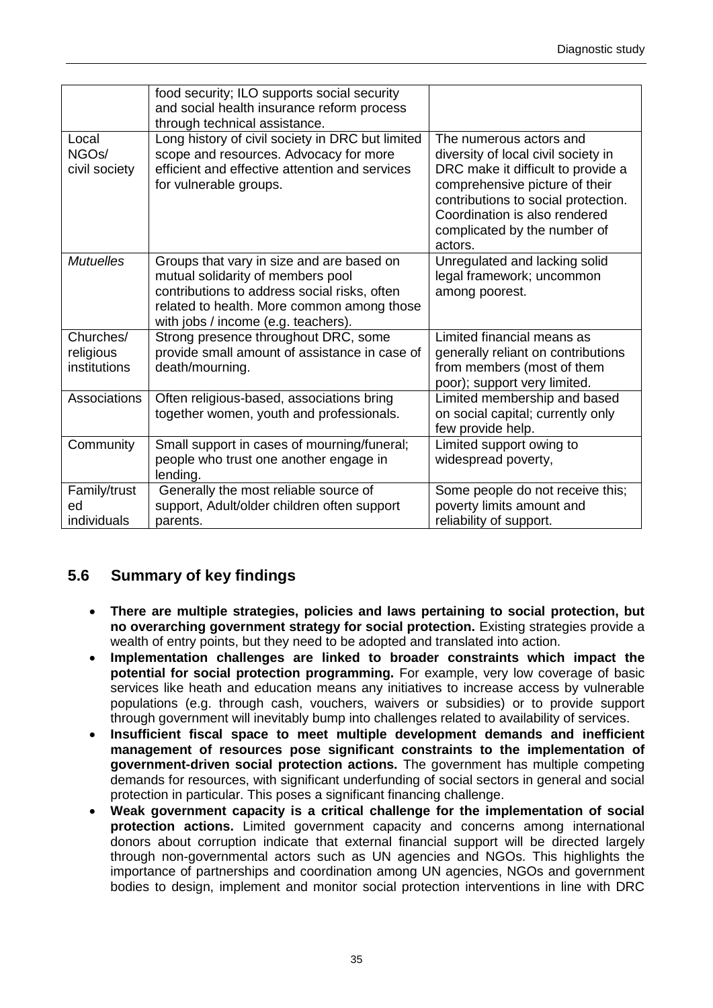|                                              | food security; ILO supports social security<br>and social health insurance reform process<br>through technical assistance.                                                                                          |                                                                                                                                                                                                                                                           |
|----------------------------------------------|---------------------------------------------------------------------------------------------------------------------------------------------------------------------------------------------------------------------|-----------------------------------------------------------------------------------------------------------------------------------------------------------------------------------------------------------------------------------------------------------|
| Local<br>NGO <sub>s</sub> /<br>civil society | Long history of civil society in DRC but limited<br>scope and resources. Advocacy for more<br>efficient and effective attention and services<br>for vulnerable groups.                                              | The numerous actors and<br>diversity of local civil society in<br>DRC make it difficult to provide a<br>comprehensive picture of their<br>contributions to social protection.<br>Coordination is also rendered<br>complicated by the number of<br>actors. |
| <b>Mutuelles</b>                             | Groups that vary in size and are based on<br>mutual solidarity of members pool<br>contributions to address social risks, often<br>related to health. More common among those<br>with jobs / income (e.g. teachers). | Unregulated and lacking solid<br>legal framework; uncommon<br>among poorest.                                                                                                                                                                              |
| Churches/<br>religious<br>institutions       | Strong presence throughout DRC, some<br>provide small amount of assistance in case of<br>death/mourning.                                                                                                            | Limited financial means as<br>generally reliant on contributions<br>from members (most of them<br>poor); support very limited.                                                                                                                            |
| Associations                                 | Often religious-based, associations bring<br>together women, youth and professionals.                                                                                                                               | Limited membership and based<br>on social capital; currently only<br>few provide help.                                                                                                                                                                    |
| Community                                    | Small support in cases of mourning/funeral;<br>people who trust one another engage in<br>lending.                                                                                                                   | Limited support owing to<br>widespread poverty,                                                                                                                                                                                                           |
| Family/trust<br>ed<br>individuals            | Generally the most reliable source of<br>support, Adult/older children often support<br>parents.                                                                                                                    | Some people do not receive this;<br>poverty limits amount and<br>reliability of support.                                                                                                                                                                  |

# <span id="page-46-0"></span>**5.6 Summary of key findings**

- **There are multiple strategies, policies and laws pertaining to social protection, but no overarching government strategy for social protection.** Existing strategies provide a wealth of entry points, but they need to be adopted and translated into action.
- **Implementation challenges are linked to broader constraints which impact the potential for social protection programming.** For example, very low coverage of basic services like heath and education means any initiatives to increase access by vulnerable populations (e.g. through cash, vouchers, waivers or subsidies) or to provide support through government will inevitably bump into challenges related to availability of services.
- **Insufficient fiscal space to meet multiple development demands and inefficient management of resources pose significant constraints to the implementation of government-driven social protection actions.** The government has multiple competing demands for resources, with significant underfunding of social sectors in general and social protection in particular. This poses a significant financing challenge.
- **Weak government capacity is a critical challenge for the implementation of social protection actions.** Limited government capacity and concerns among international donors about corruption indicate that external financial support will be directed largely through non-governmental actors such as UN agencies and NGOs. This highlights the importance of partnerships and coordination among UN agencies, NGOs and government bodies to design, implement and monitor social protection interventions in line with DRC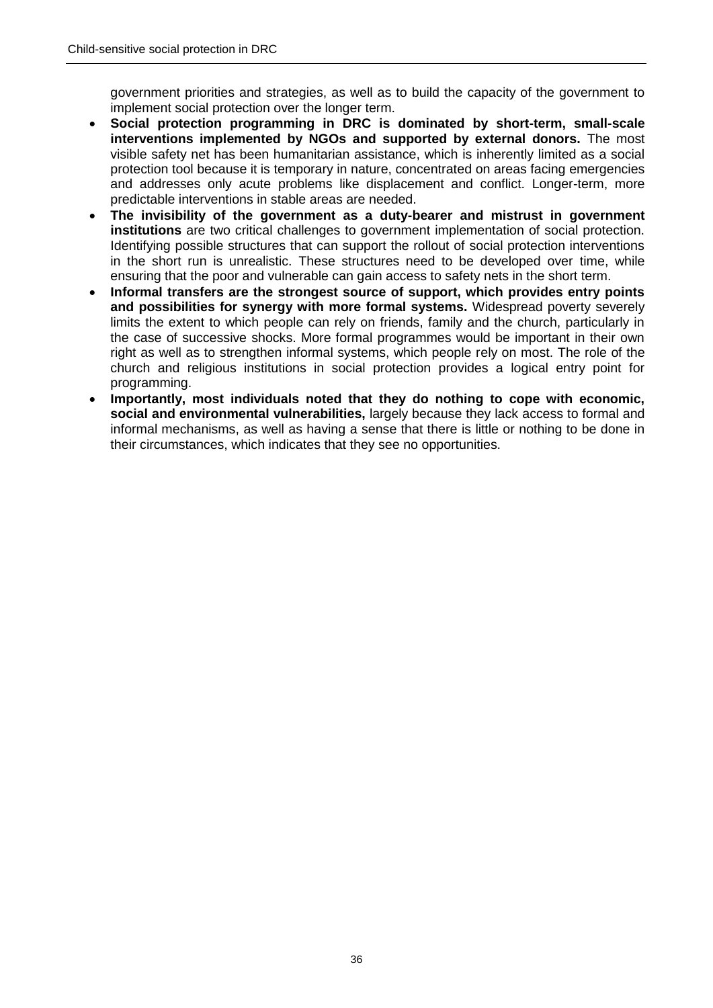government priorities and strategies, as well as to build the capacity of the government to implement social protection over the longer term.

- **Social protection programming in DRC is dominated by short-term, small-scale interventions implemented by NGOs and supported by external donors.** The most visible safety net has been humanitarian assistance, which is inherently limited as a social protection tool because it is temporary in nature, concentrated on areas facing emergencies and addresses only acute problems like displacement and conflict. Longer-term, more predictable interventions in stable areas are needed.
- **The invisibility of the government as a duty-bearer and mistrust in government institutions** are two critical challenges to government implementation of social protection. Identifying possible structures that can support the rollout of social protection interventions in the short run is unrealistic. These structures need to be developed over time, while ensuring that the poor and vulnerable can gain access to safety nets in the short term.
- **Informal transfers are the strongest source of support, which provides entry points and possibilities for synergy with more formal systems.** Widespread poverty severely limits the extent to which people can rely on friends, family and the church, particularly in the case of successive shocks. More formal programmes would be important in their own right as well as to strengthen informal systems, which people rely on most. The role of the church and religious institutions in social protection provides a logical entry point for programming.
- **Importantly, most individuals noted that they do nothing to cope with economic, social and environmental vulnerabilities,** largely because they lack access to formal and informal mechanisms, as well as having a sense that there is little or nothing to be done in their circumstances, which indicates that they see no opportunities.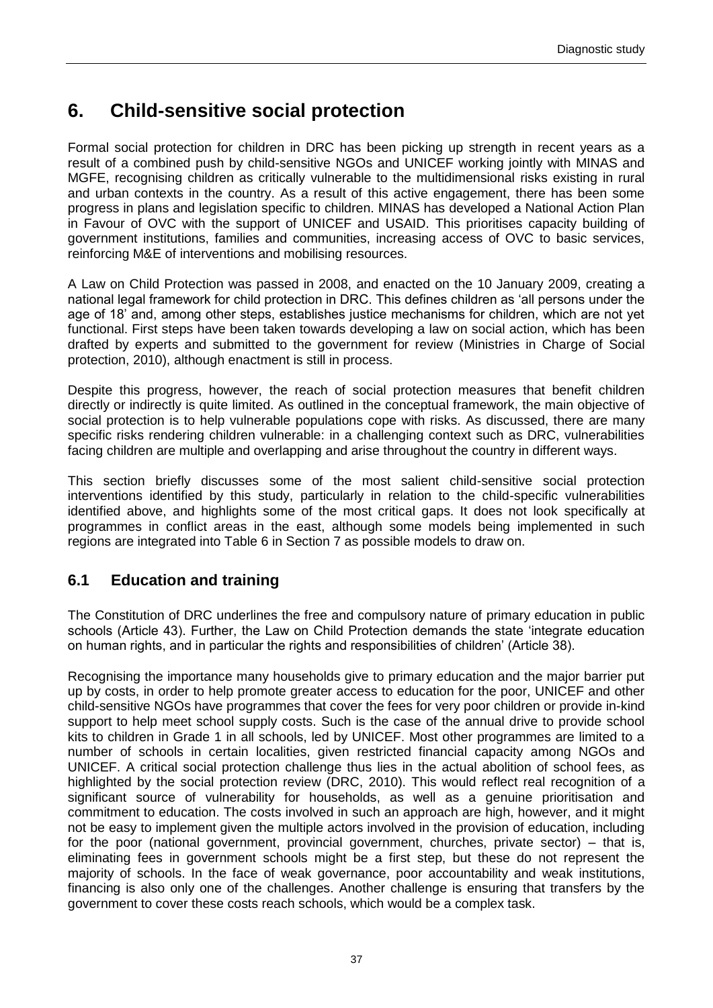# <span id="page-48-0"></span>**6. Child-sensitive social protection**

Formal social protection for children in DRC has been picking up strength in recent years as a result of a combined push by child-sensitive NGOs and UNICEF working jointly with MINAS and MGFE, recognising children as critically vulnerable to the multidimensional risks existing in rural and urban contexts in the country. As a result of this active engagement, there has been some progress in plans and legislation specific to children. MINAS has developed a National Action Plan in Favour of OVC with the support of UNICEF and USAID. This prioritises capacity building of government institutions, families and communities, increasing access of OVC to basic services, reinforcing M&E of interventions and mobilising resources.

A Law on Child Protection was passed in 2008, and enacted on the 10 January 2009, creating a national legal framework for child protection in DRC. This defines children as 'all persons under the age of 18' and, among other steps, establishes justice mechanisms for children, which are not yet functional. First steps have been taken towards developing a law on social action, which has been drafted by experts and submitted to the government for review (Ministries in Charge of Social protection, 2010), although enactment is still in process.

Despite this progress, however, the reach of social protection measures that benefit children directly or indirectly is quite limited. As outlined in the conceptual framework, the main objective of social protection is to help vulnerable populations cope with risks. As discussed, there are many specific risks rendering children vulnerable: in a challenging context such as DRC, vulnerabilities facing children are multiple and overlapping and arise throughout the country in different ways.

This section briefly discusses some of the most salient child-sensitive social protection interventions identified by this study, particularly in relation to the child-specific vulnerabilities identified above, and highlights some of the most critical gaps. It does not look specifically at programmes in conflict areas in the east, although some models being implemented in such regions are integrated into Table 6 in Section 7 as possible models to draw on.

## <span id="page-48-1"></span>**6.1 Education and training**

The Constitution of DRC underlines the free and compulsory nature of primary education in public schools (Article 43). Further, the Law on Child Protection demands the state 'integrate education on human rights, and in particular the rights and responsibilities of children' (Article 38).

Recognising the importance many households give to primary education and the major barrier put up by costs, in order to help promote greater access to education for the poor, UNICEF and other child-sensitive NGOs have programmes that cover the fees for very poor children or provide in-kind support to help meet school supply costs. Such is the case of the annual drive to provide school kits to children in Grade 1 in all schools, led by UNICEF. Most other programmes are limited to a number of schools in certain localities, given restricted financial capacity among NGOs and UNICEF. A critical social protection challenge thus lies in the actual abolition of school fees, as highlighted by the social protection review (DRC, 2010). This would reflect real recognition of a significant source of vulnerability for households, as well as a genuine prioritisation and commitment to education. The costs involved in such an approach are high, however, and it might not be easy to implement given the multiple actors involved in the provision of education, including for the poor (national government, provincial government, churches, private sector) – that is, eliminating fees in government schools might be a first step, but these do not represent the majority of schools. In the face of weak governance, poor accountability and weak institutions, financing is also only one of the challenges. Another challenge is ensuring that transfers by the government to cover these costs reach schools, which would be a complex task.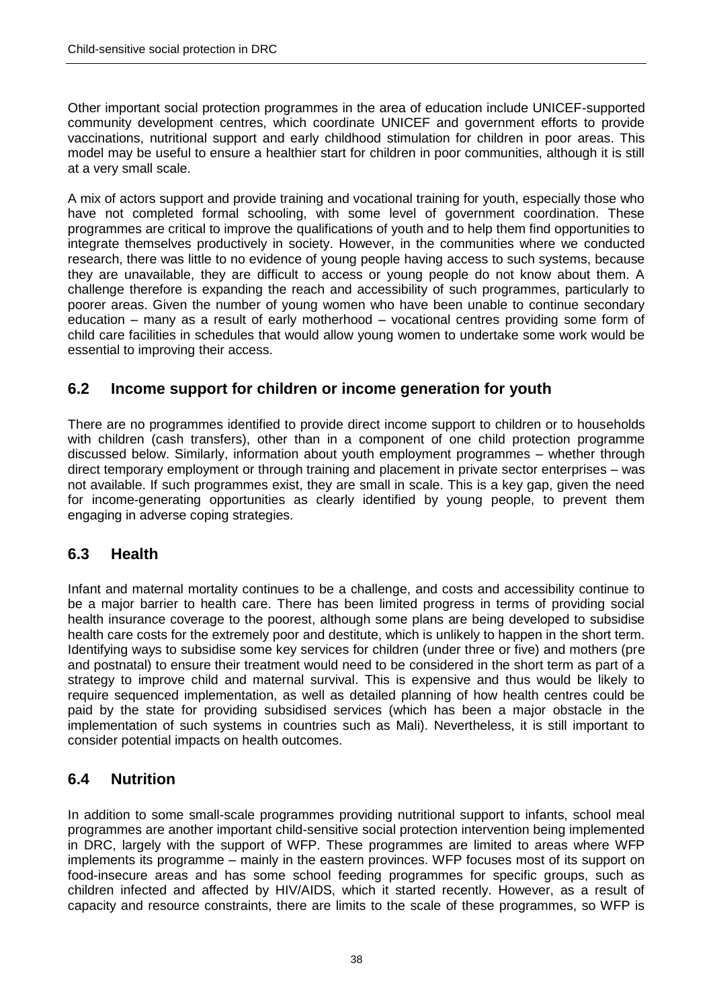Other important social protection programmes in the area of education include UNICEF-supported community development centres, which coordinate UNICEF and government efforts to provide vaccinations, nutritional support and early childhood stimulation for children in poor areas. This model may be useful to ensure a healthier start for children in poor communities, although it is still at a very small scale.

A mix of actors support and provide training and vocational training for youth, especially those who have not completed formal schooling, with some level of government coordination. These programmes are critical to improve the qualifications of youth and to help them find opportunities to integrate themselves productively in society. However, in the communities where we conducted research, there was little to no evidence of young people having access to such systems, because they are unavailable, they are difficult to access or young people do not know about them. A challenge therefore is expanding the reach and accessibility of such programmes, particularly to poorer areas. Given the number of young women who have been unable to continue secondary education – many as a result of early motherhood – vocational centres providing some form of child care facilities in schedules that would allow young women to undertake some work would be essential to improving their access.

## <span id="page-49-0"></span>**6.2 Income support for children or income generation for youth**

There are no programmes identified to provide direct income support to children or to households with children (cash transfers), other than in a component of one child protection programme discussed below. Similarly, information about youth employment programmes – whether through direct temporary employment or through training and placement in private sector enterprises – was not available. If such programmes exist, they are small in scale. This is a key gap, given the need for income-generating opportunities as clearly identified by young people, to prevent them engaging in adverse coping strategies.

## <span id="page-49-1"></span>**6.3 Health**

Infant and maternal mortality continues to be a challenge, and costs and accessibility continue to be a major barrier to health care. There has been limited progress in terms of providing social health insurance coverage to the poorest, although some plans are being developed to subsidise health care costs for the extremely poor and destitute, which is unlikely to happen in the short term. Identifying ways to subsidise some key services for children (under three or five) and mothers (pre and postnatal) to ensure their treatment would need to be considered in the short term as part of a strategy to improve child and maternal survival. This is expensive and thus would be likely to require sequenced implementation, as well as detailed planning of how health centres could be paid by the state for providing subsidised services (which has been a major obstacle in the implementation of such systems in countries such as Mali). Nevertheless, it is still important to consider potential impacts on health outcomes.

## <span id="page-49-2"></span>**6.4 Nutrition**

In addition to some small-scale programmes providing nutritional support to infants, school meal programmes are another important child-sensitive social protection intervention being implemented in DRC, largely with the support of WFP. These programmes are limited to areas where WFP implements its programme – mainly in the eastern provinces. WFP focuses most of its support on food-insecure areas and has some school feeding programmes for specific groups, such as children infected and affected by HIV/AIDS, which it started recently. However, as a result of capacity and resource constraints, there are limits to the scale of these programmes, so WFP is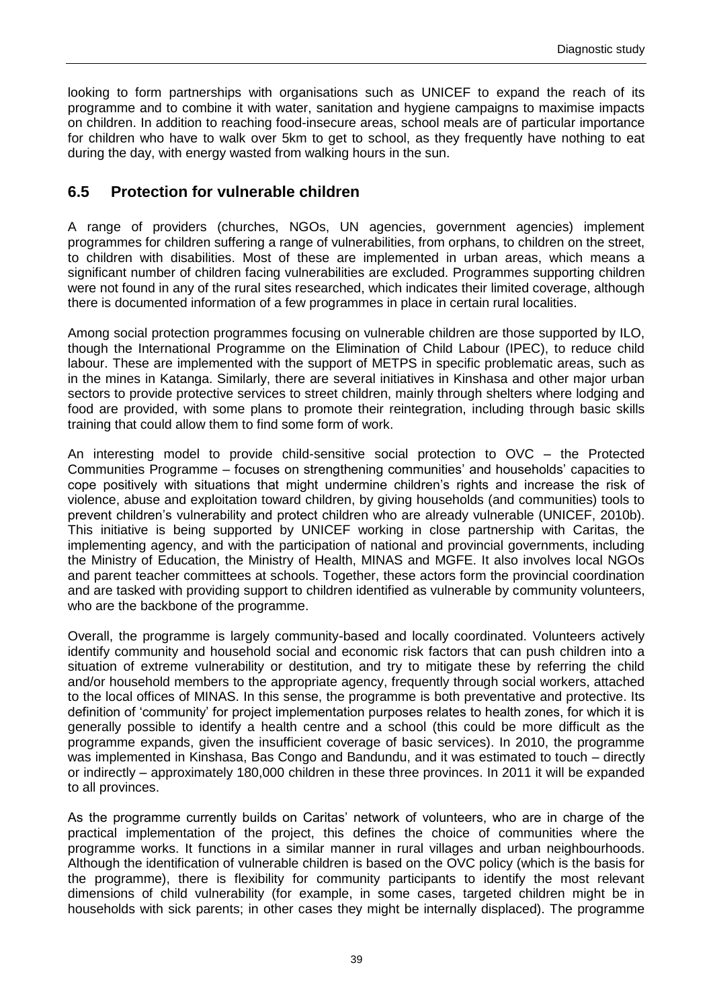looking to form partnerships with organisations such as UNICEF to expand the reach of its programme and to combine it with water, sanitation and hygiene campaigns to maximise impacts on children. In addition to reaching food-insecure areas, school meals are of particular importance for children who have to walk over 5km to get to school, as they frequently have nothing to eat during the day, with energy wasted from walking hours in the sun.

## <span id="page-50-0"></span>**6.5 Protection for vulnerable children**

A range of providers (churches, NGOs, UN agencies, government agencies) implement programmes for children suffering a range of vulnerabilities, from orphans, to children on the street, to children with disabilities. Most of these are implemented in urban areas, which means a significant number of children facing vulnerabilities are excluded. Programmes supporting children were not found in any of the rural sites researched, which indicates their limited coverage, although there is documented information of a few programmes in place in certain rural localities.

Among social protection programmes focusing on vulnerable children are those supported by ILO, though the International Programme on the Elimination of Child Labour (IPEC), to reduce child labour. These are implemented with the support of METPS in specific problematic areas, such as in the mines in Katanga. Similarly, there are several initiatives in Kinshasa and other major urban sectors to provide protective services to street children, mainly through shelters where lodging and food are provided, with some plans to promote their reintegration, including through basic skills training that could allow them to find some form of work.

An interesting model to provide child-sensitive social protection to OVC – the Protected Communities Programme – focuses on strengthening communities' and households' capacities to cope positively with situations that might undermine children's rights and increase the risk of violence, abuse and exploitation toward children, by giving households (and communities) tools to prevent children's vulnerability and protect children who are already vulnerable (UNICEF, 2010b). This initiative is being supported by UNICEF working in close partnership with Caritas, the implementing agency, and with the participation of national and provincial governments, including the Ministry of Education, the Ministry of Health, MINAS and MGFE. It also involves local NGOs and parent teacher committees at schools. Together, these actors form the provincial coordination and are tasked with providing support to children identified as vulnerable by community volunteers, who are the backbone of the programme.

Overall, the programme is largely community-based and locally coordinated. Volunteers actively identify community and household social and economic risk factors that can push children into a situation of extreme vulnerability or destitution, and try to mitigate these by referring the child and/or household members to the appropriate agency, frequently through social workers, attached to the local offices of MINAS. In this sense, the programme is both preventative and protective. Its definition of 'community' for project implementation purposes relates to health zones, for which it is generally possible to identify a health centre and a school (this could be more difficult as the programme expands, given the insufficient coverage of basic services). In 2010, the programme was implemented in Kinshasa, Bas Congo and Bandundu, and it was estimated to touch – directly or indirectly – approximately 180,000 children in these three provinces. In 2011 it will be expanded to all provinces.

As the programme currently builds on Caritas' network of volunteers, who are in charge of the practical implementation of the project, this defines the choice of communities where the programme works. It functions in a similar manner in rural villages and urban neighbourhoods. Although the identification of vulnerable children is based on the OVC policy (which is the basis for the programme), there is flexibility for community participants to identify the most relevant dimensions of child vulnerability (for example, in some cases, targeted children might be in households with sick parents; in other cases they might be internally displaced). The programme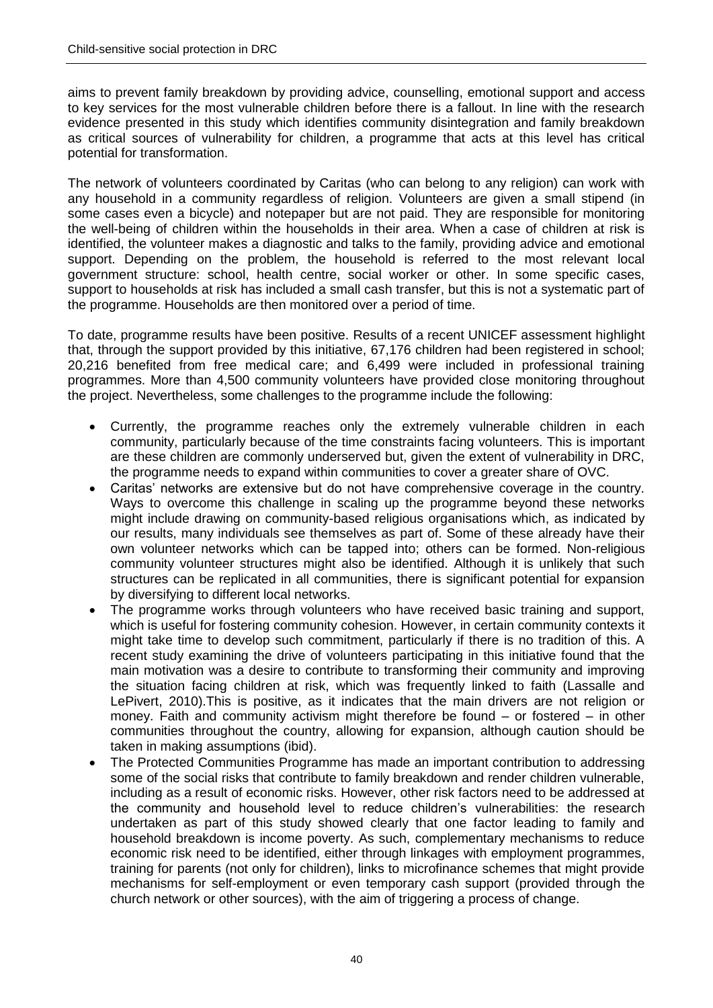aims to prevent family breakdown by providing advice, counselling, emotional support and access to key services for the most vulnerable children before there is a fallout. In line with the research evidence presented in this study which identifies community disintegration and family breakdown as critical sources of vulnerability for children, a programme that acts at this level has critical potential for transformation.

The network of volunteers coordinated by Caritas (who can belong to any religion) can work with any household in a community regardless of religion. Volunteers are given a small stipend (in some cases even a bicycle) and notepaper but are not paid. They are responsible for monitoring the well-being of children within the households in their area. When a case of children at risk is identified, the volunteer makes a diagnostic and talks to the family, providing advice and emotional support. Depending on the problem, the household is referred to the most relevant local government structure: school, health centre, social worker or other. In some specific cases, support to households at risk has included a small cash transfer, but this is not a systematic part of the programme. Households are then monitored over a period of time.

To date, programme results have been positive. Results of a recent UNICEF assessment highlight that, through the support provided by this initiative, 67,176 children had been registered in school; 20,216 benefited from free medical care; and 6,499 were included in professional training programmes. More than 4,500 community volunteers have provided close monitoring throughout the project. Nevertheless, some challenges to the programme include the following:

- Currently, the programme reaches only the extremely vulnerable children in each community, particularly because of the time constraints facing volunteers. This is important are these children are commonly underserved but, given the extent of vulnerability in DRC, the programme needs to expand within communities to cover a greater share of OVC.
- Caritas' networks are extensive but do not have comprehensive coverage in the country. Ways to overcome this challenge in scaling up the programme beyond these networks might include drawing on community-based religious organisations which, as indicated by our results, many individuals see themselves as part of. Some of these already have their own volunteer networks which can be tapped into; others can be formed. Non-religious community volunteer structures might also be identified. Although it is unlikely that such structures can be replicated in all communities, there is significant potential for expansion by diversifying to different local networks.
- The programme works through volunteers who have received basic training and support, which is useful for fostering community cohesion. However, in certain community contexts it might take time to develop such commitment, particularly if there is no tradition of this. A recent study examining the drive of volunteers participating in this initiative found that the main motivation was a desire to contribute to transforming their community and improving the situation facing children at risk, which was frequently linked to faith (Lassalle and LePivert, 2010).This is positive, as it indicates that the main drivers are not religion or money. Faith and community activism might therefore be found – or fostered – in other communities throughout the country, allowing for expansion, although caution should be taken in making assumptions (ibid).
- The Protected Communities Programme has made an important contribution to addressing some of the social risks that contribute to family breakdown and render children vulnerable, including as a result of economic risks. However, other risk factors need to be addressed at the community and household level to reduce children's vulnerabilities: the research undertaken as part of this study showed clearly that one factor leading to family and household breakdown is income poverty. As such, complementary mechanisms to reduce economic risk need to be identified, either through linkages with employment programmes, training for parents (not only for children), links to microfinance schemes that might provide mechanisms for self-employment or even temporary cash support (provided through the church network or other sources), with the aim of triggering a process of change.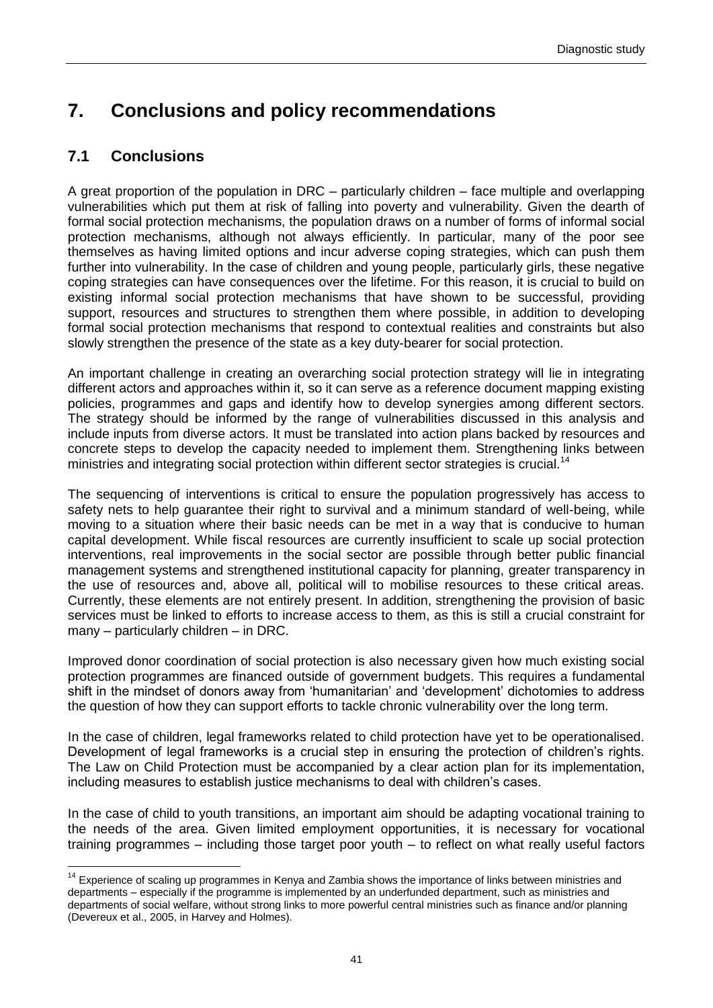# <span id="page-52-0"></span>**7. Conclusions and policy recommendations**

# <span id="page-52-1"></span>**7.1 Conclusions**

1

A great proportion of the population in DRC – particularly children – face multiple and overlapping vulnerabilities which put them at risk of falling into poverty and vulnerability. Given the dearth of formal social protection mechanisms, the population draws on a number of forms of informal social protection mechanisms, although not always efficiently. In particular, many of the poor see themselves as having limited options and incur adverse coping strategies, which can push them further into vulnerability. In the case of children and young people, particularly girls, these negative coping strategies can have consequences over the lifetime. For this reason, it is crucial to build on existing informal social protection mechanisms that have shown to be successful, providing support, resources and structures to strengthen them where possible, in addition to developing formal social protection mechanisms that respond to contextual realities and constraints but also slowly strengthen the presence of the state as a key duty-bearer for social protection.

An important challenge in creating an overarching social protection strategy will lie in integrating different actors and approaches within it, so it can serve as a reference document mapping existing policies, programmes and gaps and identify how to develop synergies among different sectors. The strategy should be informed by the range of vulnerabilities discussed in this analysis and include inputs from diverse actors. It must be translated into action plans backed by resources and concrete steps to develop the capacity needed to implement them. Strengthening links between ministries and integrating social protection within different sector strategies is crucial.<sup>14</sup>

The sequencing of interventions is critical to ensure the population progressively has access to safety nets to help guarantee their right to survival and a minimum standard of well-being, while moving to a situation where their basic needs can be met in a way that is conducive to human capital development. While fiscal resources are currently insufficient to scale up social protection interventions, real improvements in the social sector are possible through better public financial management systems and strengthened institutional capacity for planning, greater transparency in the use of resources and, above all, political will to mobilise resources to these critical areas. Currently, these elements are not entirely present. In addition, strengthening the provision of basic services must be linked to efforts to increase access to them, as this is still a crucial constraint for many – particularly children – in DRC.

Improved donor coordination of social protection is also necessary given how much existing social protection programmes are financed outside of government budgets. This requires a fundamental shift in the mindset of donors away from 'humanitarian' and 'development' dichotomies to address the question of how they can support efforts to tackle chronic vulnerability over the long term.

In the case of children, legal frameworks related to child protection have yet to be operationalised. Development of legal frameworks is a crucial step in ensuring the protection of children's rights. The Law on Child Protection must be accompanied by a clear action plan for its implementation, including measures to establish justice mechanisms to deal with children's cases.

In the case of child to youth transitions, an important aim should be adapting vocational training to the needs of the area. Given limited employment opportunities, it is necessary for vocational training programmes – including those target poor youth – to reflect on what really useful factors

<sup>&</sup>lt;sup>14</sup> Experience of scaling up programmes in Kenya and Zambia shows the importance of links between ministries and departments – especially if the programme is implemented by an underfunded department, such as ministries and departments of social welfare, without strong links to more powerful central ministries such as finance and/or planning (Devereux et al., 2005, in Harvey and Holmes).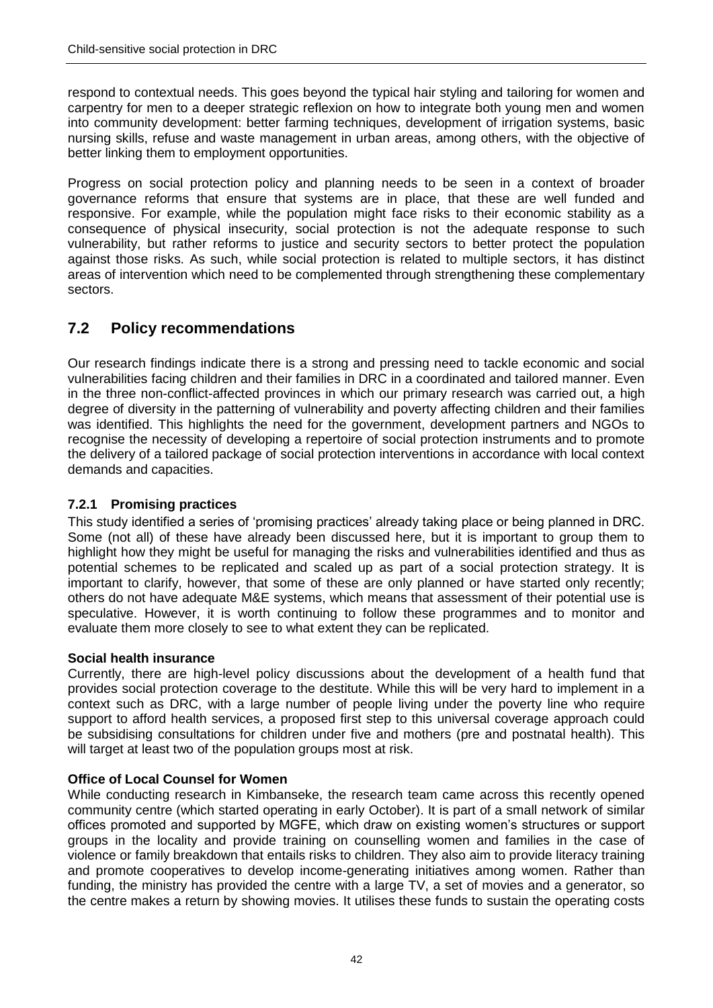respond to contextual needs. This goes beyond the typical hair styling and tailoring for women and carpentry for men to a deeper strategic reflexion on how to integrate both young men and women into community development: better farming techniques, development of irrigation systems, basic nursing skills, refuse and waste management in urban areas, among others, with the objective of better linking them to employment opportunities.

Progress on social protection policy and planning needs to be seen in a context of broader governance reforms that ensure that systems are in place, that these are well funded and responsive. For example, while the population might face risks to their economic stability as a consequence of physical insecurity, social protection is not the adequate response to such vulnerability, but rather reforms to justice and security sectors to better protect the population against those risks. As such, while social protection is related to multiple sectors, it has distinct areas of intervention which need to be complemented through strengthening these complementary sectors.

## <span id="page-53-0"></span>**7.2 Policy recommendations**

Our research findings indicate there is a strong and pressing need to tackle economic and social vulnerabilities facing children and their families in DRC in a coordinated and tailored manner. Even in the three non-conflict-affected provinces in which our primary research was carried out, a high degree of diversity in the patterning of vulnerability and poverty affecting children and their families was identified. This highlights the need for the government, development partners and NGOs to recognise the necessity of developing a repertoire of social protection instruments and to promote the delivery of a tailored package of social protection interventions in accordance with local context demands and capacities.

### <span id="page-53-1"></span>**7.2.1 Promising practices**

This study identified a series of 'promising practices' already taking place or being planned in DRC. Some (not all) of these have already been discussed here, but it is important to group them to highlight how they might be useful for managing the risks and vulnerabilities identified and thus as potential schemes to be replicated and scaled up as part of a social protection strategy. It is important to clarify, however, that some of these are only planned or have started only recently; others do not have adequate M&E systems, which means that assessment of their potential use is speculative. However, it is worth continuing to follow these programmes and to monitor and evaluate them more closely to see to what extent they can be replicated.

#### **Social health insurance**

Currently, there are high-level policy discussions about the development of a health fund that provides social protection coverage to the destitute. While this will be very hard to implement in a context such as DRC, with a large number of people living under the poverty line who require support to afford health services, a proposed first step to this universal coverage approach could be subsidising consultations for children under five and mothers (pre and postnatal health). This will target at least two of the population groups most at risk.

#### **Office of Local Counsel for Women**

While conducting research in Kimbanseke, the research team came across this recently opened community centre (which started operating in early October). It is part of a small network of similar offices promoted and supported by MGFE, which draw on existing women's structures or support groups in the locality and provide training on counselling women and families in the case of violence or family breakdown that entails risks to children. They also aim to provide literacy training and promote cooperatives to develop income-generating initiatives among women. Rather than funding, the ministry has provided the centre with a large TV, a set of movies and a generator, so the centre makes a return by showing movies. It utilises these funds to sustain the operating costs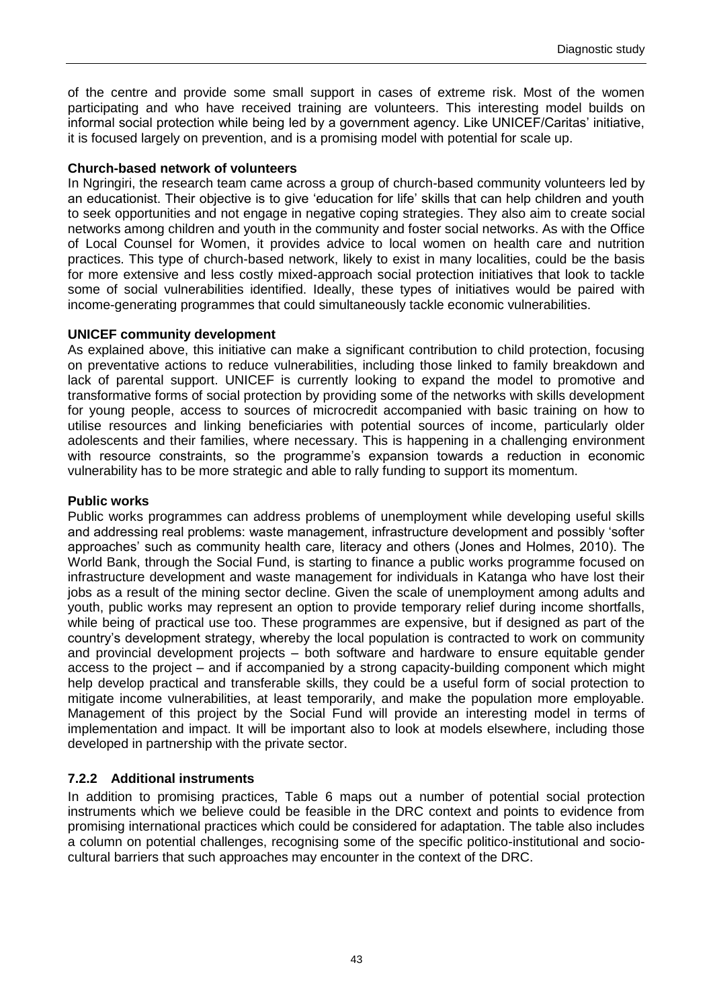of the centre and provide some small support in cases of extreme risk. Most of the women participating and who have received training are volunteers. This interesting model builds on informal social protection while being led by a government agency. Like UNICEF/Caritas' initiative, it is focused largely on prevention, and is a promising model with potential for scale up.

#### **Church-based network of volunteers**

In Ngringiri, the research team came across a group of church-based community volunteers led by an educationist. Their objective is to give 'education for life' skills that can help children and youth to seek opportunities and not engage in negative coping strategies. They also aim to create social networks among children and youth in the community and foster social networks. As with the Office of Local Counsel for Women, it provides advice to local women on health care and nutrition practices. This type of church-based network, likely to exist in many localities, could be the basis for more extensive and less costly mixed-approach social protection initiatives that look to tackle some of social vulnerabilities identified. Ideally, these types of initiatives would be paired with income-generating programmes that could simultaneously tackle economic vulnerabilities.

#### **UNICEF community development**

As explained above, this initiative can make a significant contribution to child protection, focusing on preventative actions to reduce vulnerabilities, including those linked to family breakdown and lack of parental support. UNICEF is currently looking to expand the model to promotive and transformative forms of social protection by providing some of the networks with skills development for young people, access to sources of microcredit accompanied with basic training on how to utilise resources and linking beneficiaries with potential sources of income, particularly older adolescents and their families, where necessary. This is happening in a challenging environment with resource constraints, so the programme's expansion towards a reduction in economic vulnerability has to be more strategic and able to rally funding to support its momentum.

#### **Public works**

Public works programmes can address problems of unemployment while developing useful skills and addressing real problems: waste management, infrastructure development and possibly 'softer approaches' such as community health care, literacy and others (Jones and Holmes, 2010). The World Bank, through the Social Fund, is starting to finance a public works programme focused on infrastructure development and waste management for individuals in Katanga who have lost their jobs as a result of the mining sector decline. Given the scale of unemployment among adults and youth, public works may represent an option to provide temporary relief during income shortfalls, while being of practical use too. These programmes are expensive, but if designed as part of the country's development strategy, whereby the local population is contracted to work on community and provincial development projects – both software and hardware to ensure equitable gender access to the project – and if accompanied by a strong capacity-building component which might help develop practical and transferable skills, they could be a useful form of social protection to mitigate income vulnerabilities, at least temporarily, and make the population more employable. Management of this project by the Social Fund will provide an interesting model in terms of implementation and impact. It will be important also to look at models elsewhere, including those developed in partnership with the private sector.

#### <span id="page-54-0"></span>**7.2.2 Additional instruments**

In addition to promising practices, Table 6 maps out a number of potential social protection instruments which we believe could be feasible in the DRC context and points to evidence from promising international practices which could be considered for adaptation. The table also includes a column on potential challenges, recognising some of the specific politico-institutional and sociocultural barriers that such approaches may encounter in the context of the DRC.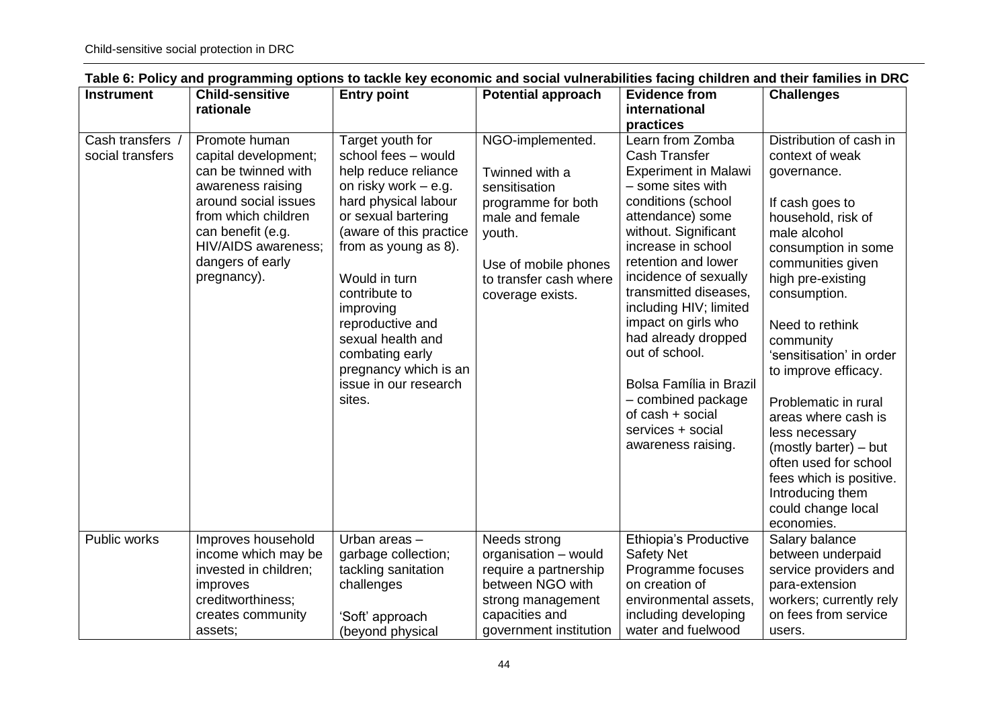<span id="page-55-0"></span>

| <b>Instrument</b> | ndolo v. i viloj dna prvyramininy opavno to tavilo koj vovnomno dna ovolar ramoravilitivo laviny vilitaron and moli ramino in Drt<br><b>Child-sensitive</b> | <b>Entry point</b>      | <b>Potential approach</b> | <b>Evidence from</b>        | <b>Challenges</b>        |
|-------------------|-------------------------------------------------------------------------------------------------------------------------------------------------------------|-------------------------|---------------------------|-----------------------------|--------------------------|
|                   | rationale                                                                                                                                                   |                         |                           | international               |                          |
|                   |                                                                                                                                                             |                         |                           | practices                   |                          |
| Cash transfers    | Promote human                                                                                                                                               | Target youth for        | NGO-implemented.          | Learn from Zomba            | Distribution of cash in  |
| social transfers  | capital development;                                                                                                                                        | school fees - would     |                           | Cash Transfer               | context of weak          |
|                   | can be twinned with                                                                                                                                         | help reduce reliance    | Twinned with a            | <b>Experiment in Malawi</b> | governance.              |
|                   | awareness raising                                                                                                                                           | on risky work $-$ e.g.  | sensitisation             | - some sites with           |                          |
|                   | around social issues                                                                                                                                        | hard physical labour    | programme for both        | conditions (school          | If cash goes to          |
|                   | from which children                                                                                                                                         | or sexual bartering     | male and female           | attendance) some            | household, risk of       |
|                   | can benefit (e.g.                                                                                                                                           | (aware of this practice | youth.                    | without. Significant        | male alcohol             |
|                   | HIV/AIDS awareness;                                                                                                                                         | from as young as 8).    |                           | increase in school          | consumption in some      |
|                   | dangers of early                                                                                                                                            |                         | Use of mobile phones      | retention and lower         | communities given        |
|                   | pregnancy).                                                                                                                                                 | Would in turn           | to transfer cash where    | incidence of sexually       | high pre-existing        |
|                   |                                                                                                                                                             | contribute to           | coverage exists.          | transmitted diseases,       | consumption.             |
|                   |                                                                                                                                                             | improving               |                           | including HIV; limited      |                          |
|                   |                                                                                                                                                             | reproductive and        |                           | impact on girls who         | Need to rethink          |
|                   |                                                                                                                                                             | sexual health and       |                           | had already dropped         | community                |
|                   |                                                                                                                                                             | combating early         |                           | out of school.              | 'sensitisation' in order |
|                   |                                                                                                                                                             | pregnancy which is an   |                           |                             | to improve efficacy.     |
|                   |                                                                                                                                                             | issue in our research   |                           | Bolsa Família in Brazil     |                          |
|                   |                                                                                                                                                             | sites.                  |                           | - combined package          | Problematic in rural     |
|                   |                                                                                                                                                             |                         |                           | of cash + social            | areas where cash is      |
|                   |                                                                                                                                                             |                         |                           | services + social           | less necessary           |
|                   |                                                                                                                                                             |                         |                           | awareness raising.          | (mostly barter) – but    |
|                   |                                                                                                                                                             |                         |                           |                             | often used for school    |
|                   |                                                                                                                                                             |                         |                           |                             | fees which is positive.  |
|                   |                                                                                                                                                             |                         |                           |                             | Introducing them         |
|                   |                                                                                                                                                             |                         |                           |                             | could change local       |
|                   |                                                                                                                                                             |                         |                           |                             | economies.               |
| Public works      | Improves household                                                                                                                                          | Urban areas-            | Needs strong              | Ethiopia's Productive       | Salary balance           |
|                   | income which may be                                                                                                                                         | garbage collection;     | organisation - would      | <b>Safety Net</b>           | between underpaid        |
|                   | invested in children;                                                                                                                                       | tackling sanitation     | require a partnership     | Programme focuses           | service providers and    |
|                   | improves                                                                                                                                                    | challenges              | between NGO with          | on creation of              | para-extension           |
|                   | creditworthiness;                                                                                                                                           |                         | strong management         | environmental assets,       | workers; currently rely  |
|                   | creates community                                                                                                                                           | 'Soft' approach         | capacities and            | including developing        | on fees from service     |
|                   | assets;                                                                                                                                                     | (beyond physical        | government institution    | water and fuelwood          | users.                   |

### **Table 6: Policy and programming options to tackle key economic and social vulnerabilities facing children and their families in DRC**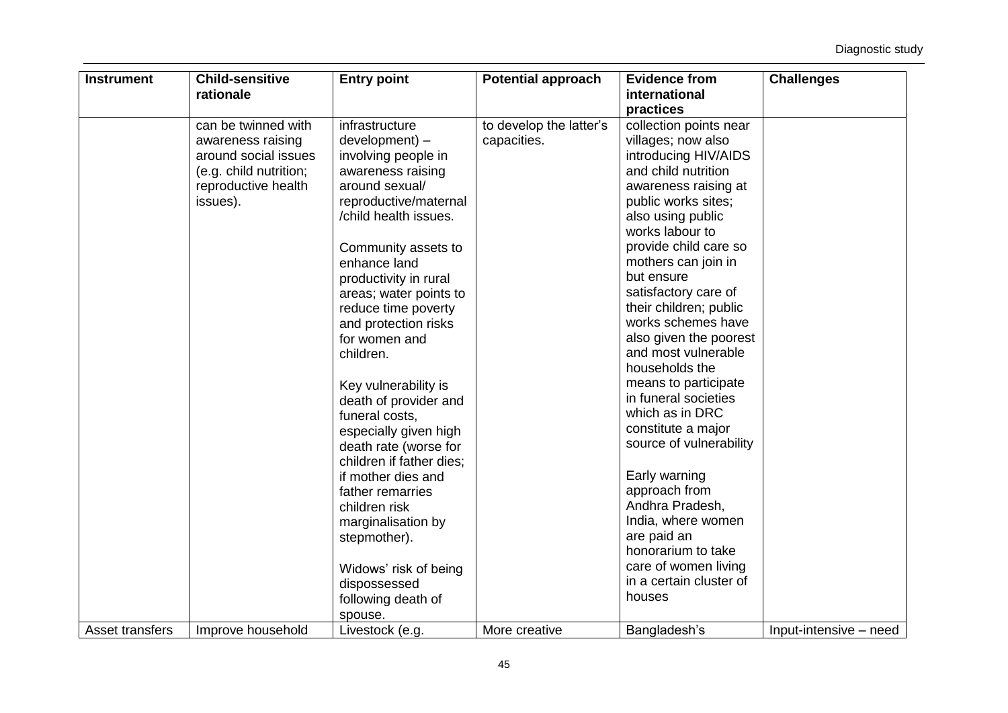| <b>Instrument</b> | <b>Child-sensitive</b><br>rationale | <b>Entry point</b>       | <b>Potential approach</b> | <b>Evidence from</b><br>international | <b>Challenges</b>      |
|-------------------|-------------------------------------|--------------------------|---------------------------|---------------------------------------|------------------------|
|                   |                                     |                          |                           | practices                             |                        |
|                   | can be twinned with                 | infrastructure           | to develop the latter's   | collection points near                |                        |
|                   | awareness raising                   | development) -           | capacities.               | villages; now also                    |                        |
|                   | around social issues                | involving people in      |                           | introducing HIV/AIDS                  |                        |
|                   | (e.g. child nutrition;              | awareness raising        |                           | and child nutrition                   |                        |
|                   | reproductive health                 | around sexual/           |                           | awareness raising at                  |                        |
|                   | issues).                            | reproductive/maternal    |                           | public works sites;                   |                        |
|                   |                                     | /child health issues.    |                           | also using public                     |                        |
|                   |                                     |                          |                           | works labour to                       |                        |
|                   |                                     | Community assets to      |                           | provide child care so                 |                        |
|                   |                                     | enhance land             |                           | mothers can join in                   |                        |
|                   |                                     | productivity in rural    |                           | but ensure                            |                        |
|                   |                                     | areas; water points to   |                           | satisfactory care of                  |                        |
|                   |                                     | reduce time poverty      |                           | their children; public                |                        |
|                   |                                     | and protection risks     |                           | works schemes have                    |                        |
|                   |                                     | for women and            |                           | also given the poorest                |                        |
|                   |                                     | children.                |                           | and most vulnerable                   |                        |
|                   |                                     |                          |                           | households the                        |                        |
|                   |                                     | Key vulnerability is     |                           | means to participate                  |                        |
|                   |                                     | death of provider and    |                           | in funeral societies                  |                        |
|                   |                                     | funeral costs,           |                           | which as in DRC                       |                        |
|                   |                                     | especially given high    |                           | constitute a major                    |                        |
|                   |                                     | death rate (worse for    |                           | source of vulnerability               |                        |
|                   |                                     | children if father dies; |                           |                                       |                        |
|                   |                                     | if mother dies and       |                           | Early warning                         |                        |
|                   |                                     | father remarries         |                           | approach from                         |                        |
|                   |                                     | children risk            |                           | Andhra Pradesh,                       |                        |
|                   |                                     | marginalisation by       |                           | India, where women                    |                        |
|                   |                                     | stepmother).             |                           | are paid an                           |                        |
|                   |                                     |                          |                           | honorarium to take                    |                        |
|                   |                                     | Widows' risk of being    |                           | care of women living                  |                        |
|                   |                                     | dispossessed             |                           | in a certain cluster of               |                        |
|                   |                                     | following death of       |                           | houses                                |                        |
|                   |                                     | spouse.                  |                           |                                       |                        |
| Asset transfers   | Improve household                   | Livestock (e.g.          | More creative             | Bangladesh's                          | Input-intensive - need |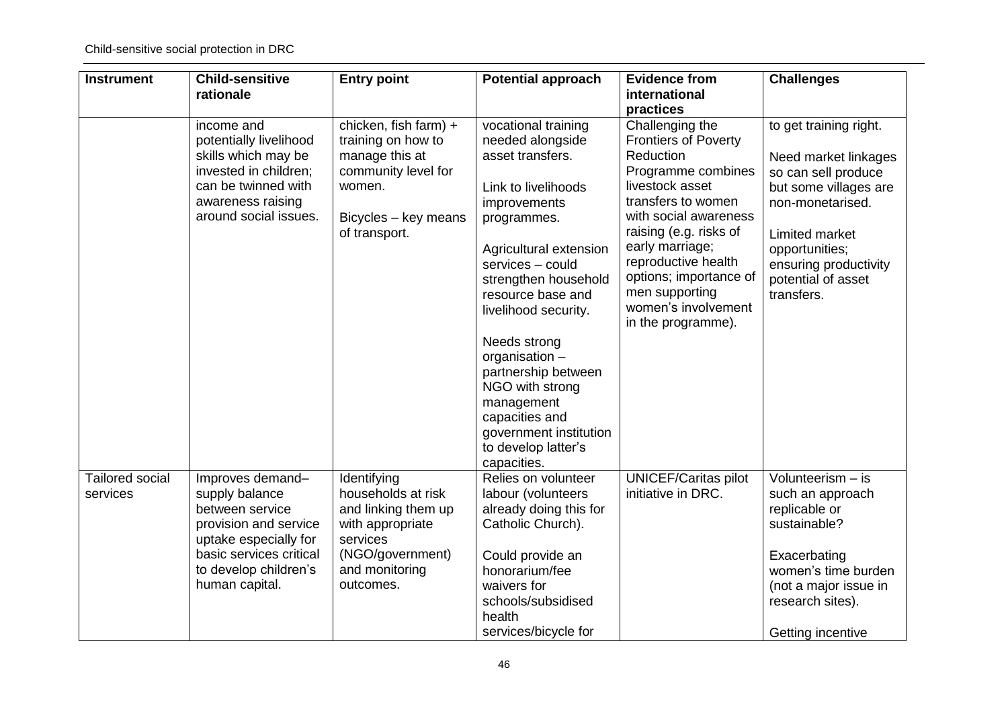| <b>Instrument</b>                  | <b>Child-sensitive</b><br>rationale                                                                                                                                           | <b>Entry point</b>                                                                                                                          | <b>Potential approach</b>                                                                                                                                                                                                                                                                                                                                                                                        | <b>Evidence from</b><br>international<br>practices                                                                                                                                                                                                                                                               | <b>Challenges</b>                                                                                                                                                                                                   |
|------------------------------------|-------------------------------------------------------------------------------------------------------------------------------------------------------------------------------|---------------------------------------------------------------------------------------------------------------------------------------------|------------------------------------------------------------------------------------------------------------------------------------------------------------------------------------------------------------------------------------------------------------------------------------------------------------------------------------------------------------------------------------------------------------------|------------------------------------------------------------------------------------------------------------------------------------------------------------------------------------------------------------------------------------------------------------------------------------------------------------------|---------------------------------------------------------------------------------------------------------------------------------------------------------------------------------------------------------------------|
|                                    | income and<br>potentially livelihood<br>skills which may be<br>invested in children;<br>can be twinned with<br>awareness raising<br>around social issues.                     | chicken, fish farm) +<br>training on how to<br>manage this at<br>community level for<br>women.<br>Bicycles - key means<br>of transport.     | vocational training<br>needed alongside<br>asset transfers.<br>Link to livelihoods<br>improvements<br>programmes.<br>Agricultural extension<br>services - could<br>strengthen household<br>resource base and<br>livelihood security.<br>Needs strong<br>organisation -<br>partnership between<br>NGO with strong<br>management<br>capacities and<br>government institution<br>to develop latter's<br>capacities. | Challenging the<br><b>Frontiers of Poverty</b><br>Reduction<br>Programme combines<br>livestock asset<br>transfers to women<br>with social awareness<br>raising (e.g. risks of<br>early marriage;<br>reproductive health<br>options; importance of<br>men supporting<br>women's involvement<br>in the programme). | to get training right.<br>Need market linkages<br>so can sell produce<br>but some villages are<br>non-monetarised.<br>Limited market<br>opportunities;<br>ensuring productivity<br>potential of asset<br>transfers. |
| <b>Tailored social</b><br>services | Improves demand-<br>supply balance<br>between service<br>provision and service<br>uptake especially for<br>basic services critical<br>to develop children's<br>human capital. | Identifying<br>households at risk<br>and linking them up<br>with appropriate<br>services<br>(NGO/government)<br>and monitoring<br>outcomes. | Relies on volunteer<br>labour (volunteers<br>already doing this for<br>Catholic Church).<br>Could provide an<br>honorarium/fee<br>waivers for<br>schools/subsidised<br>health<br>services/bicycle for                                                                                                                                                                                                            | <b>UNICEF/Caritas pilot</b><br>initiative in DRC.                                                                                                                                                                                                                                                                | Volunteerism - is<br>such an approach<br>replicable or<br>sustainable?<br>Exacerbating<br>women's time burden<br>(not a major issue in<br>research sites).<br>Getting incentive                                     |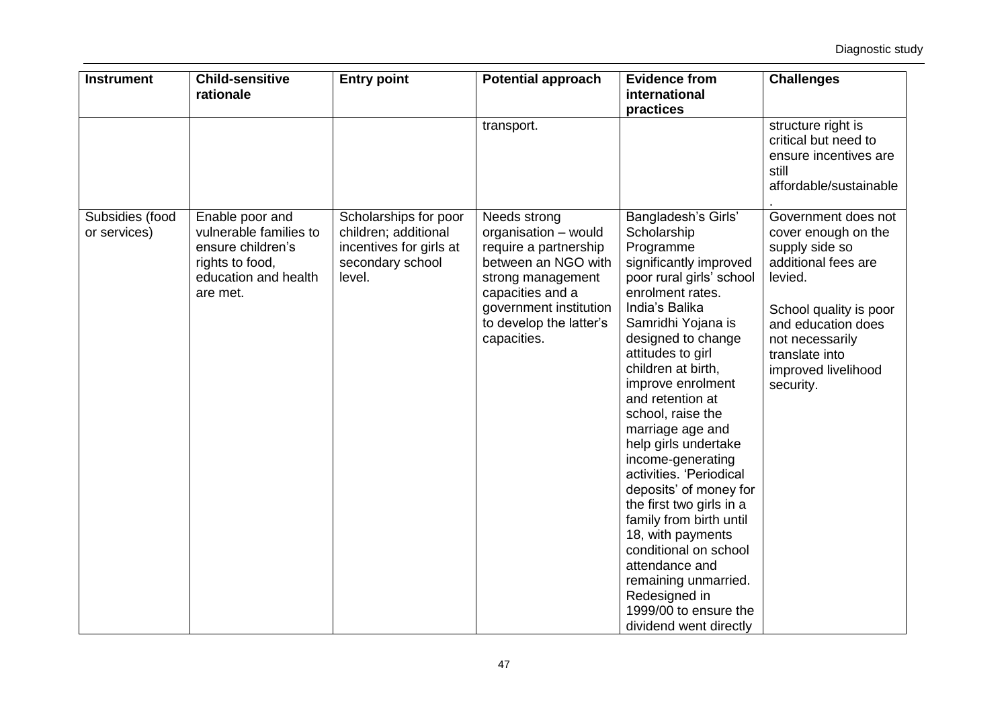| <b>Instrument</b>               | <b>Child-sensitive</b><br>rationale                                                                                   | <b>Entry point</b>                                                                                     | <b>Potential approach</b>                                                                                                                                                                         | <b>Evidence from</b><br>international<br>practices                                                                                                                                                                                                                                                                                                                                                                                                                                                                                                                                                                                        | <b>Challenges</b>                                                                                                                                                                                                       |
|---------------------------------|-----------------------------------------------------------------------------------------------------------------------|--------------------------------------------------------------------------------------------------------|---------------------------------------------------------------------------------------------------------------------------------------------------------------------------------------------------|-------------------------------------------------------------------------------------------------------------------------------------------------------------------------------------------------------------------------------------------------------------------------------------------------------------------------------------------------------------------------------------------------------------------------------------------------------------------------------------------------------------------------------------------------------------------------------------------------------------------------------------------|-------------------------------------------------------------------------------------------------------------------------------------------------------------------------------------------------------------------------|
|                                 |                                                                                                                       |                                                                                                        | transport.                                                                                                                                                                                        |                                                                                                                                                                                                                                                                                                                                                                                                                                                                                                                                                                                                                                           | structure right is<br>critical but need to<br>ensure incentives are<br>still<br>affordable/sustainable                                                                                                                  |
| Subsidies (food<br>or services) | Enable poor and<br>vulnerable families to<br>ensure children's<br>rights to food,<br>education and health<br>are met. | Scholarships for poor<br>children; additional<br>incentives for girls at<br>secondary school<br>level. | Needs strong<br>organisation - would<br>require a partnership<br>between an NGO with<br>strong management<br>capacities and a<br>government institution<br>to develop the latter's<br>capacities. | Bangladesh's Girls'<br>Scholarship<br>Programme<br>significantly improved<br>poor rural girls' school<br>enrolment rates.<br>India's Balika<br>Samridhi Yojana is<br>designed to change<br>attitudes to girl<br>children at birth,<br>improve enrolment<br>and retention at<br>school, raise the<br>marriage age and<br>help girls undertake<br>income-generating<br>activities. 'Periodical<br>deposits' of money for<br>the first two girls in a<br>family from birth until<br>18, with payments<br>conditional on school<br>attendance and<br>remaining unmarried.<br>Redesigned in<br>1999/00 to ensure the<br>dividend went directly | Government does not<br>cover enough on the<br>supply side so<br>additional fees are<br>levied.<br>School quality is poor<br>and education does<br>not necessarily<br>translate into<br>improved livelihood<br>security. |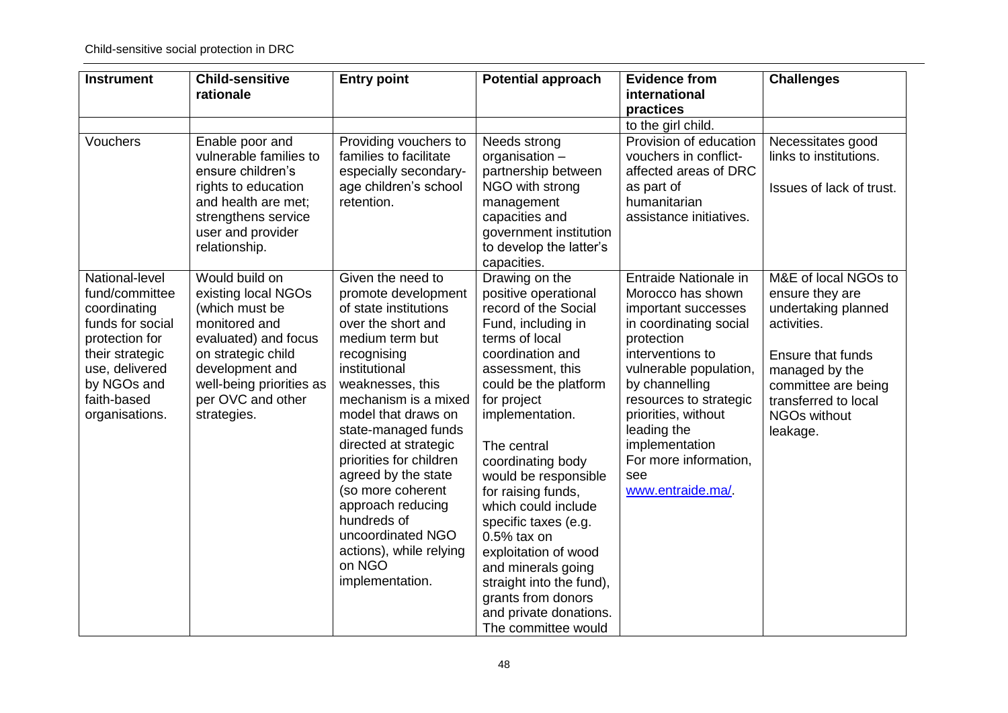| <b>Instrument</b>                                                                                                                                                           | <b>Child-sensitive</b><br>rationale                                                                                                                                                                       | <b>Entry point</b>                                                                                                                                                                                                                                                                                                                                                                                                                                    | <b>Potential approach</b>                                                                                                                                                                                                                                                                                                                                                                                                                                                                                    | <b>Evidence from</b><br>international<br>practices                                                                                                                                                                                                                                                              | <b>Challenges</b>                                                                                                                                                                                      |
|-----------------------------------------------------------------------------------------------------------------------------------------------------------------------------|-----------------------------------------------------------------------------------------------------------------------------------------------------------------------------------------------------------|-------------------------------------------------------------------------------------------------------------------------------------------------------------------------------------------------------------------------------------------------------------------------------------------------------------------------------------------------------------------------------------------------------------------------------------------------------|--------------------------------------------------------------------------------------------------------------------------------------------------------------------------------------------------------------------------------------------------------------------------------------------------------------------------------------------------------------------------------------------------------------------------------------------------------------------------------------------------------------|-----------------------------------------------------------------------------------------------------------------------------------------------------------------------------------------------------------------------------------------------------------------------------------------------------------------|--------------------------------------------------------------------------------------------------------------------------------------------------------------------------------------------------------|
|                                                                                                                                                                             |                                                                                                                                                                                                           |                                                                                                                                                                                                                                                                                                                                                                                                                                                       |                                                                                                                                                                                                                                                                                                                                                                                                                                                                                                              | to the girl child.                                                                                                                                                                                                                                                                                              |                                                                                                                                                                                                        |
| Vouchers                                                                                                                                                                    | Enable poor and<br>vulnerable families to<br>ensure children's<br>rights to education<br>and health are met;<br>strengthens service<br>user and provider<br>relationship.                                 | Providing vouchers to<br>families to facilitate<br>especially secondary-<br>age children's school<br>retention.                                                                                                                                                                                                                                                                                                                                       | Needs strong<br>organisation -<br>partnership between<br>NGO with strong<br>management<br>capacities and<br>government institution<br>to develop the latter's<br>capacities.                                                                                                                                                                                                                                                                                                                                 | Provision of education<br>vouchers in conflict-<br>affected areas of DRC<br>as part of<br>humanitarian<br>assistance initiatives.                                                                                                                                                                               | Necessitates good<br>links to institutions.<br>Issues of lack of trust.                                                                                                                                |
| National-level<br>fund/committee<br>coordinating<br>funds for social<br>protection for<br>their strategic<br>use, delivered<br>by NGOs and<br>faith-based<br>organisations. | Would build on<br>existing local NGOs<br>(which must be<br>monitored and<br>evaluated) and focus<br>on strategic child<br>development and<br>well-being priorities as<br>per OVC and other<br>strategies. | Given the need to<br>promote development<br>of state institutions<br>over the short and<br>medium term but<br>recognising<br>institutional<br>weaknesses, this<br>mechanism is a mixed<br>model that draws on<br>state-managed funds<br>directed at strategic<br>priorities for children<br>agreed by the state<br>(so more coherent<br>approach reducing<br>hundreds of<br>uncoordinated NGO<br>actions), while relying<br>on NGO<br>implementation. | Drawing on the<br>positive operational<br>record of the Social<br>Fund, including in<br>terms of local<br>coordination and<br>assessment, this<br>could be the platform<br>for project<br>implementation.<br>The central<br>coordinating body<br>would be responsible<br>for raising funds,<br>which could include<br>specific taxes (e.g.<br>$0.5%$ tax on<br>exploitation of wood<br>and minerals going<br>straight into the fund),<br>grants from donors<br>and private donations.<br>The committee would | Entraide Nationale in<br>Morocco has shown<br>important successes<br>in coordinating social<br>protection<br>interventions to<br>vulnerable population,<br>by channelling<br>resources to strategic<br>priorities, without<br>leading the<br>implementation<br>For more information,<br>see<br>www.entraide.ma/ | M&E of local NGOs to<br>ensure they are<br>undertaking planned<br>activities.<br>Ensure that funds<br>managed by the<br>committee are being<br>transferred to local<br><b>NGOs without</b><br>leakage. |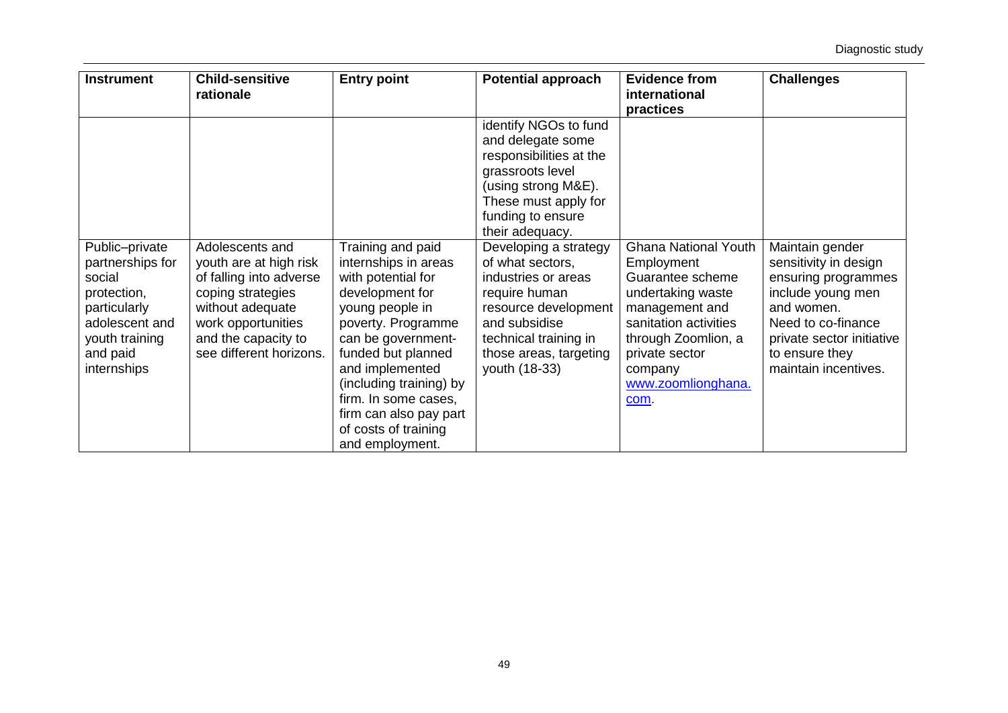| <b>Instrument</b>                                                                                                        | <b>Child-sensitive</b><br>rationale                                                                                                                                | <b>Entry point</b>                                                                                                                                                                                                                                                                            | <b>Potential approach</b>                                                                                                                                                                                 | <b>Evidence from</b><br>international<br>practices                                                                                                                               | <b>Challenges</b>                                                                                                                                                            |
|--------------------------------------------------------------------------------------------------------------------------|--------------------------------------------------------------------------------------------------------------------------------------------------------------------|-----------------------------------------------------------------------------------------------------------------------------------------------------------------------------------------------------------------------------------------------------------------------------------------------|-----------------------------------------------------------------------------------------------------------------------------------------------------------------------------------------------------------|----------------------------------------------------------------------------------------------------------------------------------------------------------------------------------|------------------------------------------------------------------------------------------------------------------------------------------------------------------------------|
| Public-private                                                                                                           | Adolescents and                                                                                                                                                    | Training and paid                                                                                                                                                                                                                                                                             | identify NGOs to fund<br>and delegate some<br>responsibilities at the<br>grassroots level<br>(using strong M&E).<br>These must apply for<br>funding to ensure<br>their adequacy.<br>Developing a strategy | <b>Ghana National Youth</b>                                                                                                                                                      | Maintain gender                                                                                                                                                              |
| partnerships for<br>social<br>protection,<br>particularly<br>adolescent and<br>youth training<br>and paid<br>internships | youth are at high risk<br>of falling into adverse<br>coping strategies<br>without adequate<br>work opportunities<br>and the capacity to<br>see different horizons. | internships in areas<br>with potential for<br>development for<br>young people in<br>poverty. Programme<br>can be government-<br>funded but planned<br>and implemented<br>(including training) by<br>firm. In some cases,<br>firm can also pay part<br>of costs of training<br>and employment. | of what sectors,<br>industries or areas<br>require human<br>resource development<br>and subsidise<br>technical training in<br>those areas, targeting<br>youth (18-33)                                     | Employment<br>Guarantee scheme<br>undertaking waste<br>management and<br>sanitation activities<br>through Zoomlion, a<br>private sector<br>company<br>www.zoomlionghana.<br>com. | sensitivity in design<br>ensuring programmes<br>include young men<br>and women.<br>Need to co-finance<br>private sector initiative<br>to ensure they<br>maintain incentives. |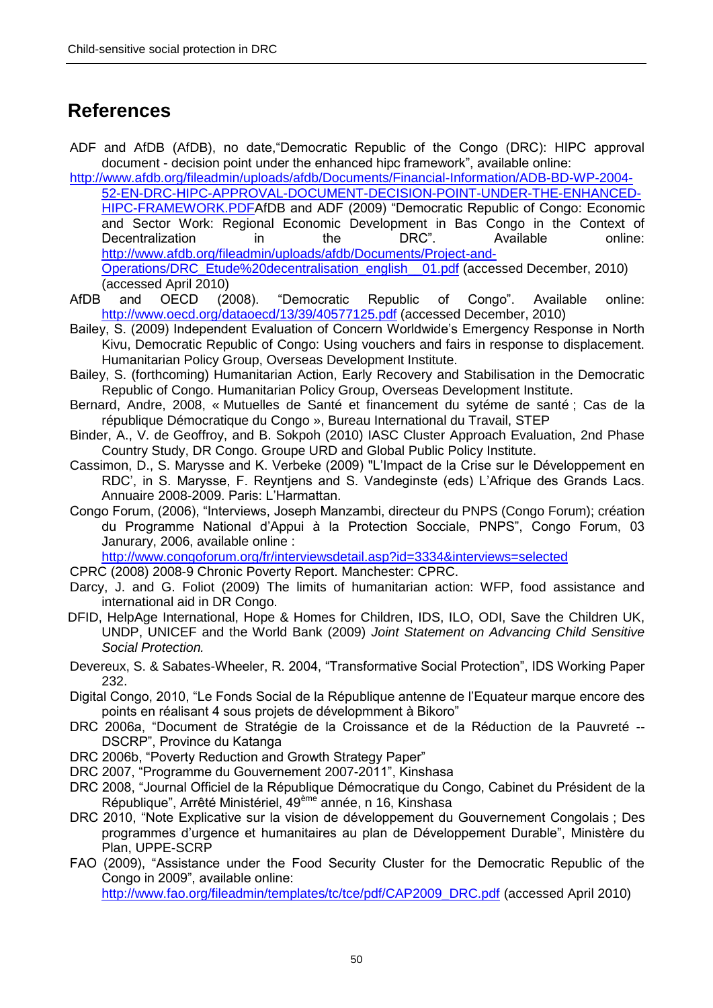# <span id="page-61-0"></span>**References**

ADF and AfDB (AfDB), no date,"Democratic Republic of the Congo (DRC): HIPC approval document - decision point under the enhanced hipc framework", available online:

[http://www.afdb.org/fileadmin/uploads/afdb/Documents/Financial-Information/ADB-BD-WP-2004-](http://www.afdb.org/fileadmin/uploads/afdb/Documents/Financial-Information/ADB-BD-WP-2004-52-EN-DRC-HIPC-APPROVAL-DOCUMENT-DECISION-POINT-UNDER-THE-ENHANCED-HIPC-FRAMEWORK.PDF) [52-EN-DRC-HIPC-APPROVAL-DOCUMENT-DECISION-POINT-UNDER-THE-ENHANCED-](http://www.afdb.org/fileadmin/uploads/afdb/Documents/Financial-Information/ADB-BD-WP-2004-52-EN-DRC-HIPC-APPROVAL-DOCUMENT-DECISION-POINT-UNDER-THE-ENHANCED-HIPC-FRAMEWORK.PDF)[HIPC-FRAMEWORK.PDFA](http://www.afdb.org/fileadmin/uploads/afdb/Documents/Financial-Information/ADB-BD-WP-2004-52-EN-DRC-HIPC-APPROVAL-DOCUMENT-DECISION-POINT-UNDER-THE-ENHANCED-HIPC-FRAMEWORK.PDF)fDB and ADF (2009) "Democratic Republic of Congo: Economic and Sector Work: Regional Economic Development in Bas Congo in the Context of Decentralization in the DRC". Available online: [http://www.afdb.org/fileadmin/uploads/afdb/Documents/Project-and-](http://www.afdb.org/fileadmin/uploads/afdb/Documents/Project-and-Operations/DRC_Etude%20decentralisation_english__01.pdf)[Operations/DRC\\_Etude%20decentralisation\\_english\\_\\_01.pdf](http://www.afdb.org/fileadmin/uploads/afdb/Documents/Project-and-Operations/DRC_Etude%20decentralisation_english__01.pdf) (accessed December, 2010) (accessed April 2010)

- AfDB and OECD (2008). "Democratic Republic of Congo". Available online: <http://www.oecd.org/dataoecd/13/39/40577125.pdf> (accessed December, 2010)
- Bailey, S. (2009) Independent Evaluation of Concern Worldwide's Emergency Response in North Kivu, Democratic Republic of Congo: Using vouchers and fairs in response to displacement. Humanitarian Policy Group, Overseas Development Institute.
- Bailey, S. (forthcoming) Humanitarian Action, Early Recovery and Stabilisation in the Democratic Republic of Congo. Humanitarian Policy Group, Overseas Development Institute.
- Bernard, Andre, 2008, « Mutuelles de Santé et financement du sytéme de santé ; Cas de la république Démocratique du Congo », Bureau International du Travail, STEP
- Binder, A., V. de Geoffroy, and B. Sokpoh (2010) IASC Cluster Approach Evaluation, 2nd Phase Country Study, DR Congo. Groupe URD and Global Public Policy Institute.
- Cassimon, D., S. Marysse and K. Verbeke (2009) "L'Impact de la Crise sur le Développement en RDC', in S. Marysse, F. Reyntjens and S. Vandeginste (eds) L'Afrique des Grands Lacs. Annuaire 2008-2009. Paris: L'Harmattan.
- Congo Forum, (2006), "Interviews, Joseph Manzambi, directeur du PNPS (Congo Forum); création du Programme National d'Appui à la Protection Socciale, PNPS", Congo Forum, 03 Janurary, 2006, available online :

<http://www.congoforum.org/fr/interviewsdetail.asp?id=3334&interviews=selected>

- CPRC (2008) 2008-9 Chronic Poverty Report. Manchester: CPRC.
- Darcy, J. and G. Foliot (2009) The limits of humanitarian action: WFP, food assistance and international aid in DR Congo.
- DFID, HelpAge International, Hope & Homes for Children, IDS, ILO, ODI, Save the Children UK, UNDP, UNICEF and the World Bank (2009) *Joint Statement on Advancing Child Sensitive*  **Social Protection.**
- Devereux, S. & Sabates-Wheeler, R. 2004, "Transformative Social Protection", IDS Working Paper 232.
- Digital Congo, 2010, "Le Fonds Social de la République antenne de l'Equateur marque encore des points en réalisant 4 sous projets de dévelopmment à Bikoro"
- DRC 2006a, "Document de Stratégie de la Croissance et de la Réduction de la Pauvreté -- DSCRP", Province du Katanga
- DRC 2006b, "Poverty Reduction and Growth Strategy Paper"
- DRC 2007, "Programme du Gouvernement 2007-2011", Kinshasa
- DRC 2008, "Journal Officiel de la République Démocratique du Congo, Cabinet du Président de la République", Arrêté Ministériel, 49<sup>ème</sup> année, n 16, Kinshasa
- DRC 2010, "Note Explicative sur la vision de développement du Gouvernement Congolais ; Des programmes d'urgence et humanitaires au plan de Développement Durable", Ministère du Plan, UPPE-SCRP
- FAO (2009), "Assistance under the Food Security Cluster for the Democratic Republic of the Congo in 2009", available online:

[http://www.fao.org/fileadmin/templates/tc/tce/pdf/CAP2009\\_DRC.pdf](http://www.fao.org/fileadmin/templates/tc/tce/pdf/CAP2009_DRC.pdf) (accessed April 2010)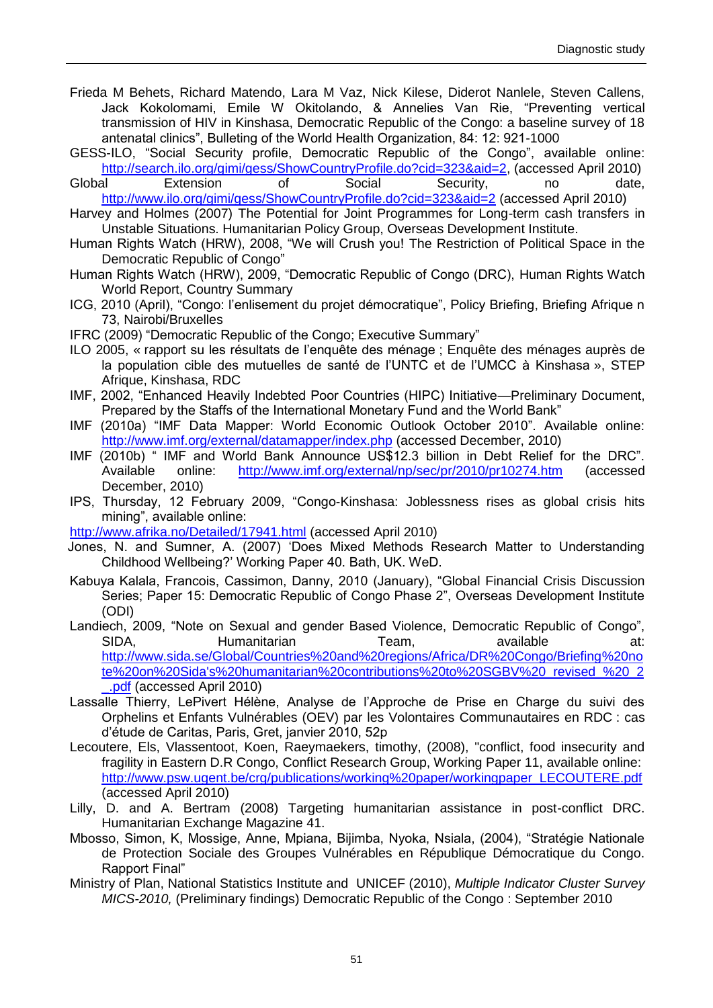- Frieda M Behets, Richard Matendo, Lara M Vaz, Nick Kilese, Diderot Nanlele, Steven Callens, Jack Kokolomami, Emile W Okitolando, & Annelies Van Rie, "Preventing vertical transmission of HIV in Kinshasa, Democratic Republic of the Congo: a baseline survey of 18 antenatal clinics", Bulleting of the World Health Organization, 84: 12: 921-1000
- GESS-ILO, "Social Security profile, Democratic Republic of the Congo", available online: [http://search.ilo.org/gimi/gess/ShowCountryProfile.do?cid=323&aid=2,](http://search.ilo.org/gimi/gess/ShowCountryProfile.do?cid=323&aid=2) (accessed April 2010)
- Global Extension of Social Security, no date, <http://www.ilo.org/gimi/gess/ShowCountryProfile.do?cid=323&aid=2> (accessed April 2010)
- Harvey and Holmes (2007) The Potential for Joint Programmes for Long-term cash transfers in Unstable Situations. Humanitarian Policy Group, Overseas Development Institute.
- Human Rights Watch (HRW), 2008, "We will Crush you! The Restriction of Political Space in the Democratic Republic of Congo"
- Human Rights Watch (HRW), 2009, "Democratic Republic of Congo (DRC), Human Rights Watch World Report, Country Summary
- ICG, 2010 (April), "Congo: l'enlisement du projet démocratique", Policy Briefing, Briefing Afrique n 73, Nairobi/Bruxelles
- IFRC (2009) "Democratic Republic of the Congo; Executive Summary"
- ILO 2005, « rapport su les résultats de l'enquête des ménage ; Enquête des ménages auprès de la population cible des mutuelles de santé de l'UNTC et de l'UMCC à Kinshasa », STEP Afrique, Kinshasa, RDC
- IMF, 2002, "Enhanced Heavily Indebted Poor Countries (HIPC) Initiative—Preliminary Document, Prepared by the Staffs of the International Monetary Fund and the World Bank"
- IMF (2010a) "IMF Data Mapper: World Economic Outlook October 2010". Available online: <http://www.imf.org/external/datamapper/index.php> (accessed December, 2010)
- IMF (2010b) " IMF and World Bank Announce US\$12.3 billion in Debt Relief for the DRC". Available online: <http://www.imf.org/external/np/sec/pr/2010/pr10274.htm> (accessed December, 2010)
- IPS, Thursday, 12 February 2009, "Congo-Kinshasa: Joblessness rises as global crisis hits mining", available online:

<http://www.afrika.no/Detailed/17941.html> (accessed April 2010)

- Jones, N. and Sumner, A. (2007) 'Does Mixed Methods Research Matter to Understanding Childhood Wellbeing?' Working Paper 40. Bath, UK. WeD.
- Kabuya Kalala, Francois, Cassimon, Danny, 2010 (January), "Global Financial Crisis Discussion Series; Paper 15: Democratic Republic of Congo Phase 2", Overseas Development Institute (ODI)
- Landiech, 2009, "Note on Sexual and gender Based Violence, Democratic Republic of Congo", SIDA, Bumanitarian Team, available at: [http://www.sida.se/Global/Countries%20and%20regions/Africa/DR%20Congo/Briefing%20no](http://www.sida.se/Global/Countries%20and%20regions/Africa/DR%20Congo/Briefing%20note%20on%20Sida) [te%20on%20Sida's%20humanitarian%20contributions%20to%20SGBV%20\\_revised\\_%20\\_2](http://www.sida.se/Global/Countries%20and%20regions/Africa/DR%20Congo/Briefing%20note%20on%20Sida) [\\_.pdf](http://www.sida.se/Global/Countries%20and%20regions/Africa/DR%20Congo/Briefing%20note%20on%20Sida) (accessed April 2010)
- Lassalle Thierry, LePivert Hélène, Analyse de l'Approche de Prise en Charge du suivi des Orphelins et Enfants Vulnérables (OEV) par les Volontaires Communautaires en RDC : cas d'étude de Caritas, Paris, Gret, janvier 2010, 52p
- Lecoutere, Els, Vlassentoot, Koen, Raeymaekers, timothy, (2008), "conflict, food insecurity and fragility in Eastern D.R Congo, Conflict Research Group, Working Paper 11, available online: [http://www.psw.ugent.be/crg/publications/working%20paper/workingpaper\\_LECOUTERE.pdf](http://www.psw.ugent.be/crg/publications/working%20paper/workingpaper_LECOUTERE.pdf) (accessed April 2010)
- Lilly, D. and A. Bertram (2008) Targeting humanitarian assistance in post-conflict DRC. Humanitarian Exchange Magazine 41.
- Mbosso, Simon, K, Mossige, Anne, Mpiana, Bijimba, Nyoka, Nsiala, (2004), "Stratégie Nationale de Protection Sociale des Groupes Vulnérables en République Démocratique du Congo. Rapport Final"
- Ministry of Plan, National Statistics Institute and UNICEF (2010), *Multiple Indicator Cluster Survey MICS-2010,* (Preliminary findings) Democratic Republic of the Congo : September 2010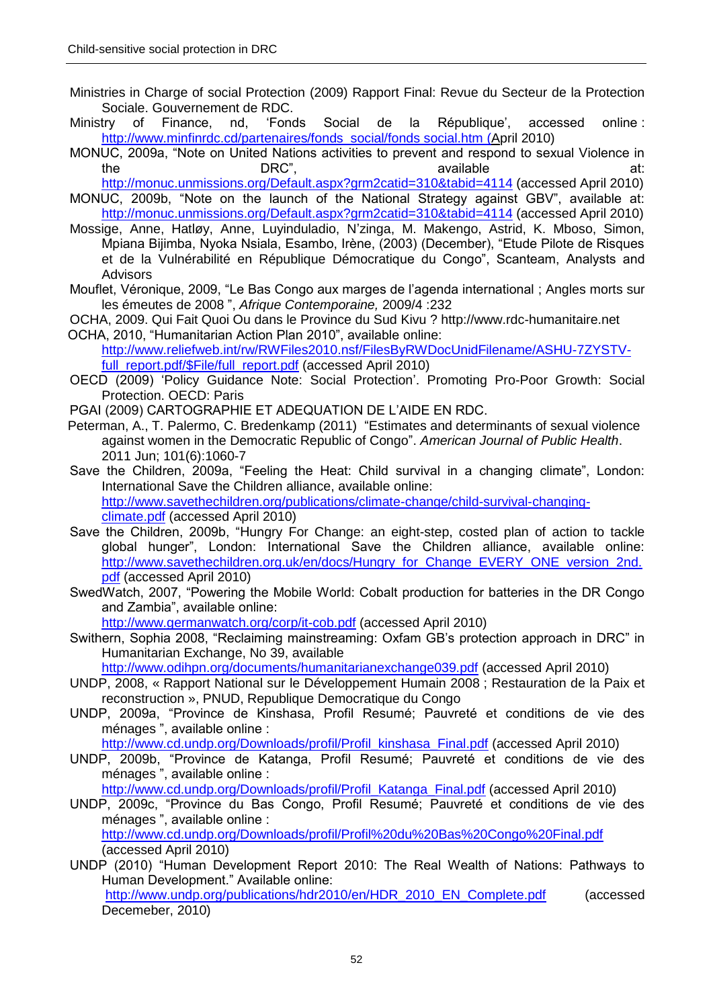Ministries in Charge of social Protection (2009) Rapport Final: Revue du Secteur de la Protection Sociale. Gouvernement de RDC.

Ministry of Finance, nd, 'Fonds Social de la République', accessed online : [http://www.minfinrdc.cd/partenaires/fonds\\_social/fonds social.htm](http://www.minfinrdc.cd/partenaires/fonds_social/fonds%20social.htm) (April 2010)

MONUC, 2009a, "Note on United Nations activities to prevent and respond to sexual Violence in<br>the at: DRC", at: the DRC", contained by DRC", and available at:

<http://monuc.unmissions.org/Default.aspx?grm2catid=310&tabid=4114> (accessed April 2010)

- MONUC, 2009b, "Note on the launch of the National Strategy against GBV", available at: <http://monuc.unmissions.org/Default.aspx?grm2catid=310&tabid=4114> (accessed April 2010)
- Mossige, Anne, Hatløy, Anne, Luyinduladio, N'zinga, M. Makengo, Astrid, K. Mboso, Simon, Mpiana Bijimba, Nyoka Nsiala, Esambo, Irène, (2003) (December), "Etude Pilote de Risques et de la Vulnérabilité en République Démocratique du Congo", Scanteam, Analysts and Advisors
- Mouflet, Véronique, 2009, "Le Bas Congo aux marges de l'agenda international ; Angles morts sur les émeutes de 2008 ", *Afrique Contemporaine,* 2009/4 :232

OCHA, 2009. Qui Fait Quoi Ou dans le Province du Sud Kivu ? http://www.rdc-humanitaire.net OCHA, 2010, "Humanitarian Action Plan 2010", available online:

[http://www.reliefweb.int/rw/RWFiles2010.nsf/FilesByRWDocUnidFilename/ASHU-7ZYSTV](http://www.reliefweb.int/rw/RWFiles2010.nsf/FilesByRWDocUnidFilename/ASHU-7ZYSTV-full_report.pdf/$File/full_report.pdf)[full\\_report.pdf/\\$File/full\\_report.pdf](http://www.reliefweb.int/rw/RWFiles2010.nsf/FilesByRWDocUnidFilename/ASHU-7ZYSTV-full_report.pdf/$File/full_report.pdf) (accessed April 2010)

OECD (2009) 'Policy Guidance Note: Social Protection'. Promoting Pro-Poor Growth: Social Protection. OECD: Paris

PGAI (2009) CARTOGRAPHIE ET ADEQUATION DE L'AIDE EN RDC.

- Peterman, A., T. Palermo, C. Bredenkamp (2011) "Estimates and determinants of sexual violence against women in the Democratic Republic of Congo". *American Journal of Public Health*. 2011 Jun; 101(6):1060-7
- Save the Children, 2009a, "Feeling the Heat: Child survival in a changing climate", London: International Save the Children alliance, available online: [http://www.savethechildren.org/publications/climate-change/child-survival-changing](http://www.savethechildren.org/publications/climate-change/child-survival-changing-climate.pdf)[climate.pdf](http://www.savethechildren.org/publications/climate-change/child-survival-changing-climate.pdf) (accessed April 2010)
- Save the Children, 2009b, "Hungry For Change: an eight-step, costed plan of action to tackle global hunger", London: International Save the Children alliance, available online: [http://www.savethechildren.org.uk/en/docs/Hungry\\_for\\_Change\\_EVERY\\_ONE\\_version\\_2nd.](http://www.savethechildren.org.uk/en/docs/Hungry_for_Change_EVERY_ONE_version_2nd.pdf) [pdf](http://www.savethechildren.org.uk/en/docs/Hungry_for_Change_EVERY_ONE_version_2nd.pdf) (accessed April 2010)
- SwedWatch, 2007, "Powering the Mobile World: Cobalt production for batteries in the DR Congo and Zambia", available online:

<http://www.germanwatch.org/corp/it-cob.pdf> (accessed April 2010)

Swithern, Sophia 2008, "Reclaiming mainstreaming: Oxfam GB's protection approach in DRC" in Humanitarian Exchange, No 39, available

<http://www.odihpn.org/documents/humanitarianexchange039.pdf> (accessed April 2010)

- UNDP, 2008, « Rapport National sur le Développement Humain 2008 ; Restauration de la Paix et reconstruction », PNUD, Republique Democratique du Congo
- UNDP, 2009a, "Province de Kinshasa, Profil Resumé; Pauvreté et conditions de vie des ménages ", available online :

[http://www.cd.undp.org/Downloads/profil/Profil\\_kinshasa\\_Final.pdf](http://www.cd.undp.org/Downloads/profil/Profil_kinshasa_Final.pdf) (accessed April 2010)

UNDP, 2009b, "Province de Katanga, Profil Resumé; Pauvreté et conditions de vie des ménages ", available online :

[http://www.cd.undp.org/Downloads/profil/Profil\\_Katanga\\_Final.pdf](http://www.cd.undp.org/Downloads/profil/Profil_Katanga_Final.pdf) (accessed April 2010)

UNDP, 2009c, "Province du Bas Congo, Profil Resumé; Pauvreté et conditions de vie des ménages ", available online : <http://www.cd.undp.org/Downloads/profil/Profil%20du%20Bas%20Congo%20Final.pdf>

(accessed April 2010)

UNDP (2010) "Human Development Report 2010: The Real Wealth of Nations: Pathways to Human Development." Available online: [http://www.undp.org/publications/hdr2010/en/HDR\\_2010\\_EN\\_Complete.pdf](http://www.undp.org/publications/hdr2010/en/HDR_2010_EN_Complete.pdf) (accessed Decemeber, 2010)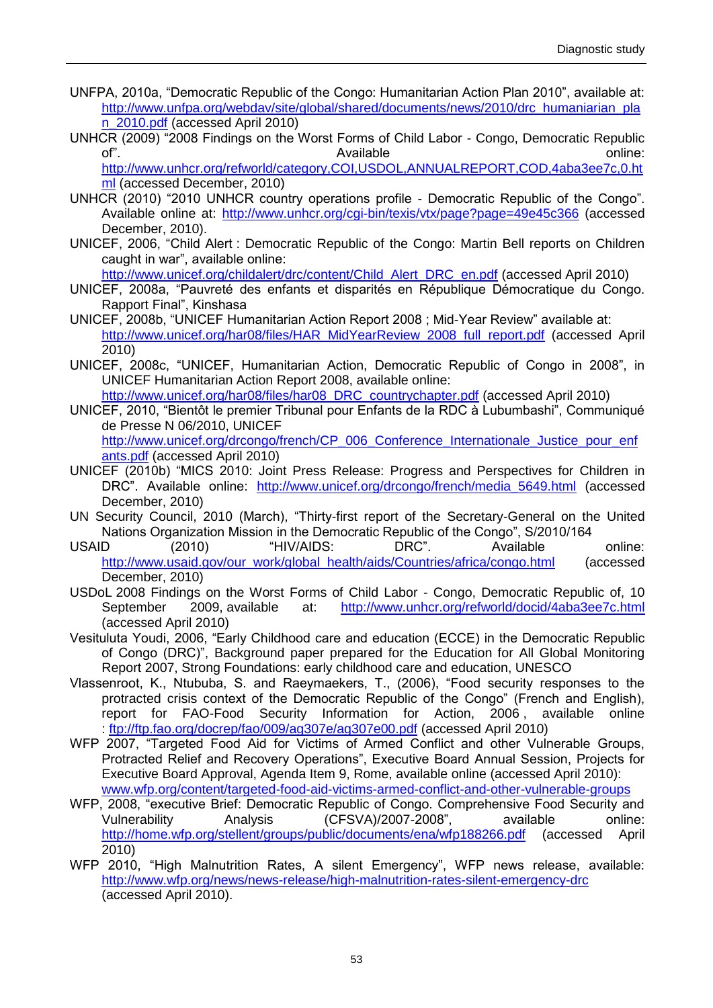- UNFPA, 2010a, "Democratic Republic of the Congo: Humanitarian Action Plan 2010", available at: http://www.unfpa.org/webday/site/global/shared/documents/news/2010/drc\_humaniarian\_pla [n\\_2010.pdf](http://www.unfpa.org/webdav/site/global/shared/documents/news/2010/drc_humaniarian_plan_2010.pdf) (accessed April 2010)
- UNHCR (2009) "2008 Findings on the Worst Forms of Child Labor Congo, Democratic Republic of". Available online:

[http://www.unhcr.org/refworld/category,COI,USDOL,ANNUALREPORT,COD,4aba3ee7c,0.ht](http://www.unhcr.org/refworld/category,COI,USDOL,ANNUALREPORT,COD,4aba3ee7c,0.html) [ml](http://www.unhcr.org/refworld/category,COI,USDOL,ANNUALREPORT,COD,4aba3ee7c,0.html) (accessed December, 2010)

- UNHCR (2010) "2010 UNHCR country operations profile Democratic Republic of the Congo". Available online at:<http://www.unhcr.org/cgi-bin/texis/vtx/page?page=49e45c366> (accessed December, 2010).
- UNICEF, 2006, "Child Alert : Democratic Republic of the Congo: Martin Bell reports on Children caught in war", available online:

[http://www.unicef.org/childalert/drc/content/Child\\_Alert\\_DRC\\_en.pdf](http://www.unicef.org/childalert/drc/content/Child_Alert_DRC_en.pdf) (accessed April 2010)

- UNICEF, 2008a, "Pauvreté des enfants et disparités en République Démocratique du Congo. Rapport Final", Kinshasa
- UNICEF, 2008b, "UNICEF Humanitarian Action Report 2008 ; Mid-Year Review" available at: [http://www.unicef.org/har08/files/HAR\\_MidYearReview\\_2008\\_full\\_report.pdf](http://www.unicef.org/har08/files/HAR_MidYearReview_2008_full_report.pdf) (accessed April 2010)
- UNICEF, 2008c, "UNICEF, Humanitarian Action, Democratic Republic of Congo in 2008", in UNICEF Humanitarian Action Report 2008, available online:

[http://www.unicef.org/har08/files/har08\\_DRC\\_countrychapter.pdf](http://www.unicef.org/har08/files/har08_DRC_countrychapter.pdf) (accessed April 2010)

UNICEF, 2010, "Bientôt le premier Tribunal pour Enfants de la RDC à Lubumbashi", Communiqué de Presse N 06/2010, UNICEF

[http://www.unicef.org/drcongo/french/CP\\_006\\_Conference\\_Internationale\\_Justice\\_pour\\_enf](http://www.unicef.org/drcongo/french/CP_006_Conference_Internationale_Justice_pour_enfants.pdf) [ants.pdf](http://www.unicef.org/drcongo/french/CP_006_Conference_Internationale_Justice_pour_enfants.pdf) (accessed April 2010)

- UNICEF (2010b) "MICS 2010: Joint Press Release: Progress and Perspectives for Children in DRC". Available online: [http://www.unicef.org/drcongo/french/media\\_5649.html](http://www.unicef.org/drcongo/french/media_5649.html) (accessed December, 2010)
- UN Security Council, 2010 (March), "Thirty-first report of the Secretary-General on the United Nations Organization Mission in the Democratic Republic of the Congo", S/2010/164
- USAID (2010) "HIV/AIDS: DRC". Available online: [http://www.usaid.gov/our\\_work/global\\_health/aids/Countries/africa/congo.html](http://www.usaid.gov/our_work/global_health/aids/Countries/africa/congo.html) (accessed December, 2010)
- USDoL 2008 Findings on the Worst Forms of Child Labor Congo, Democratic Republic of, 10 September 2009, available at: <http://www.unhcr.org/refworld/docid/4aba3ee7c.html> (accessed April 2010)
- Vesituluta Youdi, 2006, "Early Childhood care and education (ECCE) in the Democratic Republic of Congo (DRC)", Background paper prepared for the Education for All Global Monitoring Report 2007, Strong Foundations: early childhood care and education, UNESCO
- Vlassenroot, K., Ntububa, S. and Raeymaekers, T., (2006), "Food security responses to the protracted crisis context of the Democratic Republic of the Congo" (French and English), report for FAO-Food Security Information for Action, 2006 , available online : <ftp://ftp.fao.org/docrep/fao/009/ag307e/ag307e00.pdf> (accessed April 2010)
- WFP 2007, "Targeted Food Aid for Victims of Armed Conflict and other Vulnerable Groups, Protracted Relief and Recovery Operations", Executive Board Annual Session, Projects for Executive Board Approval, Agenda Item 9, Rome, available online (accessed April 2010): [www.wfp.org/content/targeted-food-aid-victims-armed-conflict-and-other-vulnerable-groups](http://www.wfp.org/content/targeted-food-aid-victims-armed-conflict-and-other-vulnerable-groups)
- WFP, 2008, "executive Brief: Democratic Republic of Congo. Comprehensive Food Security and Vulnerability Analysis (CFSVA)/2007-2008", available online: <http://home.wfp.org/stellent/groups/public/documents/ena/wfp188266.pdf> (accessed April 2010)
- WFP 2010, "High Malnutrition Rates, A silent Emergency", WFP news release, available: <http://www.wfp.org/news/news-release/high-malnutrition-rates-silent-emergency-drc> (accessed April 2010).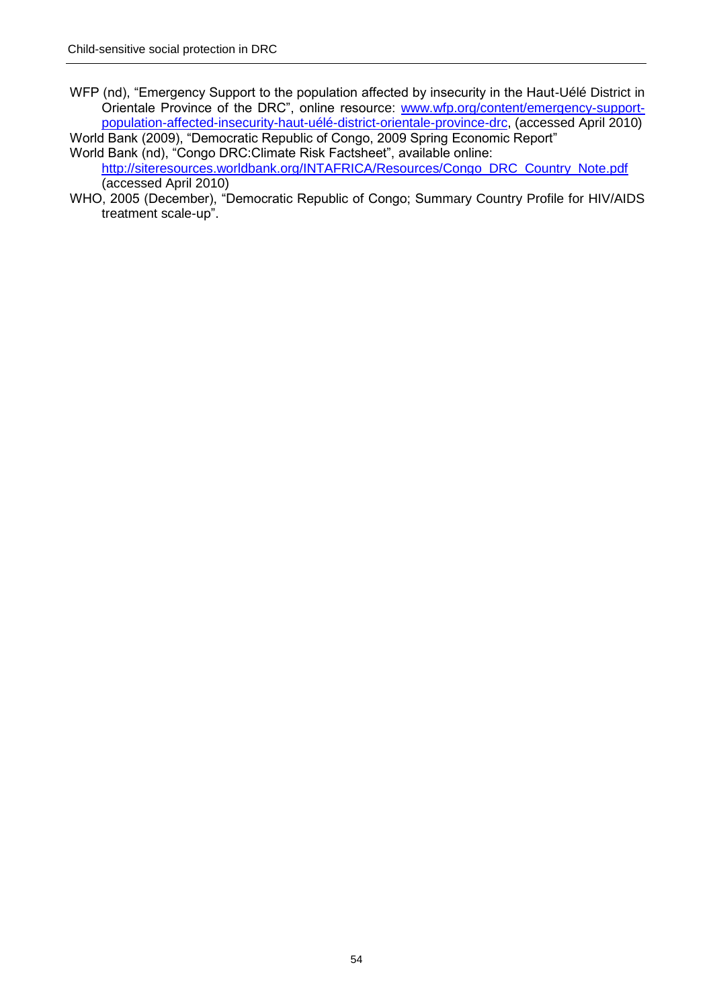WFP (nd), "Emergency Support to the population affected by insecurity in the Haut-Uélé District in Orientale Province of the DRC", online resource: [www.wfp.org/content/emergency-support](http://www.wfp.org/content/emergency-support-population-affected-insecurity-haut-uélé-district-orientale-province-drc)[population-affected-insecurity-haut-uélé-district-orientale-province-drc,](http://www.wfp.org/content/emergency-support-population-affected-insecurity-haut-uélé-district-orientale-province-drc) (accessed April 2010)

World Bank (2009), "Democratic Republic of Congo, 2009 Spring Economic Report" World Bank (nd), "Congo DRC:Climate Risk Factsheet", available online:

[http://siteresources.worldbank.org/INTAFRICA/Resources/Congo\\_DRC\\_Country\\_Note.pdf](http://siteresources.worldbank.org/INTAFRICA/Resources/Congo_DRC_Country_Note.pdf) (accessed April 2010)

WHO, 2005 (December), "Democratic Republic of Congo; Summary Country Profile for HIV/AIDS treatment scale-up".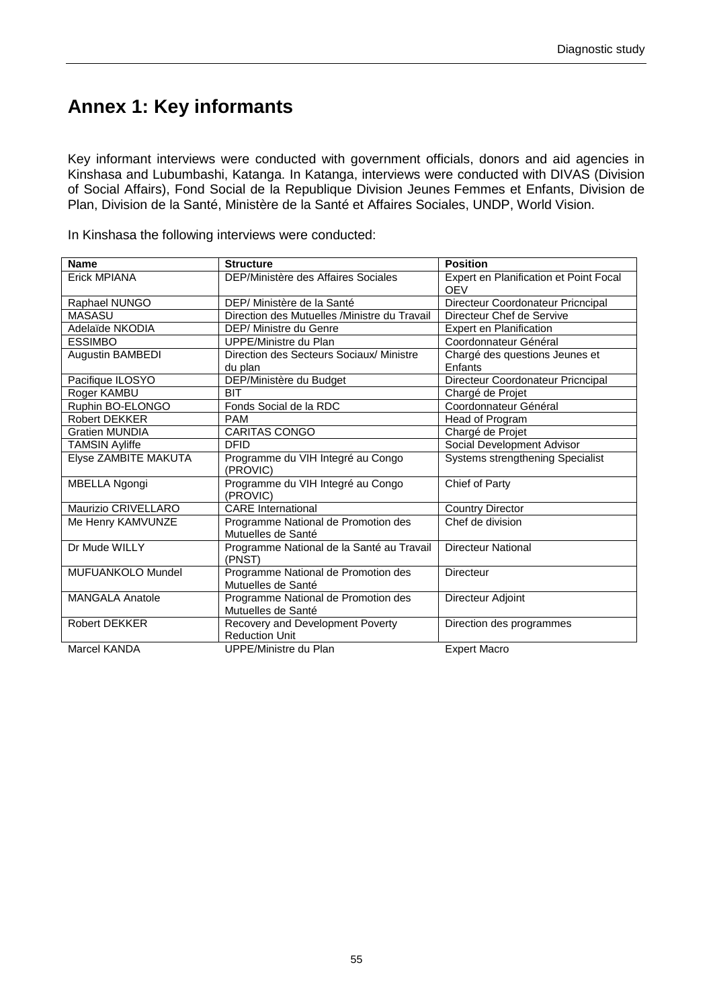# <span id="page-66-0"></span>**Annex 1: Key informants**

Key informant interviews were conducted with government officials, donors and aid agencies in Kinshasa and Lubumbashi, Katanga. In Katanga, interviews were conducted with DIVAS (Division of Social Affairs), Fond Social de la Republique Division Jeunes Femmes et Enfants, Division de Plan, Division de la Santé, Ministère de la Santé et Affaires Sociales, UNDP, World Vision.

In Kinshasa the following interviews were conducted:

| <b>Name</b>            | <b>Structure</b>                                          | <b>Position</b>                                      |
|------------------------|-----------------------------------------------------------|------------------------------------------------------|
| <b>Erick MPIANA</b>    | DEP/Ministère des Affaires Sociales                       | Expert en Planification et Point Focal<br><b>OEV</b> |
| Raphael NUNGO          | DEP/ Ministère de la Santé                                | Directeur Coordonateur Pricncipal                    |
| <b>MASASU</b>          | Direction des Mutuelles /Ministre du Travail              | Directeur Chef de Servive                            |
| Adelaïde NKODIA        | DEP/ Ministre du Genre                                    | Expert en Planification                              |
| ESSIMBO                | UPPE/Ministre du Plan                                     | Coordonnateur Général                                |
| Augustin BAMBEDI       | Direction des Secteurs Sociaux/ Ministre<br>du plan       | Chargé des questions Jeunes et<br>Enfants            |
| Pacifique ILOSYO       | DEP/Ministère du Budget                                   | Directeur Coordonateur Pricncipal                    |
| Roger KAMBU            | <b>BIT</b>                                                | Chargé de Projet                                     |
| Ruphin BO-ELONGO       | Fonds Social de la RDC                                    | Coordonnateur Général                                |
| <b>Robert DEKKER</b>   | <b>PAM</b>                                                | Head of Program                                      |
| Gratien MUNDIA         | <b>CARITAS CONGO</b>                                      | Chargé de Projet                                     |
| <b>TAMSIN Ayliffe</b>  | <b>DFID</b>                                               | Social Development Advisor                           |
| Elyse ZAMBITE MAKUTA   | Programme du VIH Integré au Congo<br>(PROVIC)             | Systems strengthening Specialist                     |
| MBELLA Ngongi          | Programme du VIH Integré au Congo<br>(PROVIC)             | Chief of Party                                       |
| Maurizio CRIVELLARO    | <b>CARE</b> International                                 | <b>Country Director</b>                              |
| Me Henry KAMVUNZE      | Programme National de Promotion des<br>Mutuelles de Santé | Chef de division                                     |
| Dr Mude WILLY          | Programme National de la Santé au Travail<br>(PNST)       | <b>Directeur National</b>                            |
| MUFUANKOLO Mundel      | Programme National de Promotion des<br>Mutuelles de Santé | <b>Directeur</b>                                     |
| <b>MANGALA Anatole</b> | Programme National de Promotion des<br>Mutuelles de Santé | Directeur Adjoint                                    |
| <b>Robert DEKKER</b>   | Recovery and Development Poverty<br><b>Reduction Unit</b> | Direction des programmes                             |
| Marcel KANDA           | UPPE/Ministre du Plan                                     | <b>Expert Macro</b>                                  |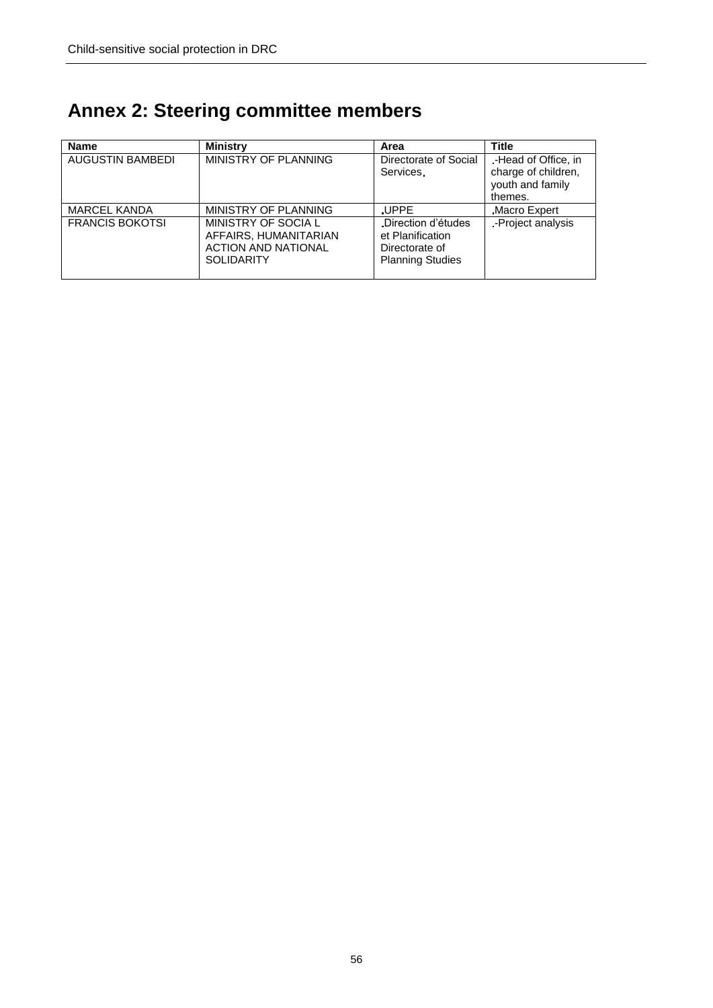<span id="page-67-0"></span>

| <b>Annex 2: Steering committee members</b> |  |  |  |
|--------------------------------------------|--|--|--|
|--------------------------------------------|--|--|--|

| <b>Name</b>             | <b>Ministry</b>                                                                                 | Area                                                                                | <b>Title</b>                                                              |
|-------------------------|-------------------------------------------------------------------------------------------------|-------------------------------------------------------------------------------------|---------------------------------------------------------------------------|
| <b>AUGUSTIN BAMBEDI</b> | MINISTRY OF PLANNING                                                                            | Directorate of Social<br>Services.                                                  | -Head of Office, in<br>charge of children,<br>youth and family<br>themes. |
| <b>MARCEL KANDA</b>     | MINISTRY OF PLANNING                                                                            | <b>UPPE</b>                                                                         | <b>Macro Expert</b>                                                       |
| <b>FRANCIS BOKOTSI</b>  | MINISTRY OF SOCIA L<br>AFFAIRS, HUMANITARIAN<br><b>ACTION AND NATIONAL</b><br><b>SOLIDARITY</b> | Direction d'études<br>et Planification<br>Directorate of<br><b>Planning Studies</b> | -Project analysis                                                         |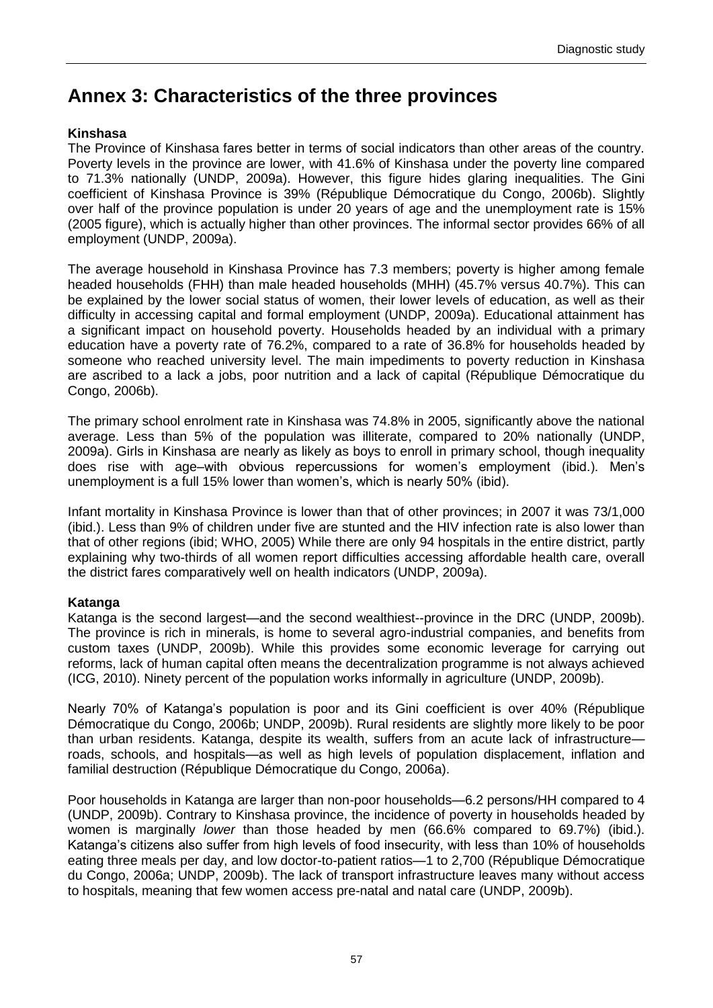# <span id="page-68-0"></span>**Annex 3: Characteristics of the three provinces**

### **Kinshasa**

The Province of Kinshasa fares better in terms of social indicators than other areas of the country. Poverty levels in the province are lower, with 41.6% of Kinshasa under the poverty line compared to 71.3% nationally (UNDP, 2009a). However, this figure hides glaring inequalities. The Gini coefficient of Kinshasa Province is 39% (République Démocratique du Congo, 2006b). Slightly over half of the province population is under 20 years of age and the unemployment rate is 15% (2005 figure), which is actually higher than other provinces. The informal sector provides 66% of all employment (UNDP, 2009a).

The average household in Kinshasa Province has 7.3 members; poverty is higher among female headed households (FHH) than male headed households (MHH) (45.7% versus 40.7%). This can be explained by the lower social status of women, their lower levels of education, as well as their difficulty in accessing capital and formal employment (UNDP, 2009a). Educational attainment has a significant impact on household poverty. Households headed by an individual with a primary education have a poverty rate of 76.2%, compared to a rate of 36.8% for households headed by someone who reached university level. The main impediments to poverty reduction in Kinshasa are ascribed to a lack a jobs, poor nutrition and a lack of capital (République Démocratique du Congo, 2006b).

The primary school enrolment rate in Kinshasa was 74.8% in 2005, significantly above the national average. Less than 5% of the population was illiterate, compared to 20% nationally (UNDP, 2009a). Girls in Kinshasa are nearly as likely as boys to enroll in primary school, though inequality does rise with age–with obvious repercussions for women's employment (ibid.). Men's unemployment is a full 15% lower than women's, which is nearly 50% (ibid).

Infant mortality in Kinshasa Province is lower than that of other provinces; in 2007 it was 73/1,000 (ibid.). Less than 9% of children under five are stunted and the HIV infection rate is also lower than that of other regions (ibid; WHO, 2005) While there are only 94 hospitals in the entire district, partly explaining why two-thirds of all women report difficulties accessing affordable health care, overall the district fares comparatively well on health indicators (UNDP, 2009a).

### **Katanga**

Katanga is the second largest—and the second wealthiest--province in the DRC (UNDP, 2009b). The province is rich in minerals, is home to several agro-industrial companies, and benefits from custom taxes (UNDP, 2009b). While this provides some economic leverage for carrying out reforms, lack of human capital often means the decentralization programme is not always achieved (ICG, 2010). Ninety percent of the population works informally in agriculture (UNDP, 2009b).

Nearly 70% of Katanga's population is poor and its Gini coefficient is over 40% (République Démocratique du Congo, 2006b; UNDP, 2009b). Rural residents are slightly more likely to be poor than urban residents. Katanga, despite its wealth, suffers from an acute lack of infrastructure roads, schools, and hospitals—as well as high levels of population displacement, inflation and familial destruction (République Démocratique du Congo, 2006a).

Poor households in Katanga are larger than non-poor households—6.2 persons/HH compared to 4 (UNDP, 2009b). Contrary to Kinshasa province, the incidence of poverty in households headed by women is marginally *lower* than those headed by men (66.6% compared to 69.7%) (ibid.). Katanga's citizens also suffer from high levels of food insecurity, with less than 10% of households eating three meals per day, and low doctor-to-patient ratios—1 to 2,700 (République Démocratique du Congo, 2006a; UNDP, 2009b). The lack of transport infrastructure leaves many without access to hospitals, meaning that few women access pre-natal and natal care (UNDP, 2009b).